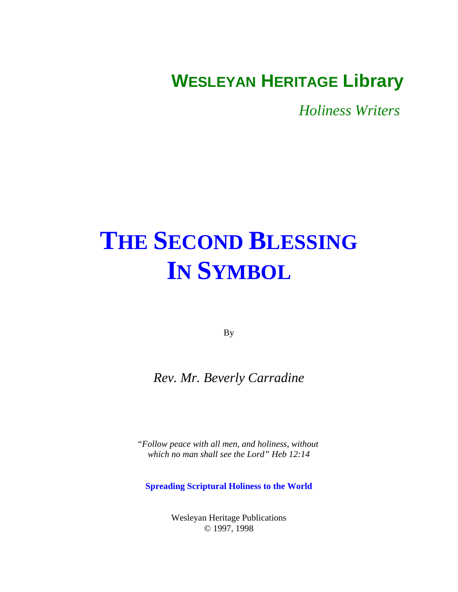## <span id="page-0-0"></span>**WESLEYAN HERITAGE Library**

*Holiness Writers* 

# **[THE SECOND BLESSING](#page-1-0) IN SYMBOL**

By

### *Rev. Mr. Beverly Carradine*

*"Follow peace with all men, and holiness, without which no man shall see the Lord" Heb 12:14*

**Spreading Scriptural Holiness to the World**

Wesleyan Heritage Publications © 1997, 1998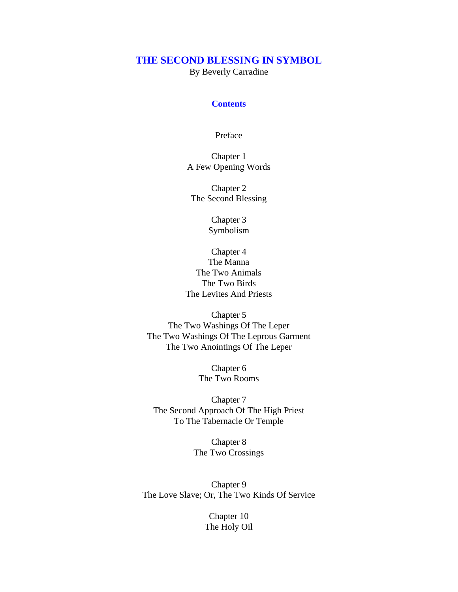#### <span id="page-1-0"></span>**[THE SECOND BLESSING IN SYMBOL](#page-0-0)**

By Beverly Carradine

#### **Contents**

[Preface](#page-4-0)

Chapter 1 [A Few Opening Words](#page-5-0)

Chapter 2 [The Second Blessing](#page-7-0)

> Chapter 3 [Symbolism](#page-11-0)

Chapter 4 The Manna The Two Animals The Two Birds [The Levites And Priests](#page-13-0)

Chapter 5 The Two Washings Of The Leper [The Two Washings Of The Leprous Garment](#page-16-0) The Two Anointings Of The Leper

> Chapter 6 [The Two Rooms](#page-18-0)

Chapter 7 [The Second Approach Of The High Priest](#page-21-0) To The Tabernacle Or Temple

> Chapter 8 [The Two Crossings](#page-24-0)

Chapter 9 [The Love Slave; Or, The Two Kinds Of Service](#page-27-0)

> Chapter 10 [The Holy Oil](#page-30-0)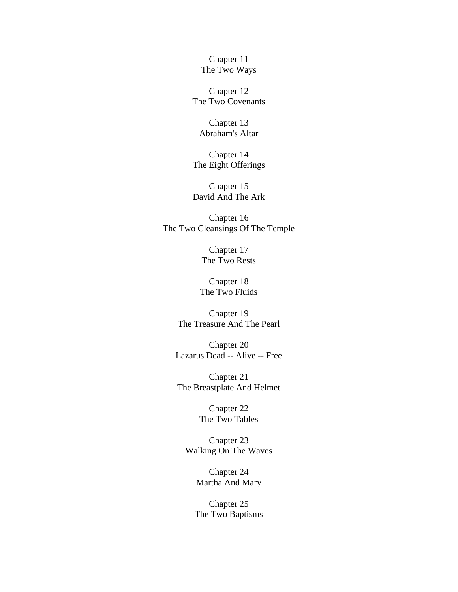Chapter 11 [The Two Ways](#page-33-0)

Chapter 12 [The Two Covenants](#page-37-0)

Chapter 13 [Abraham's Altar](#page-40-0)

Chapter 14 [The Eight Offerings](#page-43-0)

Chapter 15 [David And The Ark](#page-46-0)

Chapter 16 [The Two Cleansings Of The Temple](#page-52-0)

> Chapter 17 [The Two Rests](#page-56-0)

Chapter 18 [The Two Fluids](#page-59-0)

Chapter 19 [The Treasure And The Pearl](#page-63-0)

Chapter 20 [Lazarus Dead -- Alive -- Free](#page-66-0)

Chapter 21 [The Breastplate And Helmet](#page-70-0)

> Chapter 22 [The Two Tables](#page-74-0)

Chapter 23 [Walking On The Waves](#page-78-0)

> Chapter 24 [Martha And Mary](#page-82-0)

Chapter 25 [The Two Baptisms](#page-85-0)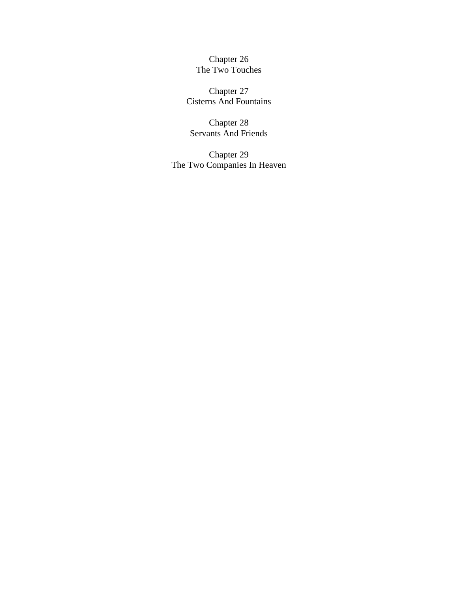Chapter 26 [The Two Touches](#page-88-0)

Chapter 27 [Cisterns And Fountains](#page-90-0)

Chapter 28 [Servants And Friends](#page-92-0)

Chapter 29 [The Two Companies In Heaven](#page-94-0)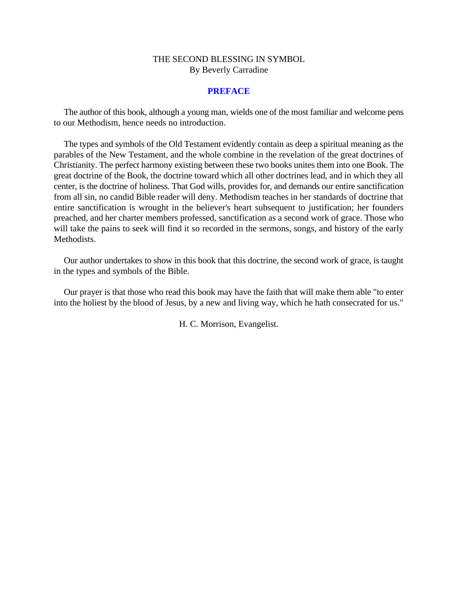#### **PREFACE**

<span id="page-4-0"></span>The author of this book, although a young man, wields one of the most familiar and welcome pens to our Methodism, hence needs no introduction.

The types and symbols of the Old Testament evidently contain as deep a spiritual meaning as the parables of the New Testament, and the whole combine in the revelation of the great doctrines of Christianity. The perfect harmony existing between these two books unites them into one Book. The great doctrine of the Book, the doctrine toward which all other doctrines lead, and in which they all center, is the doctrine of holiness. That God wills, provides for, and demands our entire sanctification from all sin, no candid Bible reader will deny. Methodism teaches in her standards of doctrine that entire sanctification is wrought in the believer's heart subsequent to justification; her founders preached, and her charter members professed, sanctification as a second work of grace. Those who will take the pains to seek will find it so recorded in the sermons, songs, and history of the early Methodists.

Our author undertakes to show in this book that this doctrine, the second work of grace, is taught in the types and symbols of the Bible.

Our prayer is that those who read this book may have the faith that will make them able "to enter into the holiest by the blood of Jesus, by a new and living way, which he hath consecrated for us."

H. C. Morrison, Evangelist.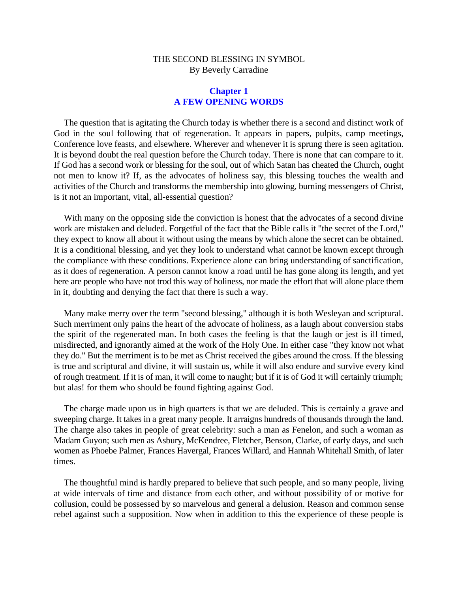#### **Chapter 1 A FEW OPENING WORDS**

<span id="page-5-0"></span>The question that is agitating the Church today is whether there is a second and distinct work of God in the soul following that of regeneration. It appears in papers, pulpits, camp meetings, Conference love feasts, and elsewhere. Wherever and whenever it is sprung there is seen agitation. It is beyond doubt the real question before the Church today. There is none that can compare to it. If God has a second work or blessing for the soul, out of which Satan has cheated the Church, ought not men to know it? If, as the advocates of holiness say, this blessing touches the wealth and activities of the Church and transforms the membership into glowing, burning messengers of Christ, is it not an important, vital, all-essential question?

With many on the opposing side the conviction is honest that the advocates of a second divine work are mistaken and deluded. Forgetful of the fact that the Bible calls it "the secret of the Lord," they expect to know all about it without using the means by which alone the secret can be obtained. It is a conditional blessing, and yet they look to understand what cannot be known except through the compliance with these conditions. Experience alone can bring understanding of sanctification, as it does of regeneration. A person cannot know a road until he has gone along its length, and yet here are people who have not trod this way of holiness, nor made the effort that will alone place them in it, doubting and denying the fact that there is such a way.

Many make merry over the term "second blessing," although it is both Wesleyan and scriptural. Such merriment only pains the heart of the advocate of holiness, as a laugh about conversion stabs the spirit of the regenerated man. In both cases the feeling is that the laugh or jest is ill timed, misdirected, and ignorantly aimed at the work of the Holy One. In either case "they know not what they do." But the merriment is to be met as Christ received the gibes around the cross. If the blessing is true and scriptural and divine, it will sustain us, while it will also endure and survive every kind of rough treatment. If it is of man, it will come to naught; but if it is of God it will certainly triumph; but alas! for them who should be found fighting against God.

The charge made upon us in high quarters is that we are deluded. This is certainly a grave and sweeping charge. It takes in a great many people. It arraigns hundreds of thousands through the land. The charge also takes in people of great celebrity: such a man as Fenelon, and such a woman as Madam Guyon; such men as Asbury, McKendree, Fletcher, Benson, Clarke, of early days, and such women as Phoebe Palmer, Frances Havergal, Frances Willard, and Hannah Whitehall Smith, of later times.

The thoughtful mind is hardly prepared to believe that such people, and so many people, living at wide intervals of time and distance from each other, and without possibility of or motive for collusion, could be possessed by so marvelous and general a delusion. Reason and common sense rebel against such a supposition. Now when in addition to this the experience of these people is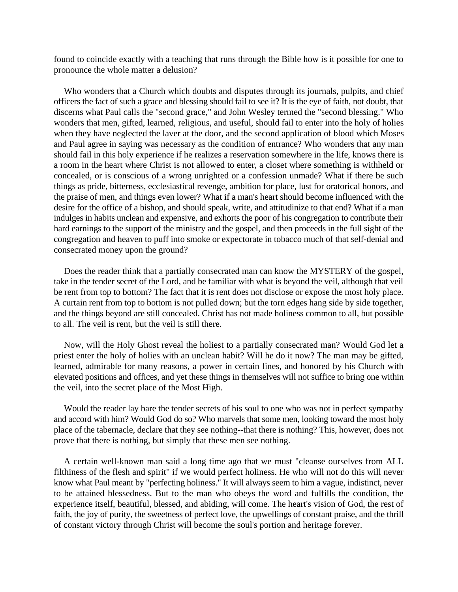found to coincide exactly with a teaching that runs through the Bible how is it possible for one to pronounce the whole matter a delusion?

Who wonders that a Church which doubts and disputes through its journals, pulpits, and chief officers the fact of such a grace and blessing should fail to see it? It is the eye of faith, not doubt, that discerns what Paul calls the "second grace," and John Wesley termed the "second blessing." Who wonders that men, gifted, learned, religious, and useful, should fail to enter into the holy of holies when they have neglected the laver at the door, and the second application of blood which Moses and Paul agree in saying was necessary as the condition of entrance? Who wonders that any man should fail in this holy experience if he realizes a reservation somewhere in the life, knows there is a room in the heart where Christ is not allowed to enter, a closet where something is withheld or concealed, or is conscious of a wrong unrighted or a confession unmade? What if there be such things as pride, bitterness, ecclesiastical revenge, ambition for place, lust for oratorical honors, and the praise of men, and things even lower? What if a man's heart should become influenced with the desire for the office of a bishop, and should speak, write, and attitudinize to that end? What if a man indulges in habits unclean and expensive, and exhorts the poor of his congregation to contribute their hard earnings to the support of the ministry and the gospel, and then proceeds in the full sight of the congregation and heaven to puff into smoke or expectorate in tobacco much of that self-denial and consecrated money upon the ground?

Does the reader think that a partially consecrated man can know the MYSTERY of the gospel, take in the tender secret of the Lord, and be familiar with what is beyond the veil, although that veil be rent from top to bottom? The fact that it is rent does not disclose or expose the most holy place. A curtain rent from top to bottom is not pulled down; but the torn edges hang side by side together, and the things beyond are still concealed. Christ has not made holiness common to all, but possible to all. The veil is rent, but the veil is still there.

Now, will the Holy Ghost reveal the holiest to a partially consecrated man? Would God let a priest enter the holy of holies with an unclean habit? Will he do it now? The man may be gifted, learned, admirable for many reasons, a power in certain lines, and honored by his Church with elevated positions and offices, and yet these things in themselves will not suffice to bring one within the veil, into the secret place of the Most High.

Would the reader lay bare the tender secrets of his soul to one who was not in perfect sympathy and accord with him? Would God do so? Who marvels that some men, looking toward the most holy place of the tabernacle, declare that they see nothing--that there is nothing? This, however, does not prove that there is nothing, but simply that these men see nothing.

A certain well-known man said a long time ago that we must "cleanse ourselves from ALL filthiness of the flesh and spirit" if we would perfect holiness. He who will not do this will never know what Paul meant by "perfecting holiness." It will always seem to him a vague, indistinct, never to be attained blessedness. But to the man who obeys the word and fulfills the condition, the experience itself, beautiful, blessed, and abiding, will come. The heart's vision of God, the rest of faith, the joy of purity, the sweetness of perfect love, the upwellings of constant praise, and the thrill of constant victory through Christ will become the soul's portion and heritage forever.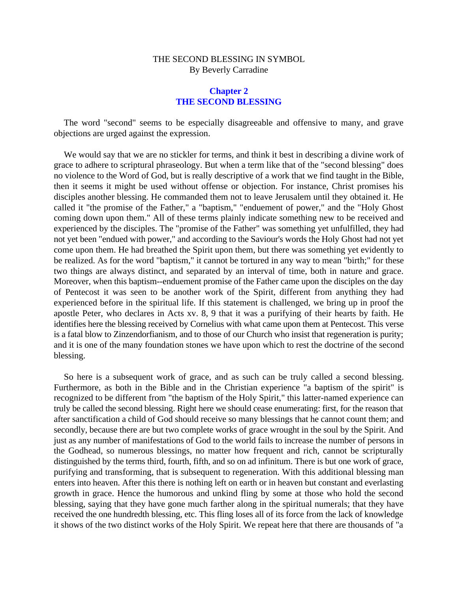#### **Chapter 2 THE SECOND BLESSING**

<span id="page-7-0"></span>The word "second" seems to be especially disagreeable and offensive to many, and grave objections are urged against the expression.

We would say that we are no stickler for terms, and think it best in describing a divine work of grace to adhere to scriptural phraseology. But when a term like that of the "second blessing" does no violence to the Word of God, but is really descriptive of a work that we find taught in the Bible, then it seems it might be used without offense or objection. For instance, Christ promises his disciples another blessing. He commanded them not to leave Jerusalem until they obtained it. He called it "the promise of the Father," a "baptism," "enduement of power," and the "Holy Ghost coming down upon them." All of these terms plainly indicate something new to be received and experienced by the disciples. The "promise of the Father" was something yet unfulfilled, they had not yet been "endued with power," and according to the Saviour's words the Holy Ghost had not yet come upon them. He had breathed the Spirit upon them, but there was something yet evidently to be realized. As for the word "baptism," it cannot be tortured in any way to mean "birth;" for these two things are always distinct, and separated by an interval of time, both in nature and grace. Moreover, when this baptism--enduement promise of the Father came upon the disciples on the day of Pentecost it was seen to be another work of the Spirit, different from anything they had experienced before in the spiritual life. If this statement is challenged, we bring up in proof the apostle Peter, who declares in Acts xv. 8, 9 that it was a purifying of their hearts by faith. He identifies here the blessing received by Cornelius with what came upon them at Pentecost. This verse is a fatal blow to Zinzendorfianism, and to those of our Church who insist that regeneration is purity; and it is one of the many foundation stones we have upon which to rest the doctrine of the second blessing.

So here is a subsequent work of grace, and as such can be truly called a second blessing. Furthermore, as both in the Bible and in the Christian experience "a baptism of the spirit" is recognized to be different from "the baptism of the Holy Spirit," this latter-named experience can truly be called the second blessing. Right here we should cease enumerating: first, for the reason that after sanctification a child of God should receive so many blessings that he cannot count them; and secondly, because there are but two complete works of grace wrought in the soul by the Spirit. And just as any number of manifestations of God to the world fails to increase the number of persons in the Godhead, so numerous blessings, no matter how frequent and rich, cannot be scripturally distinguished by the terms third, fourth, fifth, and so on ad infinitum. There is but one work of grace, purifying and transforming, that is subsequent to regeneration. With this additional blessing man enters into heaven. After this there is nothing left on earth or in heaven but constant and everlasting growth in grace. Hence the humorous and unkind fling by some at those who hold the second blessing, saying that they have gone much farther along in the spiritual numerals; that they have received the one hundredth blessing, etc. This fling loses all of its force from the lack of knowledge it shows of the two distinct works of the Holy Spirit. We repeat here that there are thousands of "a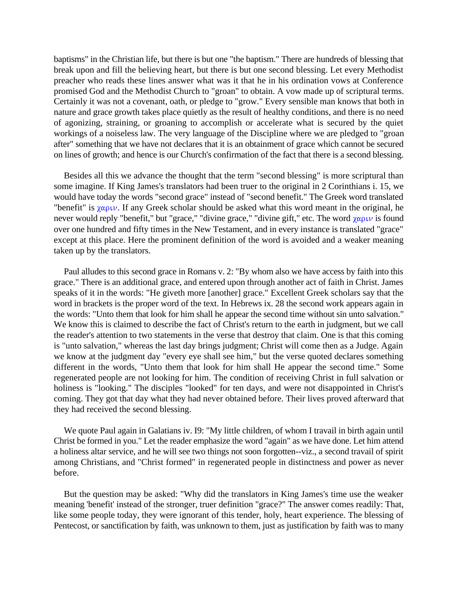baptisms" in the Christian life, but there is but one "the baptism." There are hundreds of blessing that break upon and fill the believing heart, but there is but one second blessing. Let every Methodist preacher who reads these lines answer what was it that he in his ordination vows at Conference promised God and the Methodist Church to "groan" to obtain. A vow made up of scriptural terms. Certainly it was not a covenant, oath, or pledge to "grow." Every sensible man knows that both in nature and grace growth takes place quietly as the result of healthy conditions, and there is no need of agonizing, straining, or groaning to accomplish or accelerate what is secured by the quiet workings of a noiseless law. The very language of the Discipline where we are pledged to "groan after" something that we have not declares that it is an obtainment of grace which cannot be secured on lines of growth; and hence is our Church's confirmation of the fact that there is a second blessing.

Besides all this we advance the thought that the term "second blessing" is more scriptural than some imagine. If King James's translators had been truer to the original in 2 Corinthians i. 15, we would have today the words "second grace" instead of "second benefit." The Greek word translated "benefit" is  $\chi \alpha \rho \nu$ . If any Greek scholar should be asked what this word meant in the original, he never would reply "benefit," but "grace," "divine grace," "divine gift," etc. The word  $\chi \alpha \rho \nu \nu$  is found over one hundred and fifty times in the New Testament, and in every instance is translated "grace" except at this place. Here the prominent definition of the word is avoided and a weaker meaning taken up by the translators.

Paul alludes to this second grace in Romans v. 2: "By whom also we have access by faith into this grace." There is an additional grace, and entered upon through another act of faith in Christ. James speaks of it in the words: "He giveth more [another] grace." Excellent Greek scholars say that the word in brackets is the proper word of the text. In Hebrews ix. 28 the second work appears again in the words: "Unto them that look for him shall he appear the second time without sin unto salvation." We know this is claimed to describe the fact of Christ's return to the earth in judgment, but we call the reader's attention to two statements in the verse that destroy that claim. One is that this coming is "unto salvation," whereas the last day brings judgment; Christ will come then as a Judge. Again we know at the judgment day "every eye shall see him," but the verse quoted declares something different in the words, "Unto them that look for him shall He appear the second time." Some regenerated people are not looking for him. The condition of receiving Christ in full salvation or holiness is "looking." The disciples "looked" for ten days, and were not disappointed in Christ's coming. They got that day what they had never obtained before. Their lives proved afterward that they had received the second blessing.

We quote Paul again in Galatians iv. I9: "My little children, of whom I travail in birth again until Christ be formed in you." Let the reader emphasize the word "again" as we have done. Let him attend a holiness altar service, and he will see two things not soon forgotten--viz., a second travail of spirit among Christians, and "Christ formed" in regenerated people in distinctness and power as never before.

But the question may be asked: "Why did the translators in King James's time use the weaker meaning 'benefit' instead of the stronger, truer definition "grace?" The answer comes readily: That, like some people today, they were ignorant of this tender, holy, heart experience. The blessing of Pentecost, or sanctification by faith, was unknown to them, just as justification by faith was to many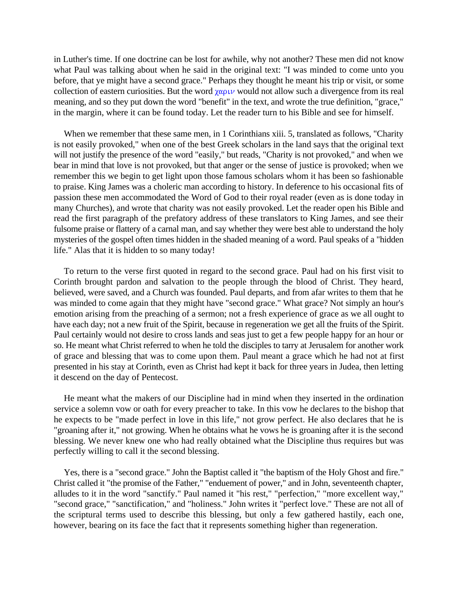in Luther's time. If one doctrine can be lost for awhile, why not another? These men did not know what Paul was talking about when he said in the original text: "I was minded to come unto you before, that ye might have a second grace." Perhaps they thought he meant his trip or visit, or some collection of eastern curiosities. But the word  $\chi \alpha$ <sup>QL</sup>W would not allow such a divergence from its real meaning, and so they put down the word "benefit" in the text, and wrote the true definition, "grace," in the margin, where it can be found today. Let the reader turn to his Bible and see for himself.

When we remember that these same men, in 1 Corinthians xiii. 5, translated as follows, "Charity is not easily provoked," when one of the best Greek scholars in the land says that the original text will not justify the presence of the word "easily," but reads, "Charity is not provoked," and when we bear in mind that love is not provoked, but that anger or the sense of justice is provoked; when we remember this we begin to get light upon those famous scholars whom it has been so fashionable to praise. King James was a choleric man according to history. In deference to his occasional fits of passion these men accommodated the Word of God to their royal reader (even as is done today in many Churches), and wrote that charity was not easily provoked. Let the reader open his Bible and read the first paragraph of the prefatory address of these translators to King James, and see their fulsome praise or flattery of a carnal man, and say whether they were best able to understand the holy mysteries of the gospel often times hidden in the shaded meaning of a word. Paul speaks of a "hidden life." Alas that it is hidden to so many today!

To return to the verse first quoted in regard to the second grace. Paul had on his first visit to Corinth brought pardon and salvation to the people through the blood of Christ. They heard, believed, were saved, and a Church was founded. Paul departs, and from afar writes to them that he was minded to come again that they might have "second grace." What grace? Not simply an hour's emotion arising from the preaching of a sermon; not a fresh experience of grace as we all ought to have each day; not a new fruit of the Spirit, because in regeneration we get all the fruits of the Spirit. Paul certainly would not desire to cross lands and seas just to get a few people happy for an hour or so. He meant what Christ referred to when he told the disciples to tarry at Jerusalem for another work of grace and blessing that was to come upon them. Paul meant a grace which he had not at first presented in his stay at Corinth, even as Christ had kept it back for three years in Judea, then letting it descend on the day of Pentecost.

He meant what the makers of our Discipline had in mind when they inserted in the ordination service a solemn vow or oath for every preacher to take. In this vow he declares to the bishop that he expects to be "made perfect in love in this life," not grow perfect. He also declares that he is "groaning after it," not growing. When he obtains what he vows he is groaning after it is the second blessing. We never knew one who had really obtained what the Discipline thus requires but was perfectly willing to call it the second blessing.

Yes, there is a "second grace." John the Baptist called it "the baptism of the Holy Ghost and fire." Christ called it "the promise of the Father," "enduement of power," and in John, seventeenth chapter, alludes to it in the word "sanctify." Paul named it "his rest," "perfection," "more excellent way," "second grace," "sanctification," and "holiness." John writes it "perfect love." These are not all of the scriptural terms used to describe this blessing, but only a few gathered hastily, each one, however, bearing on its face the fact that it represents something higher than regeneration.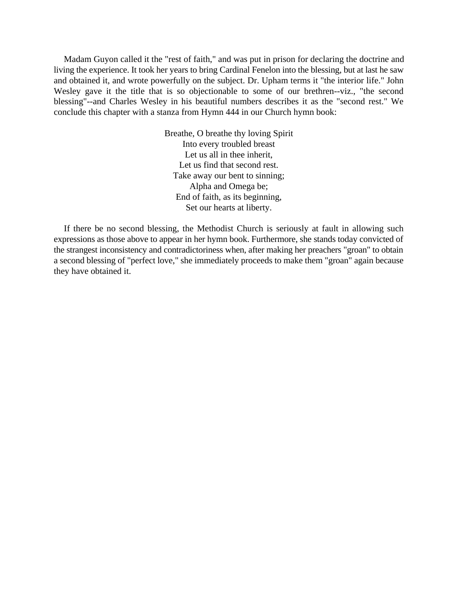Madam Guyon called it the "rest of faith," and was put in prison for declaring the doctrine and living the experience. It took her years to bring Cardinal Fenelon into the blessing, but at last he saw and obtained it, and wrote powerfully on the subject. Dr. Upham terms it "the interior life." John Wesley gave it the title that is so objectionable to some of our brethren--viz., "the second blessing"--and Charles Wesley in his beautiful numbers describes it as the "second rest." We conclude this chapter with a stanza from Hymn 444 in our Church hymn book:

> Breathe, O breathe thy loving Spirit Into every troubled breast Let us all in thee inherit, Let us find that second rest. Take away our bent to sinning; Alpha and Omega be; End of faith, as its beginning, Set our hearts at liberty.

If there be no second blessing, the Methodist Church is seriously at fault in allowing such expressions as those above to appear in her hymn book. Furthermore, she stands today convicted of the strangest inconsistency and contradictoriness when, after making her preachers "groan" to obtain a second blessing of "perfect love," she immediately proceeds to make them "groan" again because they have obtained it.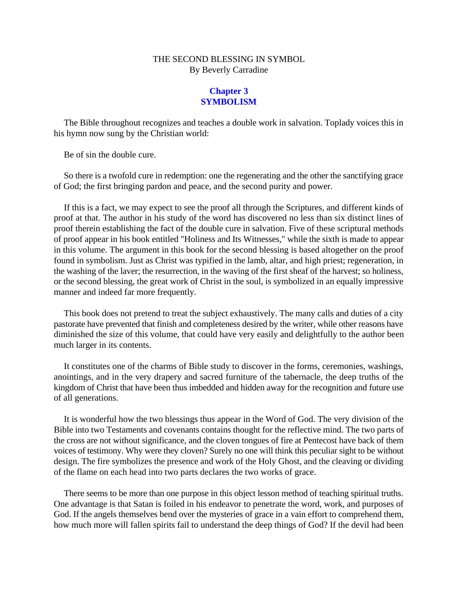#### **Chapter 3 SYMBOLISM**

<span id="page-11-0"></span>The Bible throughout recognizes and teaches a double work in salvation. Toplady voices this in his hymn now sung by the Christian world:

Be of sin the double cure.

So there is a twofold cure in redemption: one the regenerating and the other the sanctifying grace of God; the first bringing pardon and peace, and the second purity and power.

If this is a fact, we may expect to see the proof all through the Scriptures, and different kinds of proof at that. The author in his study of the word has discovered no less than six distinct lines of proof therein establishing the fact of the double cure in salvation. Five of these scriptural methods of proof appear in his book entitled "Holiness and Its Witnesses," while the sixth is made to appear in this volume. The argument in this book for the second blessing is based altogether on the proof found in symbolism. Just as Christ was typified in the lamb, altar, and high priest; regeneration, in the washing of the laver; the resurrection, in the waving of the first sheaf of the harvest; so holiness, or the second blessing, the great work of Christ in the soul, is symbolized in an equally impressive manner and indeed far more frequently.

This book does not pretend to treat the subject exhaustively. The many calls and duties of a city pastorate have prevented that finish and completeness desired by the writer, while other reasons have diminished the size of this volume, that could have very easily and delightfully to the author been much larger in its contents.

It constitutes one of the charms of Bible study to discover in the forms, ceremonies, washings, anointings, and in the very drapery and sacred furniture of the tabernacle, the deep truths of the kingdom of Christ that have been thus imbedded and hidden away for the recognition and future use of all generations.

It is wonderful how the two blessings thus appear in the Word of God. The very division of the Bible into two Testaments and covenants contains thought for the reflective mind. The two parts of the cross are not without significance, and the cloven tongues of fire at Pentecost have back of them voices of testimony. Why were they cloven? Surely no one will think this peculiar sight to be without design. The fire symbolizes the presence and work of the Holy Ghost, and the cleaving or dividing of the flame on each head into two parts declares the two works of grace.

There seems to be more than one purpose in this object lesson method of teaching spiritual truths. One advantage is that Satan is foiled in his endeavor to penetrate the word, work, and purposes of God. If the angels themselves bend over the mysteries of grace in a vain effort to comprehend them, how much more will fallen spirits fail to understand the deep things of God? If the devil had been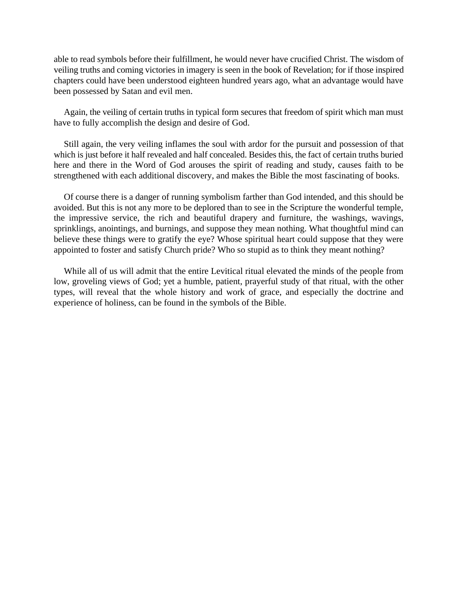able to read symbols before their fulfillment, he would never have crucified Christ. The wisdom of veiling truths and coming victories in imagery is seen in the book of Revelation; for if those inspired chapters could have been understood eighteen hundred years ago, what an advantage would have been possessed by Satan and evil men.

Again, the veiling of certain truths in typical form secures that freedom of spirit which man must have to fully accomplish the design and desire of God.

Still again, the very veiling inflames the soul with ardor for the pursuit and possession of that which is just before it half revealed and half concealed. Besides this, the fact of certain truths buried here and there in the Word of God arouses the spirit of reading and study, causes faith to be strengthened with each additional discovery, and makes the Bible the most fascinating of books.

Of course there is a danger of running symbolism farther than God intended, and this should be avoided. But this is not any more to be deplored than to see in the Scripture the wonderful temple, the impressive service, the rich and beautiful drapery and furniture, the washings, wavings, sprinklings, anointings, and burnings, and suppose they mean nothing. What thoughtful mind can believe these things were to gratify the eye? Whose spiritual heart could suppose that they were appointed to foster and satisfy Church pride? Who so stupid as to think they meant nothing?

While all of us will admit that the entire Levitical ritual elevated the minds of the people from low, groveling views of God; yet a humble, patient, prayerful study of that ritual, with the other types, will reveal that the whole history and work of grace, and especially the doctrine and experience of holiness, can be found in the symbols of the Bible.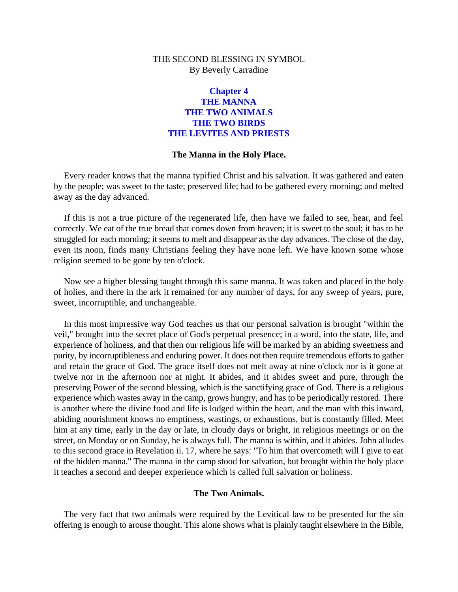#### **Chapter 4 THE MANNA THE TWO ANIMALS THE TWO BIRDS THE LEVITES AND PRIESTS**

#### **The Manna in the Holy Place.**

<span id="page-13-0"></span>Every reader knows that the manna typified Christ and his salvation. It was gathered and eaten by the people; was sweet to the taste; preserved life; had to be gathered every morning; and melted away as the day advanced.

If this is not a true picture of the regenerated life, then have we failed to see, hear, and feel correctly. We eat of the true bread that comes down from heaven; it is sweet to the soul; it has to be struggled for each morning; it seems to melt and disappear as the day advances. The close of the day, even its noon, finds many Christians feeling they have none left. We have known some whose religion seemed to be gone by ten o'clock.

Now see a higher blessing taught through this same manna. It was taken and placed in the holy of holies, and there in the ark it remained for any number of days, for any sweep of years, pure, sweet, incorruptible, and unchangeable.

In this most impressive way God teaches us that our personal salvation is brought "within the veil," brought into the secret place of God's perpetual presence; in a word, into the state, life, and experience of holiness, and that then our religious life will be marked by an abiding sweetness and purity, by incorruptibleness and enduring power. It does not then require tremendous efforts to gather and retain the grace of God. The grace itself does not melt away at nine o'clock nor is it gone at twelve nor in the afternoon nor at night. It abides, and it abides sweet and pure, through the preserving Power of the second blessing, which is the sanctifying grace of God. There is a religious experience which wastes away in the camp, grows hungry, and has to be periodically restored. There is another where the divine food and life is lodged within the heart, and the man with this inward, abiding nourishment knows no emptiness, wastings, or exhaustions, but is constantly filled. Meet him at any time, early in the day or late, in cloudy days or bright, in religious meetings or on the street, on Monday or on Sunday, he is always full. The manna is within, and it abides. John alludes to this second grace in Revelation ii. 17, where he says: "To him that overcometh will I give to eat of the hidden manna." The manna in the camp stood for salvation, but brought within the holy place it teaches a second and deeper experience which is called full salvation or holiness.

#### **The Two Animals.**

The very fact that two animals were required by the Levitical law to be presented for the sin offering is enough to arouse thought. This alone shows what is plainly taught elsewhere in the Bible,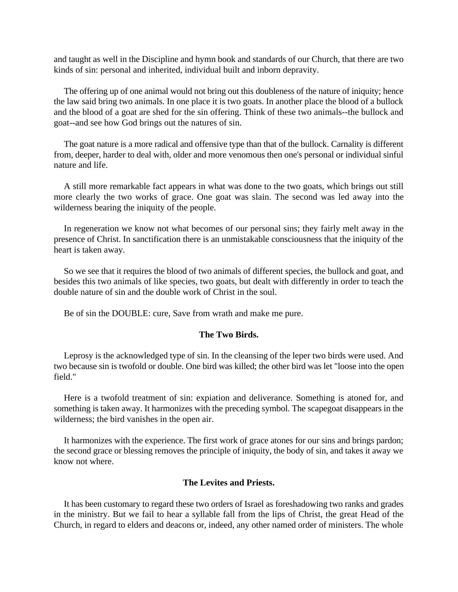and taught as well in the Discipline and hymn book and standards of our Church, that there are two kinds of sin: personal and inherited, individual built and inborn depravity.

The offering up of one animal would not bring out this doubleness of the nature of iniquity; hence the law said bring two animals. In one place it is two goats. In another place the blood of a bullock and the blood of a goat are shed for the sin offering. Think of these two animals--the bullock and goat--and see how God brings out the natures of sin.

The goat nature is a more radical and offensive type than that of the bullock. Carnality is different from, deeper, harder to deal with, older and more venomous then one's personal or individual sinful nature and life.

A still more remarkable fact appears in what was done to the two goats, which brings out still more clearly the two works of grace. One goat was slain. The second was led away into the wilderness bearing the iniquity of the people.

In regeneration we know not what becomes of our personal sins; they fairly melt away in the presence of Christ. In sanctification there is an unmistakable consciousness that the iniquity of the heart is taken away.

So we see that it requires the blood of two animals of different species, the bullock and goat, and besides this two animals of like species, two goats, but dealt with differently in order to teach the double nature of sin and the double work of Christ in the soul.

Be of sin the DOUBLE: cure, Save from wrath and make me pure.

#### **The Two Birds.**

Leprosy is the acknowledged type of sin. In the cleansing of the leper two birds were used. And two because sin is twofold or double. One bird was killed; the other bird was let "loose into the open field."

Here is a twofold treatment of sin: expiation and deliverance. Something is atoned for, and something is taken away. It harmonizes with the preceding symbol. The scapegoat disappears in the wilderness; the bird vanishes in the open air.

It harmonizes with the experience. The first work of grace atones for our sins and brings pardon; the second grace or blessing removes the principle of iniquity, the body of sin, and takes it away we know not where.

#### **The Levites and Priests.**

It has been customary to regard these two orders of Israel as foreshadowing two ranks and grades in the ministry. But we fail to hear a syllable fall from the lips of Christ, the great Head of the Church, in regard to elders and deacons or, indeed, any other named order of ministers. The whole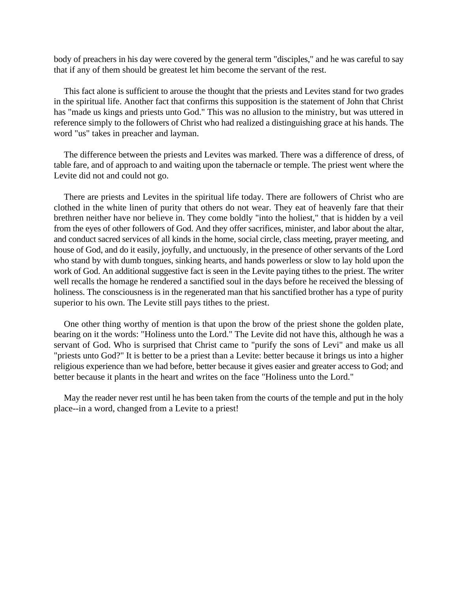body of preachers in his day were covered by the general term "disciples," and he was careful to say that if any of them should be greatest let him become the servant of the rest.

This fact alone is sufficient to arouse the thought that the priests and Levites stand for two grades in the spiritual life. Another fact that confirms this supposition is the statement of John that Christ has "made us kings and priests unto God." This was no allusion to the ministry, but was uttered in reference simply to the followers of Christ who had realized a distinguishing grace at his hands. The word "us" takes in preacher and layman.

The difference between the priests and Levites was marked. There was a difference of dress, of table fare, and of approach to and waiting upon the tabernacle or temple. The priest went where the Levite did not and could not go.

There are priests and Levites in the spiritual life today. There are followers of Christ who are clothed in the white linen of purity that others do not wear. They eat of heavenly fare that their brethren neither have nor believe in. They come boldly "into the holiest," that is hidden by a veil from the eyes of other followers of God. And they offer sacrifices, minister, and labor about the altar, and conduct sacred services of all kinds in the home, social circle, class meeting, prayer meeting, and house of God, and do it easily, joyfully, and unctuously, in the presence of other servants of the Lord who stand by with dumb tongues, sinking hearts, and hands powerless or slow to lay hold upon the work of God. An additional suggestive fact is seen in the Levite paying tithes to the priest. The writer well recalls the homage he rendered a sanctified soul in the days before he received the blessing of holiness. The consciousness is in the regenerated man that his sanctified brother has a type of purity superior to his own. The Levite still pays tithes to the priest.

One other thing worthy of mention is that upon the brow of the priest shone the golden plate, bearing on it the words: "Holiness unto the Lord." The Levite did not have this, although he was a servant of God. Who is surprised that Christ came to "purify the sons of Levi" and make us all "priests unto God?" It is better to be a priest than a Levite: better because it brings us into a higher religious experience than we had before, better because it gives easier and greater access to God; and better because it plants in the heart and writes on the face "Holiness unto the Lord."

May the reader never rest until he has been taken from the courts of the temple and put in the holy place--in a word, changed from a Levite to a priest!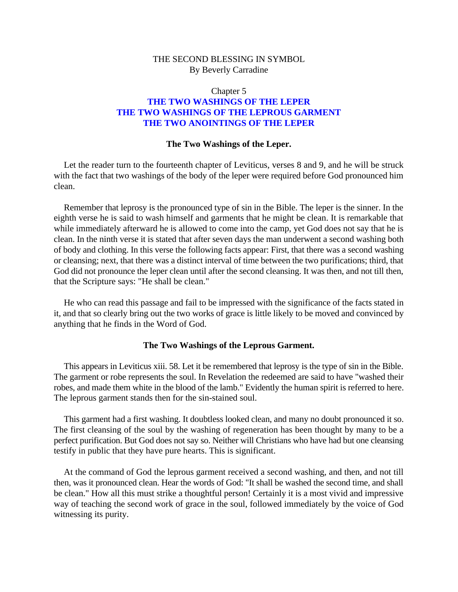#### <span id="page-16-0"></span>Chapter 5 **THE TWO WASHINGS OF THE LEPER THE TWO WASHINGS OF THE LEPROUS GARMENT THE TWO ANOINTINGS OF THE LEPER**

#### **The Two Washings of the Leper.**

Let the reader turn to the fourteenth chapter of Leviticus, verses 8 and 9, and he will be struck with the fact that two washings of the body of the leper were required before God pronounced him clean.

Remember that leprosy is the pronounced type of sin in the Bible. The leper is the sinner. In the eighth verse he is said to wash himself and garments that he might be clean. It is remarkable that while immediately afterward he is allowed to come into the camp, yet God does not say that he is clean. In the ninth verse it is stated that after seven days the man underwent a second washing both of body and clothing. In this verse the following facts appear: First, that there was a second washing or cleansing; next, that there was a distinct interval of time between the two purifications; third, that God did not pronounce the leper clean until after the second cleansing. It was then, and not till then, that the Scripture says: "He shall be clean."

He who can read this passage and fail to be impressed with the significance of the facts stated in it, and that so clearly bring out the two works of grace is little likely to be moved and convinced by anything that he finds in the Word of God.

#### **The Two Washings of the Leprous Garment.**

This appears in Leviticus xiii. 58. Let it be remembered that leprosy is the type of sin in the Bible. The garment or robe represents the soul. In Revelation the redeemed are said to have "washed their robes, and made them white in the blood of the lamb." Evidently the human spirit is referred to here. The leprous garment stands then for the sin-stained soul.

This garment had a first washing. It doubtless looked clean, and many no doubt pronounced it so. The first cleansing of the soul by the washing of regeneration has been thought by many to be a perfect purification. But God does not say so. Neither will Christians who have had but one cleansing testify in public that they have pure hearts. This is significant.

At the command of God the leprous garment received a second washing, and then, and not till then, was it pronounced clean. Hear the words of God: "It shall be washed the second time, and shall be clean." How all this must strike a thoughtful person! Certainly it is a most vivid and impressive way of teaching the second work of grace in the soul, followed immediately by the voice of God witnessing its purity.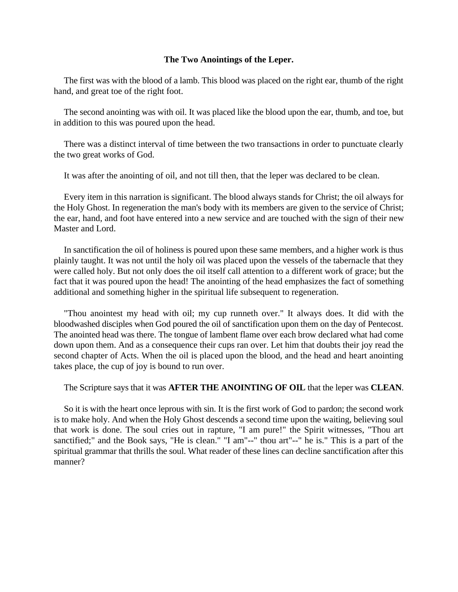#### **The Two Anointings of the Leper.**

The first was with the blood of a lamb. This blood was placed on the right ear, thumb of the right hand, and great toe of the right foot.

The second anointing was with oil. It was placed like the blood upon the ear, thumb, and toe, but in addition to this was poured upon the head.

There was a distinct interval of time between the two transactions in order to punctuate clearly the two great works of God.

It was after the anointing of oil, and not till then, that the leper was declared to be clean.

Every item in this narration is significant. The blood always stands for Christ; the oil always for the Holy Ghost. In regeneration the man's body with its members are given to the service of Christ; the ear, hand, and foot have entered into a new service and are touched with the sign of their new Master and Lord.

In sanctification the oil of holiness is poured upon these same members, and a higher work is thus plainly taught. It was not until the holy oil was placed upon the vessels of the tabernacle that they were called holy. But not only does the oil itself call attention to a different work of grace; but the fact that it was poured upon the head! The anointing of the head emphasizes the fact of something additional and something higher in the spiritual life subsequent to regeneration.

"Thou anointest my head with oil; my cup runneth over." It always does. It did with the bloodwashed disciples when God poured the oil of sanctification upon them on the day of Pentecost. The anointed head was there. The tongue of lambent flame over each brow declared what had come down upon them. And as a consequence their cups ran over. Let him that doubts their joy read the second chapter of Acts. When the oil is placed upon the blood, and the head and heart anointing takes place, the cup of joy is bound to run over.

#### The Scripture says that it was **AFTER THE ANOINTING OF OIL** that the leper was **CLEAN**.

So it is with the heart once leprous with sin. It is the first work of God to pardon; the second work is to make holy. And when the Holy Ghost descends a second time upon the waiting, believing soul that work is done. The soul cries out in rapture, "I am pure!" the Spirit witnesses, "Thou art sanctified;" and the Book says, "He is clean." "I am"--" thou art"--" he is." This is a part of the spiritual grammar that thrills the soul. What reader of these lines can decline sanctification after this manner?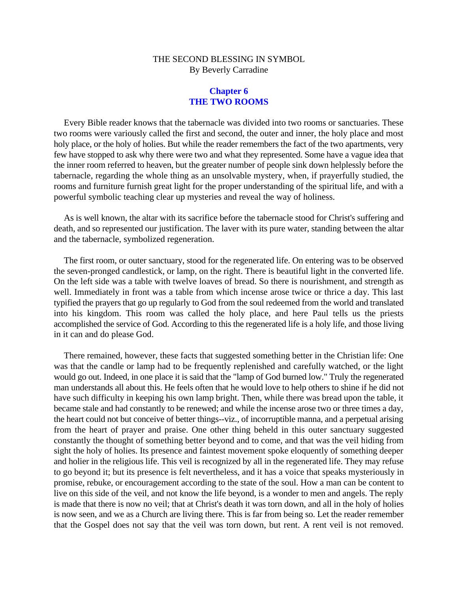#### **Chapter 6 THE TWO ROOMS**

<span id="page-18-0"></span>Every Bible reader knows that the tabernacle was divided into two rooms or sanctuaries. These two rooms were variously called the first and second, the outer and inner, the holy place and most holy place, or the holy of holies. But while the reader remembers the fact of the two apartments, very few have stopped to ask why there were two and what they represented. Some have a vague idea that the inner room referred to heaven, but the greater number of people sink down helplessly before the tabernacle, regarding the whole thing as an unsolvable mystery, when, if prayerfully studied, the rooms and furniture furnish great light for the proper understanding of the spiritual life, and with a powerful symbolic teaching clear up mysteries and reveal the way of holiness.

As is well known, the altar with its sacrifice before the tabernacle stood for Christ's suffering and death, and so represented our justification. The laver with its pure water, standing between the altar and the tabernacle, symbolized regeneration.

The first room, or outer sanctuary, stood for the regenerated life. On entering was to be observed the seven-pronged candlestick, or lamp, on the right. There is beautiful light in the converted life. On the left side was a table with twelve loaves of bread. So there is nourishment, and strength as well. Immediately in front was a table from which incense arose twice or thrice a day. This last typified the prayers that go up regularly to God from the soul redeemed from the world and translated into his kingdom. This room was called the holy place, and here Paul tells us the priests accomplished the service of God. According to this the regenerated life is a holy life, and those living in it can and do please God.

There remained, however, these facts that suggested something better in the Christian life: One was that the candle or lamp had to be frequently replenished and carefully watched, or the light would go out. Indeed, in one place it is said that the "lamp of God burned low." Truly the regenerated man understands all about this. He feels often that he would love to help others to shine if he did not have such difficulty in keeping his own lamp bright. Then, while there was bread upon the table, it became stale and had constantly to be renewed; and while the incense arose two or three times a day, the heart could not but conceive of better things--viz., of incorruptible manna, and a perpetual arising from the heart of prayer and praise. One other thing beheld in this outer sanctuary suggested constantly the thought of something better beyond and to come, and that was the veil hiding from sight the holy of holies. Its presence and faintest movement spoke eloquently of something deeper and holier in the religious life. This veil is recognized by all in the regenerated life. They may refuse to go beyond it; but its presence is felt nevertheless, and it has a voice that speaks mysteriously in promise, rebuke, or encouragement according to the state of the soul. How a man can be content to live on this side of the veil, and not know the life beyond, is a wonder to men and angels. The reply is made that there is now no veil; that at Christ's death it was torn down, and all in the holy of holies is now seen, and we as a Church are living there. This is far from being so. Let the reader remember that the Gospel does not say that the veil was torn down, but rent. A rent veil is not removed.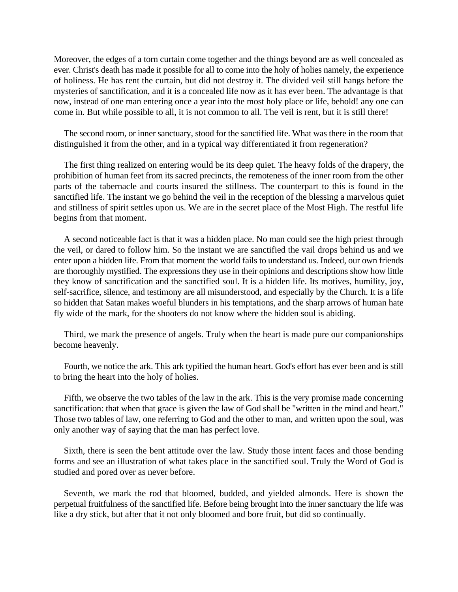Moreover, the edges of a torn curtain come together and the things beyond are as well concealed as ever. Christ's death has made it possible for all to come into the holy of holies namely, the experience of holiness. He has rent the curtain, but did not destroy it. The divided veil still hangs before the mysteries of sanctification, and it is a concealed life now as it has ever been. The advantage is that now, instead of one man entering once a year into the most holy place or life, behold! any one can come in. But while possible to all, it is not common to all. The veil is rent, but it is still there!

The second room, or inner sanctuary, stood for the sanctified life. What was there in the room that distinguished it from the other, and in a typical way differentiated it from regeneration?

The first thing realized on entering would be its deep quiet. The heavy folds of the drapery, the prohibition of human feet from its sacred precincts, the remoteness of the inner room from the other parts of the tabernacle and courts insured the stillness. The counterpart to this is found in the sanctified life. The instant we go behind the veil in the reception of the blessing a marvelous quiet and stillness of spirit settles upon us. We are in the secret place of the Most High. The restful life begins from that moment.

A second noticeable fact is that it was a hidden place. No man could see the high priest through the veil, or dared to follow him. So the instant we are sanctified the vail drops behind us and we enter upon a hidden life. From that moment the world fails to understand us. Indeed, our own friends are thoroughly mystified. The expressions they use in their opinions and descriptions show how little they know of sanctification and the sanctified soul. It is a hidden life. Its motives, humility, joy, self-sacrifice, silence, and testimony are all misunderstood, and especially by the Church. It is a life so hidden that Satan makes woeful blunders in his temptations, and the sharp arrows of human hate fly wide of the mark, for the shooters do not know where the hidden soul is abiding.

Third, we mark the presence of angels. Truly when the heart is made pure our companionships become heavenly.

Fourth, we notice the ark. This ark typified the human heart. God's effort has ever been and is still to bring the heart into the holy of holies.

Fifth, we observe the two tables of the law in the ark. This is the very promise made concerning sanctification: that when that grace is given the law of God shall be "written in the mind and heart." Those two tables of law, one referring to God and the other to man, and written upon the soul, was only another way of saying that the man has perfect love.

Sixth, there is seen the bent attitude over the law. Study those intent faces and those bending forms and see an illustration of what takes place in the sanctified soul. Truly the Word of God is studied and pored over as never before.

Seventh, we mark the rod that bloomed, budded, and yielded almonds. Here is shown the perpetual fruitfulness of the sanctified life. Before being brought into the inner sanctuary the life was like a dry stick, but after that it not only bloomed and bore fruit, but did so continually.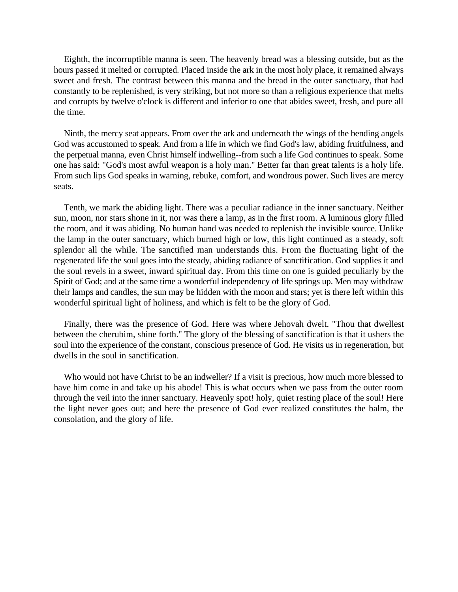Eighth, the incorruptible manna is seen. The heavenly bread was a blessing outside, but as the hours passed it melted or corrupted. Placed inside the ark in the most holy place, it remained always sweet and fresh. The contrast between this manna and the bread in the outer sanctuary, that had constantly to be replenished, is very striking, but not more so than a religious experience that melts and corrupts by twelve o'clock is different and inferior to one that abides sweet, fresh, and pure all the time.

Ninth, the mercy seat appears. From over the ark and underneath the wings of the bending angels God was accustomed to speak. And from a life in which we find God's law, abiding fruitfulness, and the perpetual manna, even Christ himself indwelling--from such a life God continues to speak. Some one has said: "God's most awful weapon is a holy man." Better far than great talents is a holy life. From such lips God speaks in warning, rebuke, comfort, and wondrous power. Such lives are mercy seats.

Tenth, we mark the abiding light. There was a peculiar radiance in the inner sanctuary. Neither sun, moon, nor stars shone in it, nor was there a lamp, as in the first room. A luminous glory filled the room, and it was abiding. No human hand was needed to replenish the invisible source. Unlike the lamp in the outer sanctuary, which burned high or low, this light continued as a steady, soft splendor all the while. The sanctified man understands this. From the fluctuating light of the regenerated life the soul goes into the steady, abiding radiance of sanctification. God supplies it and the soul revels in a sweet, inward spiritual day. From this time on one is guided peculiarly by the Spirit of God; and at the same time a wonderful independency of life springs up. Men may withdraw their lamps and candles, the sun may be hidden with the moon and stars; yet is there left within this wonderful spiritual light of holiness, and which is felt to be the glory of God.

Finally, there was the presence of God. Here was where Jehovah dwelt. "Thou that dwellest between the cherubim, shine forth." The glory of the blessing of sanctification is that it ushers the soul into the experience of the constant, conscious presence of God. He visits us in regeneration, but dwells in the soul in sanctification.

Who would not have Christ to be an indweller? If a visit is precious, how much more blessed to have him come in and take up his abode! This is what occurs when we pass from the outer room through the veil into the inner sanctuary. Heavenly spot! holy, quiet resting place of the soul! Here the light never goes out; and here the presence of God ever realized constitutes the balm, the consolation, and the glory of life.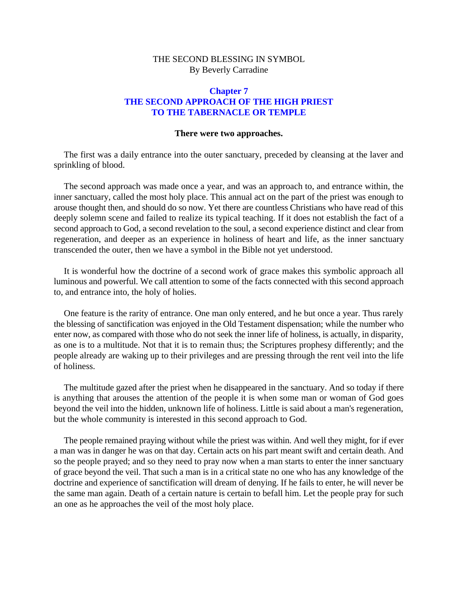#### <span id="page-21-0"></span>**Chapter 7 THE SECOND APPROACH OF THE HIGH PRIEST TO THE TABERNACLE OR TEMPLE**

#### **There were two approaches.**

The first was a daily entrance into the outer sanctuary, preceded by cleansing at the laver and sprinkling of blood.

The second approach was made once a year, and was an approach to, and entrance within, the inner sanctuary, called the most holy place. This annual act on the part of the priest was enough to arouse thought then, and should do so now. Yet there are countless Christians who have read of this deeply solemn scene and failed to realize its typical teaching. If it does not establish the fact of a second approach to God, a second revelation to the soul, a second experience distinct and clear from regeneration, and deeper as an experience in holiness of heart and life, as the inner sanctuary transcended the outer, then we have a symbol in the Bible not yet understood.

It is wonderful how the doctrine of a second work of grace makes this symbolic approach all luminous and powerful. We call attention to some of the facts connected with this second approach to, and entrance into, the holy of holies.

One feature is the rarity of entrance. One man only entered, and he but once a year. Thus rarely the blessing of sanctification was enjoyed in the Old Testament dispensation; while the number who enter now, as compared with those who do not seek the inner life of holiness, is actually, in disparity, as one is to a multitude. Not that it is to remain thus; the Scriptures prophesy differently; and the people already are waking up to their privileges and are pressing through the rent veil into the life of holiness.

The multitude gazed after the priest when he disappeared in the sanctuary. And so today if there is anything that arouses the attention of the people it is when some man or woman of God goes beyond the veil into the hidden, unknown life of holiness. Little is said about a man's regeneration, but the whole community is interested in this second approach to God.

The people remained praying without while the priest was within. And well they might, for if ever a man was in danger he was on that day. Certain acts on his part meant swift and certain death. And so the people prayed; and so they need to pray now when a man starts to enter the inner sanctuary of grace beyond the veil. That such a man is in a critical state no one who has any knowledge of the doctrine and experience of sanctification will dream of denying. If he fails to enter, he will never be the same man again. Death of a certain nature is certain to befall him. Let the people pray for such an one as he approaches the veil of the most holy place.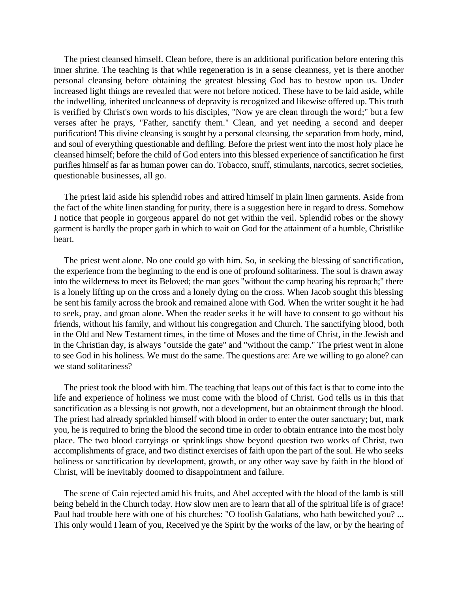The priest cleansed himself. Clean before, there is an additional purification before entering this inner shrine. The teaching is that while regeneration is in a sense cleanness, yet is there another personal cleansing before obtaining the greatest blessing God has to bestow upon us. Under increased light things are revealed that were not before noticed. These have to be laid aside, while the indwelling, inherited uncleanness of depravity is recognized and likewise offered up. This truth is verified by Christ's own words to his disciples, "Now ye are clean through the word;" but a few verses after he prays, "Father, sanctify them." Clean, and yet needing a second and deeper purification! This divine cleansing is sought by a personal cleansing, the separation from body, mind, and soul of everything questionable and defiling. Before the priest went into the most holy place he cleansed himself; before the child of God enters into this blessed experience of sanctification he first purifies himself as far as human power can do. Tobacco, snuff, stimulants, narcotics, secret societies, questionable businesses, all go.

The priest laid aside his splendid robes and attired himself in plain linen garments. Aside from the fact of the white linen standing for purity, there is a suggestion here in regard to dress. Somehow I notice that people in gorgeous apparel do not get within the veil. Splendid robes or the showy garment is hardly the proper garb in which to wait on God for the attainment of a humble, Christlike heart.

The priest went alone. No one could go with him. So, in seeking the blessing of sanctification, the experience from the beginning to the end is one of profound solitariness. The soul is drawn away into the wilderness to meet its Beloved; the man goes "without the camp bearing his reproach;" there is a lonely lifting up on the cross and a lonely dying on the cross. When Jacob sought this blessing he sent his family across the brook and remained alone with God. When the writer sought it he had to seek, pray, and groan alone. When the reader seeks it he will have to consent to go without his friends, without his family, and without his congregation and Church. The sanctifying blood, both in the Old and New Testament times, in the time of Moses and the time of Christ, in the Jewish and in the Christian day, is always "outside the gate" and "without the camp." The priest went in alone to see God in his holiness. We must do the same. The questions are: Are we willing to go alone? can we stand solitariness?

The priest took the blood with him. The teaching that leaps out of this fact is that to come into the life and experience of holiness we must come with the blood of Christ. God tells us in this that sanctification as a blessing is not growth, not a development, but an obtainment through the blood. The priest had already sprinkled himself with blood in order to enter the outer sanctuary; but, mark you, he is required to bring the blood the second time in order to obtain entrance into the most holy place. The two blood carryings or sprinklings show beyond question two works of Christ, two accomplishments of grace, and two distinct exercises of faith upon the part of the soul. He who seeks holiness or sanctification by development, growth, or any other way save by faith in the blood of Christ, will be inevitably doomed to disappointment and failure.

The scene of Cain rejected amid his fruits, and Abel accepted with the blood of the lamb is still being beheld in the Church today. How slow men are to learn that all of the spiritual life is of grace! Paul had trouble here with one of his churches: "O foolish Galatians, who hath bewitched you? ... This only would I learn of you, Received ye the Spirit by the works of the law, or by the hearing of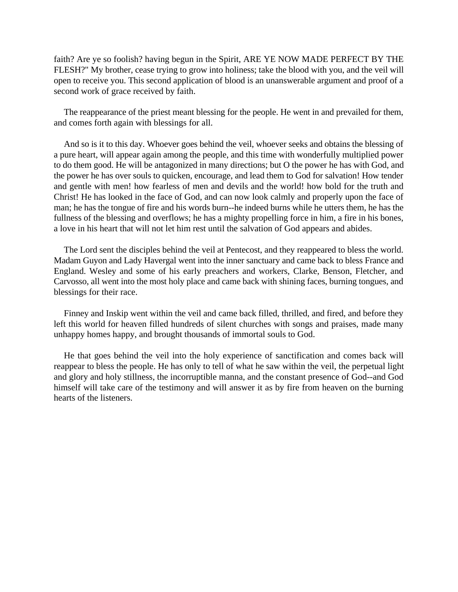faith? Are ye so foolish? having begun in the Spirit, ARE YE NOW MADE PERFECT BY THE FLESH?" My brother, cease trying to grow into holiness; take the blood with you, and the veil will open to receive you. This second application of blood is an unanswerable argument and proof of a second work of grace received by faith.

The reappearance of the priest meant blessing for the people. He went in and prevailed for them, and comes forth again with blessings for all.

And so is it to this day. Whoever goes behind the veil, whoever seeks and obtains the blessing of a pure heart, will appear again among the people, and this time with wonderfully multiplied power to do them good. He will be antagonized in many directions; but O the power he has with God, and the power he has over souls to quicken, encourage, and lead them to God for salvation! How tender and gentle with men! how fearless of men and devils and the world! how bold for the truth and Christ! He has looked in the face of God, and can now look calmly and properly upon the face of man; he has the tongue of fire and his words burn--he indeed burns while he utters them, he has the fullness of the blessing and overflows; he has a mighty propelling force in him, a fire in his bones, a love in his heart that will not let him rest until the salvation of God appears and abides.

The Lord sent the disciples behind the veil at Pentecost, and they reappeared to bless the world. Madam Guyon and Lady Havergal went into the inner sanctuary and came back to bless France and England. Wesley and some of his early preachers and workers, Clarke, Benson, Fletcher, and Carvosso, all went into the most holy place and came back with shining faces, burning tongues, and blessings for their race.

Finney and Inskip went within the veil and came back filled, thrilled, and fired, and before they left this world for heaven filled hundreds of silent churches with songs and praises, made many unhappy homes happy, and brought thousands of immortal souls to God.

He that goes behind the veil into the holy experience of sanctification and comes back will reappear to bless the people. He has only to tell of what he saw within the veil, the perpetual light and glory and holy stillness, the incorruptible manna, and the constant presence of God--and God himself will take care of the testimony and will answer it as by fire from heaven on the burning hearts of the listeners.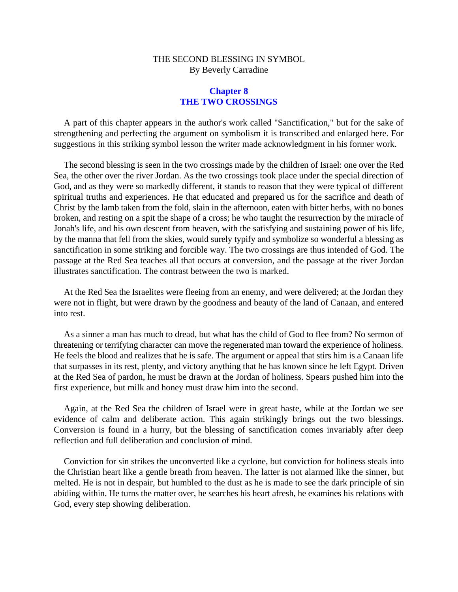#### **Chapter 8 THE TWO CROSSINGS**

<span id="page-24-0"></span>A part of this chapter appears in the author's work called "Sanctification," but for the sake of strengthening and perfecting the argument on symbolism it is transcribed and enlarged here. For suggestions in this striking symbol lesson the writer made acknowledgment in his former work.

The second blessing is seen in the two crossings made by the children of Israel: one over the Red Sea, the other over the river Jordan. As the two crossings took place under the special direction of God, and as they were so markedly different, it stands to reason that they were typical of different spiritual truths and experiences. He that educated and prepared us for the sacrifice and death of Christ by the lamb taken from the fold, slain in the afternoon, eaten with bitter herbs, with no bones broken, and resting on a spit the shape of a cross; he who taught the resurrection by the miracle of Jonah's life, and his own descent from heaven, with the satisfying and sustaining power of his life, by the manna that fell from the skies, would surely typify and symbolize so wonderful a blessing as sanctification in some striking and forcible way. The two crossings are thus intended of God. The passage at the Red Sea teaches all that occurs at conversion, and the passage at the river Jordan illustrates sanctification. The contrast between the two is marked.

At the Red Sea the Israelites were fleeing from an enemy, and were delivered; at the Jordan they were not in flight, but were drawn by the goodness and beauty of the land of Canaan, and entered into rest.

As a sinner a man has much to dread, but what has the child of God to flee from? No sermon of threatening or terrifying character can move the regenerated man toward the experience of holiness. He feels the blood and realizes that he is safe. The argument or appeal that stirs him is a Canaan life that surpasses in its rest, plenty, and victory anything that he has known since he left Egypt. Driven at the Red Sea of pardon, he must be drawn at the Jordan of holiness. Spears pushed him into the first experience, but milk and honey must draw him into the second.

Again, at the Red Sea the children of Israel were in great haste, while at the Jordan we see evidence of calm and deliberate action. This again strikingly brings out the two blessings. Conversion is found in a hurry, but the blessing of sanctification comes invariably after deep reflection and full deliberation and conclusion of mind.

Conviction for sin strikes the unconverted like a cyclone, but conviction for holiness steals into the Christian heart like a gentle breath from heaven. The latter is not alarmed like the sinner, but melted. He is not in despair, but humbled to the dust as he is made to see the dark principle of sin abiding within. He turns the matter over, he searches his heart afresh, he examines his relations with God, every step showing deliberation.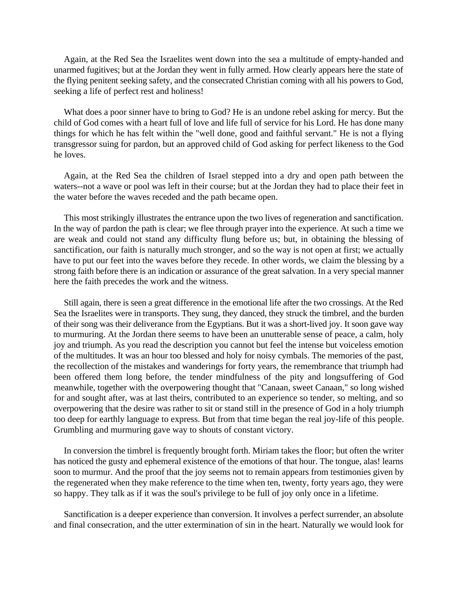Again, at the Red Sea the Israelites went down into the sea a multitude of empty-handed and unarmed fugitives; but at the Jordan they went in fully armed. How clearly appears here the state of the flying penitent seeking safety, and the consecrated Christian coming with all his powers to God, seeking a life of perfect rest and holiness!

What does a poor sinner have to bring to God? He is an undone rebel asking for mercy. But the child of God comes with a heart full of love and life full of service for his Lord. He has done many things for which he has felt within the "well done, good and faithful servant." He is not a flying transgressor suing for pardon, but an approved child of God asking for perfect likeness to the God he loves.

Again, at the Red Sea the children of Israel stepped into a dry and open path between the waters--not a wave or pool was left in their course; but at the Jordan they had to place their feet in the water before the waves receded and the path became open.

This most strikingly illustrates the entrance upon the two lives of regeneration and sanctification. In the way of pardon the path is clear; we flee through prayer into the experience. At such a time we are weak and could not stand any difficulty flung before us; but, in obtaining the blessing of sanctification, our faith is naturally much stronger, and so the way is not open at first; we actually have to put our feet into the waves before they recede. In other words, we claim the blessing by a strong faith before there is an indication or assurance of the great salvation. In a very special manner here the faith precedes the work and the witness.

Still again, there is seen a great difference in the emotional life after the two crossings. At the Red Sea the Israelites were in transports. They sung, they danced, they struck the timbrel, and the burden of their song was their deliverance from the Egyptians. But it was a short-lived joy. It soon gave way to murmuring. At the Jordan there seems to have been an unutterable sense of peace, a calm, holy joy and triumph. As you read the description you cannot but feel the intense but voiceless emotion of the multitudes. It was an hour too blessed and holy for noisy cymbals. The memories of the past, the recollection of the mistakes and wanderings for forty years, the remembrance that triumph had been offered them long before, the tender mindfulness of the pity and longsuffering of God meanwhile, together with the overpowering thought that "Canaan, sweet Canaan," so long wished for and sought after, was at last theirs, contributed to an experience so tender, so melting, and so overpowering that the desire was rather to sit or stand still in the presence of God in a holy triumph too deep for earthly language to express. But from that time began the real joy-life of this people. Grumbling and murmuring gave way to shouts of constant victory.

In conversion the timbrel is frequently brought forth. Miriam takes the floor; but often the writer has noticed the gusty and ephemeral existence of the emotions of that hour. The tongue, alas! learns soon to murmur. And the proof that the joy seems not to remain appears from testimonies given by the regenerated when they make reference to the time when ten, twenty, forty years ago, they were so happy. They talk as if it was the soul's privilege to be full of joy only once in a lifetime.

Sanctification is a deeper experience than conversion. It involves a perfect surrender, an absolute and final consecration, and the utter extermination of sin in the heart. Naturally we would look for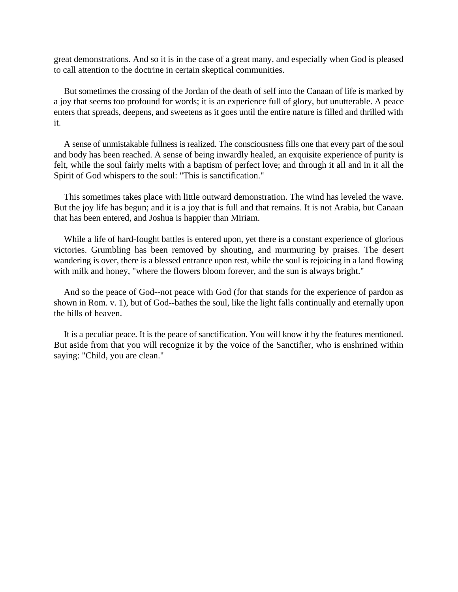great demonstrations. And so it is in the case of a great many, and especially when God is pleased to call attention to the doctrine in certain skeptical communities.

But sometimes the crossing of the Jordan of the death of self into the Canaan of life is marked by a joy that seems too profound for words; it is an experience full of glory, but unutterable. A peace enters that spreads, deepens, and sweetens as it goes until the entire nature is filled and thrilled with it.

A sense of unmistakable fullness is realized. The consciousness fills one that every part of the soul and body has been reached. A sense of being inwardly healed, an exquisite experience of purity is felt, while the soul fairly melts with a baptism of perfect love; and through it all and in it all the Spirit of God whispers to the soul: "This is sanctification."

This sometimes takes place with little outward demonstration. The wind has leveled the wave. But the joy life has begun; and it is a joy that is full and that remains. It is not Arabia, but Canaan that has been entered, and Joshua is happier than Miriam.

While a life of hard-fought battles is entered upon, yet there is a constant experience of glorious victories. Grumbling has been removed by shouting, and murmuring by praises. The desert wandering is over, there is a blessed entrance upon rest, while the soul is rejoicing in a land flowing with milk and honey, "where the flowers bloom forever, and the sun is always bright."

And so the peace of God--not peace with God (for that stands for the experience of pardon as shown in Rom. v. 1), but of God--bathes the soul, like the light falls continually and eternally upon the hills of heaven.

It is a peculiar peace. It is the peace of sanctification. You will know it by the features mentioned. But aside from that you will recognize it by the voice of the Sanctifier, who is enshrined within saying: "Child, you are clean."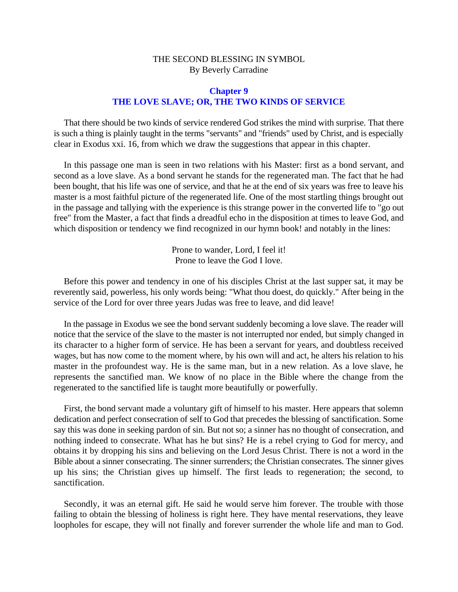#### **Chapter 9 THE LOVE SLAVE; OR, THE TWO KINDS OF SERVICE**

<span id="page-27-0"></span>That there should be two kinds of service rendered God strikes the mind with surprise. That there is such a thing is plainly taught in the terms "servants" and "friends" used by Christ, and is especially clear in Exodus xxi. 16, from which we draw the suggestions that appear in this chapter.

In this passage one man is seen in two relations with his Master: first as a bond servant, and second as a love slave. As a bond servant he stands for the regenerated man. The fact that he had been bought, that his life was one of service, and that he at the end of six years was free to leave his master is a most faithful picture of the regenerated life. One of the most startling things brought out in the passage and tallying with the experience is this strange power in the converted life to "go out free" from the Master, a fact that finds a dreadful echo in the disposition at times to leave God, and which disposition or tendency we find recognized in our hymn book! and notably in the lines:

> Prone to wander, Lord, I feel it! Prone to leave the God I love.

Before this power and tendency in one of his disciples Christ at the last supper sat, it may be reverently said, powerless, his only words being: "What thou doest, do quickly." After being in the service of the Lord for over three years Judas was free to leave, and did leave!

In the passage in Exodus we see the bond servant suddenly becoming a love slave. The reader will notice that the service of the slave to the master is not interrupted nor ended, but simply changed in its character to a higher form of service. He has been a servant for years, and doubtless received wages, but has now come to the moment where, by his own will and act, he alters his relation to his master in the profoundest way. He is the same man, but in a new relation. As a love slave, he represents the sanctified man. We know of no place in the Bible where the change from the regenerated to the sanctified life is taught more beautifully or powerfully.

First, the bond servant made a voluntary gift of himself to his master. Here appears that solemn dedication and perfect consecration of self to God that precedes the blessing of sanctification. Some say this was done in seeking pardon of sin. But not so; a sinner has no thought of consecration, and nothing indeed to consecrate. What has he but sins? He is a rebel crying to God for mercy, and obtains it by dropping his sins and believing on the Lord Jesus Christ. There is not a word in the Bible about a sinner consecrating. The sinner surrenders; the Christian consecrates. The sinner gives up his sins; the Christian gives up himself. The first leads to regeneration; the second, to sanctification.

Secondly, it was an eternal gift. He said he would serve him forever. The trouble with those failing to obtain the blessing of holiness is right here. They have mental reservations, they leave loopholes for escape, they will not finally and forever surrender the whole life and man to God.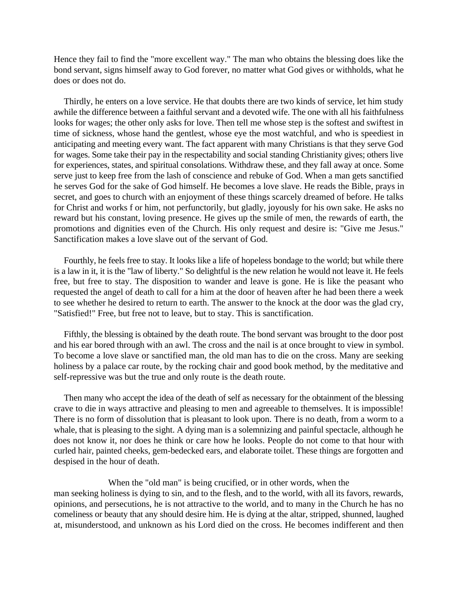Hence they fail to find the "more excellent way." The man who obtains the blessing does like the bond servant, signs himself away to God forever, no matter what God gives or withholds, what he does or does not do.

Thirdly, he enters on a love service. He that doubts there are two kinds of service, let him study awhile the difference between a faithful servant and a devoted wife. The one with all his faithfulness looks for wages; the other only asks for love. Then tell me whose step is the softest and swiftest in time of sickness, whose hand the gentlest, whose eye the most watchful, and who is speediest in anticipating and meeting every want. The fact apparent with many Christians is that they serve God for wages. Some take their pay in the respectability and social standing Christianity gives; others live for experiences, states, and spiritual consolations. Withdraw these, and they fall away at once. Some serve just to keep free from the lash of conscience and rebuke of God. When a man gets sanctified he serves God for the sake of God himself. He becomes a love slave. He reads the Bible, prays in secret, and goes to church with an enjoyment of these things scarcely dreamed of before. He talks for Christ and works f or him, not perfunctorily, but gladly, joyously for his own sake. He asks no reward but his constant, loving presence. He gives up the smile of men, the rewards of earth, the promotions and dignities even of the Church. His only request and desire is: "Give me Jesus." Sanctification makes a love slave out of the servant of God.

Fourthly, he feels free to stay. It looks like a life of hopeless bondage to the world; but while there is a law in it, it is the "law of liberty." So delightful is the new relation he would not leave it. He feels free, but free to stay. The disposition to wander and leave is gone. He is like the peasant who requested the angel of death to call for a him at the door of heaven after he had been there a week to see whether he desired to return to earth. The answer to the knock at the door was the glad cry, "Satisfied!" Free, but free not to leave, but to stay. This is sanctification.

Fifthly, the blessing is obtained by the death route. The bond servant was brought to the door post and his ear bored through with an awl. The cross and the nail is at once brought to view in symbol. To become a love slave or sanctified man, the old man has to die on the cross. Many are seeking holiness by a palace car route, by the rocking chair and good book method, by the meditative and self-repressive was but the true and only route is the death route.

Then many who accept the idea of the death of self as necessary for the obtainment of the blessing crave to die in ways attractive and pleasing to men and agreeable to themselves. It is impossible! There is no form of dissolution that is pleasant to look upon. There is no death, from a worm to a whale, that is pleasing to the sight. A dying man is a solemnizing and painful spectacle, although he does not know it, nor does he think or care how he looks. People do not come to that hour with curled hair, painted cheeks, gem-bedecked ears, and elaborate toilet. These things are forgotten and despised in the hour of death.

When the "old man" is being crucified, or in other words, when the man seeking holiness is dying to sin, and to the flesh, and to the world, with all its favors, rewards, opinions, and persecutions, he is not attractive to the world, and to many in the Church he has no comeliness or beauty that any should desire him. He is dying at the altar, stripped, shunned, laughed at, misunderstood, and unknown as his Lord died on the cross. He becomes indifferent and then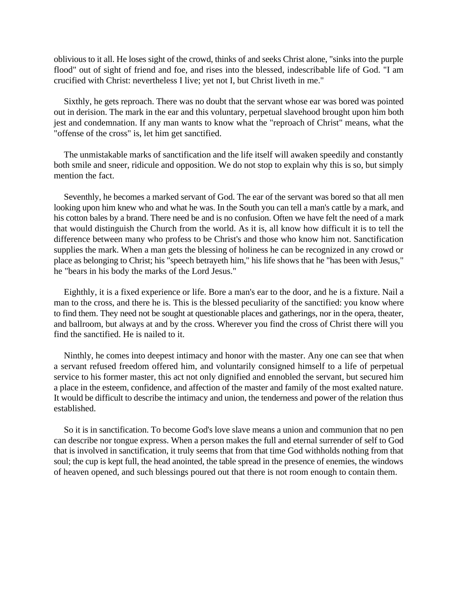oblivious to it all. He loses sight of the crowd, thinks of and seeks Christ alone, "sinks into the purple flood" out of sight of friend and foe, and rises into the blessed, indescribable life of God. "I am crucified with Christ: nevertheless I live; yet not I, but Christ liveth in me."

Sixthly, he gets reproach. There was no doubt that the servant whose ear was bored was pointed out in derision. The mark in the ear and this voluntary, perpetual slavehood brought upon him both jest and condemnation. If any man wants to know what the "reproach of Christ" means, what the "offense of the cross" is, let him get sanctified.

The unmistakable marks of sanctification and the life itself will awaken speedily and constantly both smile and sneer, ridicule and opposition. We do not stop to explain why this is so, but simply mention the fact.

Seventhly, he becomes a marked servant of God. The ear of the servant was bored so that all men looking upon him knew who and what he was. In the South you can tell a man's cattle by a mark, and his cotton bales by a brand. There need be and is no confusion. Often we have felt the need of a mark that would distinguish the Church from the world. As it is, all know how difficult it is to tell the difference between many who profess to be Christ's and those who know him not. Sanctification supplies the mark. When a man gets the blessing of holiness he can be recognized in any crowd or place as belonging to Christ; his "speech betrayeth him," his life shows that he "has been with Jesus," he "bears in his body the marks of the Lord Jesus."

Eighthly, it is a fixed experience or life. Bore a man's ear to the door, and he is a fixture. Nail a man to the cross, and there he is. This is the blessed peculiarity of the sanctified: you know where to find them. They need not be sought at questionable places and gatherings, nor in the opera, theater, and ballroom, but always at and by the cross. Wherever you find the cross of Christ there will you find the sanctified. He is nailed to it.

Ninthly, he comes into deepest intimacy and honor with the master. Any one can see that when a servant refused freedom offered him, and voluntarily consigned himself to a life of perpetual service to his former master, this act not only dignified and ennobled the servant, but secured him a place in the esteem, confidence, and affection of the master and family of the most exalted nature. It would be difficult to describe the intimacy and union, the tenderness and power of the relation thus established.

So it is in sanctification. To become God's love slave means a union and communion that no pen can describe nor tongue express. When a person makes the full and eternal surrender of self to God that is involved in sanctification, it truly seems that from that time God withholds nothing from that soul; the cup is kept full, the head anointed, the table spread in the presence of enemies, the windows of heaven opened, and such blessings poured out that there is not room enough to contain them.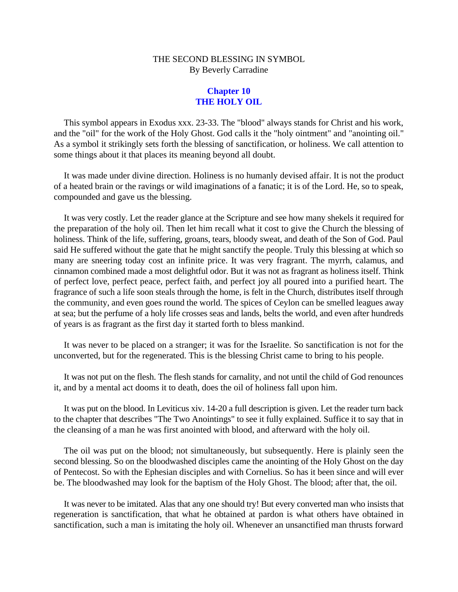#### **Chapter 10 THE HOLY OIL**

<span id="page-30-0"></span>This symbol appears in Exodus xxx. 23-33. The "blood" always stands for Christ and his work, and the "oil" for the work of the Holy Ghost. God calls it the "holy ointment" and "anointing oil." As a symbol it strikingly sets forth the blessing of sanctification, or holiness. We call attention to some things about it that places its meaning beyond all doubt.

It was made under divine direction. Holiness is no humanly devised affair. It is not the product of a heated brain or the ravings or wild imaginations of a fanatic; it is of the Lord. He, so to speak, compounded and gave us the blessing.

It was very costly. Let the reader glance at the Scripture and see how many shekels it required for the preparation of the holy oil. Then let him recall what it cost to give the Church the blessing of holiness. Think of the life, suffering, groans, tears, bloody sweat, and death of the Son of God. Paul said He suffered without the gate that he might sanctify the people. Truly this blessing at which so many are sneering today cost an infinite price. It was very fragrant. The myrrh, calamus, and cinnamon combined made a most delightful odor. But it was not as fragrant as holiness itself. Think of perfect love, perfect peace, perfect faith, and perfect joy all poured into a purified heart. The fragrance of such a life soon steals through the home, is felt in the Church, distributes itself through the community, and even goes round the world. The spices of Ceylon can be smelled leagues away at sea; but the perfume of a holy life crosses seas and lands, belts the world, and even after hundreds of years is as fragrant as the first day it started forth to bless mankind.

It was never to be placed on a stranger; it was for the Israelite. So sanctification is not for the unconverted, but for the regenerated. This is the blessing Christ came to bring to his people.

It was not put on the flesh. The flesh stands for carnality, and not until the child of God renounces it, and by a mental act dooms it to death, does the oil of holiness fall upon him.

It was put on the blood. In Leviticus xiv. 14-20 a full description is given. Let the reader turn back to the chapter that describes "The Two Anointings" to see it fully explained. Suffice it to say that in the cleansing of a man he was first anointed with blood, and afterward with the holy oil.

The oil was put on the blood; not simultaneously, but subsequently. Here is plainly seen the second blessing. So on the bloodwashed disciples came the anointing of the Holy Ghost on the day of Pentecost. So with the Ephesian disciples and with Cornelius. So has it been since and will ever be. The bloodwashed may look for the baptism of the Holy Ghost. The blood; after that, the oil.

It was never to be imitated. Alas that any one should try! But every converted man who insists that regeneration is sanctification, that what he obtained at pardon is what others have obtained in sanctification, such a man is imitating the holy oil. Whenever an unsanctified man thrusts forward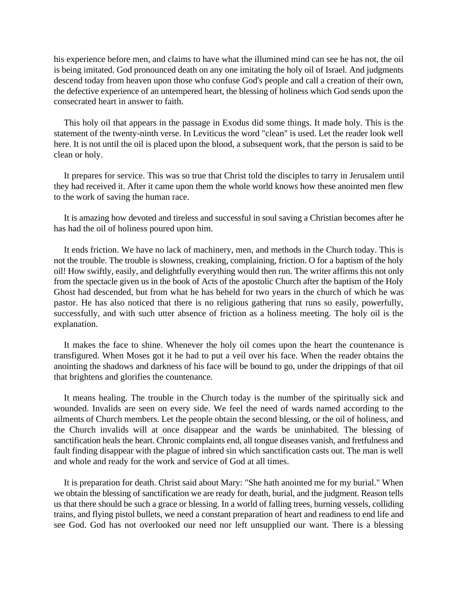his experience before men, and claims to have what the illumined mind can see he has not, the oil is being imitated. God pronounced death on any one imitating the holy oil of Israel. And judgments descend today from heaven upon those who confuse God's people and call a creation of their own, the defective experience of an untempered heart, the blessing of holiness which God sends upon the consecrated heart in answer to faith.

This holy oil that appears in the passage in Exodus did some things. It made holy. This is the statement of the twenty-ninth verse. In Leviticus the word "clean" is used. Let the reader look well here. It is not until the oil is placed upon the blood, a subsequent work, that the person is said to be clean or holy.

It prepares for service. This was so true that Christ told the disciples to tarry in Jerusalem until they had received it. After it came upon them the whole world knows how these anointed men flew to the work of saving the human race.

It is amazing how devoted and tireless and successful in soul saving a Christian becomes after he has had the oil of holiness poured upon him.

It ends friction. We have no lack of machinery, men, and methods in the Church today. This is not the trouble. The trouble is slowness, creaking, complaining, friction. O for a baptism of the holy oil! How swiftly, easily, and delightfully everything would then run. The writer affirms this not only from the spectacle given us in the book of Acts of the apostolic Church after the baptism of the Holy Ghost had descended, but from what he has beheld for two years in the church of which he was pastor. He has also noticed that there is no religious gathering that runs so easily, powerfully, successfully, and with such utter absence of friction as a holiness meeting. The holy oil is the explanation.

It makes the face to shine. Whenever the holy oil comes upon the heart the countenance is transfigured. When Moses got it he had to put a veil over his face. When the reader obtains the anointing the shadows and darkness of his face will be bound to go, under the drippings of that oil that brightens and glorifies the countenance.

It means healing. The trouble in the Church today is the number of the spiritually sick and wounded. Invalids are seen on every side. We feel the need of wards named according to the ailments of Church members. Let the people obtain the second blessing, or the oil of holiness, and the Church invalids will at once disappear and the wards be uninhabited. The blessing of sanctification heals the heart. Chronic complaints end, all tongue diseases vanish, and fretfulness and fault finding disappear with the plague of inbred sin which sanctification casts out. The man is well and whole and ready for the work and service of God at all times.

It is preparation for death. Christ said about Mary: "She hath anointed me for my burial." When we obtain the blessing of sanctification we are ready for death, burial, and the judgment. Reason tells us that there should be such a grace or blessing. In a world of falling trees, burning vessels, colliding trains, and flying pistol bullets, we need a constant preparation of heart and readiness to end life and see God. God has not overlooked our need nor left unsupplied our want. There is a blessing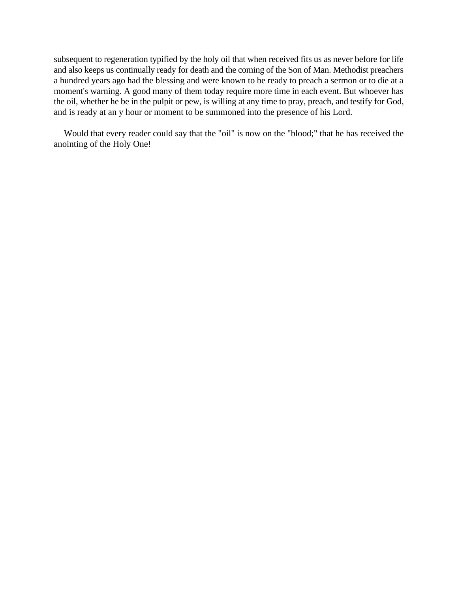subsequent to regeneration typified by the holy oil that when received fits us as never before for life and also keeps us continually ready for death and the coming of the Son of Man. Methodist preachers a hundred years ago had the blessing and were known to be ready to preach a sermon or to die at a moment's warning. A good many of them today require more time in each event. But whoever has the oil, whether he be in the pulpit or pew, is willing at any time to pray, preach, and testify for God, and is ready at an y hour or moment to be summoned into the presence of his Lord.

Would that every reader could say that the "oil" is now on the "blood;" that he has received the anointing of the Holy One!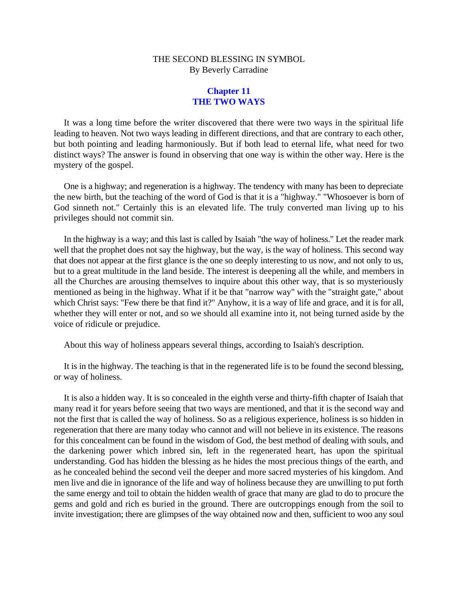#### **Chapter 11 THE TWO WAYS**

<span id="page-33-0"></span>It was a long time before the writer discovered that there were two ways in the spiritual life leading to heaven. Not two ways leading in different directions, and that are contrary to each other, but both pointing and leading harmoniously. But if both lead to eternal life, what need for two distinct ways? The answer is found in observing that one way is within the other way. Here is the mystery of the gospel.

One is a highway; and regeneration is a highway. The tendency with many has been to depreciate the new birth, but the teaching of the word of God is that it is a "highway." "Whosoever is born of God sinneth not." Certainly this is an elevated life. The truly converted man living up to his privileges should not commit sin.

In the highway is a way; and this last is called by Isaiah "the way of holiness." Let the reader mark well that the prophet does not say the highway, but the way, is the way of holiness. This second way that does not appear at the first glance is the one so deeply interesting to us now, and not only to us, but to a great multitude in the land beside. The interest is deepening all the while, and members in all the Churches are arousing themselves to inquire about this other way, that is so mysteriously mentioned as being in the highway. What if it be that "narrow way" with the "straight gate," about which Christ says: "Few there be that find it?" Anyhow, it is a way of life and grace, and it is for all, whether they will enter or not, and so we should all examine into it, not being turned aside by the voice of ridicule or prejudice.

About this way of holiness appears several things, according to Isaiah's description.

It is in the highway. The teaching is that in the regenerated life is to be found the second blessing, or way of holiness.

It is also a hidden way. It is so concealed in the eighth verse and thirty-fifth chapter of Isaiah that many read it for years before seeing that two ways are mentioned, and that it is the second way and not the first that is called the way of holiness. So as a religious experience, holiness is so hidden in regeneration that there are many today who cannot and will not believe in its existence. The reasons for this concealment can be found in the wisdom of God, the best method of dealing with souls, and the darkening power which inbred sin, left in the regenerated heart, has upon the spiritual understanding. God has hidden the blessing as he hides the most precious things of the earth, and as he concealed behind the second veil the deeper and more sacred mysteries of his kingdom. And men live and die in ignorance of the life and way of holiness because they are unwilling to put forth the same energy and toil to obtain the hidden wealth of grace that many are glad to do to procure the gems and gold and rich es buried in the ground. There are outcroppings enough from the soil to invite investigation; there are glimpses of the way obtained now and then, sufficient to woo any soul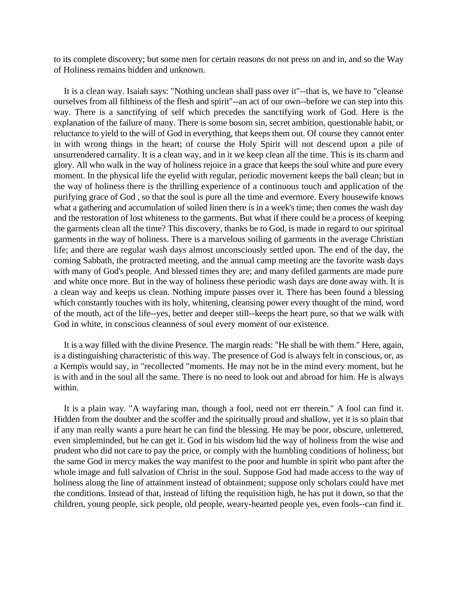to its complete discovery; but some men for certain reasons do not press on and in, and so the Way of Holiness remains hidden and unknown.

It is a clean way. Isaiah says: "Nothing unclean shall pass over it"--that is, we have to "cleanse ourselves from all filthiness of the flesh and spirit"--an act of our own--before we can step into this way. There is a sanctifying of self which precedes the sanctifying work of God. Here is the explanation of the failure of many. There is some bosom sin, secret ambition, questionable habit, or reluctance to yield to the will of God in everything, that keeps them out. Of course they cannot enter in with wrong things in the heart; of course the Holy Spirit will not descend upon a pile of unsurrendered carnality. It is a clean way, and in it we keep clean all the time. This is its charm and glory. All who walk in the way of holiness rejoice in a grace that keeps the soul white and pure every moment. In the physical life the eyelid with regular, periodic movement keeps the ball clean; but in the way of holiness there is the thrilling experience of a continuous touch and application of the purifying grace of God , so that the soul is pure all the time and evermore. Every housewife knows what a gathering and accumulation of soiled linen there is in a week's time; then comes the wash day and the restoration of lost whiteness to the garments. But what if there could be a process of keeping the garments clean all the time? This discovery, thanks be to God, is made in regard to our spiritual garments in the way of holiness. There is a marvelous soiling of garments in the average Christian life; and there are regular wash days almost unconsciously settled upon. The end of the day, the coming Sabbath, the protracted meeting, and the annual camp meeting are the favorite wash days with many of God's people. And blessed times they are; and many defiled garments are made pure and white once more. But in the way of holiness these periodic wash days are done away with. It is a clean way and keeps us clean. Nothing impure passes over it. There has been found a blessing which constantly touches with its holy, whitening, cleansing power every thought of the mind, word of the mouth, act of the life--yes, better and deeper still--keeps the heart pure, so that we walk with God in white, in conscious cleanness of soul every moment of our existence.

It is a way filled with the divine Presence. The margin reads: "He shall be with them." Here, again, is a distinguishing characteristic of this way. The presence of God is always felt in conscious, or, as a Kempis would say, in "recollected "moments. He may not be in the mind every moment, but he is with and in the soul all the same. There is no need to look out and abroad for him. He is always within.

It is a plain way. "A wayfaring man, though a fool, need not err therein." A fool can find it. Hidden from the doubter and the scoffer and the spiritually proud and shallow, yet it is so plain that if any man really wants a pure heart he can find the blessing. He may be poor, obscure, unlettered, even simpleminded, but he can get it. God in his wisdom hid the way of holiness from the wise and prudent who did not care to pay the price, or comply with the humbling conditions of holiness; but the same God in mercy makes the way manifest to the poor and humble in spirit who pant after the whole image and full salvation of Christ in the soul. Suppose God had made access to the way of holiness along the line of attainment instead of obtainment; suppose only scholars could have met the conditions. Instead of that, instead of lifting the requisition high, he has put it down, so that the children, young people, sick people, old people, weary-hearted people yes, even fools--can find it.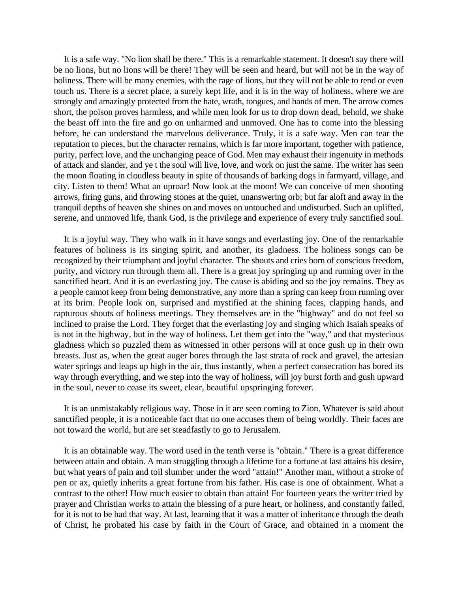It is a safe way. "No lion shall be there." This is a remarkable statement. It doesn't say there will be no lions, but no lions will be there! They will be seen and heard, but will not be in the way of holiness. There will be many enemies, with the rage of lions, but they will not be able to rend or even touch us. There is a secret place, a surely kept life, and it is in the way of holiness, where we are strongly and amazingly protected from the hate, wrath, tongues, and hands of men. The arrow comes short, the poison proves harmless, and while men look for us to drop down dead, behold, we shake the beast off into the fire and go on unharmed and unmoved. One has to come into the blessing before, he can understand the marvelous deliverance. Truly, it is a safe way. Men can tear the reputation to pieces, but the character remains, which is far more important, together with patience, purity, perfect love, and the unchanging peace of God. Men may exhaust their ingenuity in methods of attack and slander, and ye t the soul will live, love, and work on just the same. The writer has seen the moon floating in cloudless beauty in spite of thousands of barking dogs in farmyard, village, and city. Listen to them! What an uproar! Now look at the moon! We can conceive of men shooting arrows, firing guns, and throwing stones at the quiet, unanswering orb; but far aloft and away in the tranquil depths of heaven she shines on and moves on untouched and undisturbed. Such an uplifted, serene, and unmoved life, thank God, is the privilege and experience of every truly sanctified soul.

It is a joyful way. They who walk in it have songs and everlasting joy. One of the remarkable features of holiness is its singing spirit, and another, its gladness. The holiness songs can be recognized by their triumphant and joyful character. The shouts and cries born of conscious freedom, purity, and victory run through them all. There is a great joy springing up and running over in the sanctified heart. And it is an everlasting joy. The cause is abiding and so the joy remains. They as a people cannot keep from being demonstrative, any more than a spring can keep from running over at its brim. People look on, surprised and mystified at the shining faces, clapping hands, and rapturous shouts of holiness meetings. They themselves are in the "highway" and do not feel so inclined to praise the Lord. They forget that the everlasting joy and singing which Isaiah speaks of is not in the highway, but in the way of holiness. Let them get into the "way," and that mysterious gladness which so puzzled them as witnessed in other persons will at once gush up in their own breasts. Just as, when the great auger bores through the last strata of rock and gravel, the artesian water springs and leaps up high in the air, thus instantly, when a perfect consecration has bored its way through everything, and we step into the way of holiness, will joy burst forth and gush upward in the soul, never to cease its sweet, clear, beautiful upspringing forever.

It is an unmistakably religious way. Those in it are seen coming to Zion. Whatever is said about sanctified people, it is a noticeable fact that no one accuses them of being worldly. Their faces are not toward the world, but are set steadfastly to go to Jerusalem.

It is an obtainable way. The word used in the tenth verse is "obtain." There is a great difference between attain and obtain. A man struggling through a lifetime for a fortune at last attains his desire, but what years of pain and toil slumber under the word "attain!" Another man, without a stroke of pen or ax, quietly inherits a great fortune from his father. His case is one of obtainment. What a contrast to the other! How much easier to obtain than attain! For fourteen years the writer tried by prayer and Christian works to attain the blessing of a pure heart, or holiness, and constantly failed, for it is not to be had that way. At last, learning that it was a matter of inheritance through the death of Christ, he probated his case by faith in the Court of Grace, and obtained in a moment the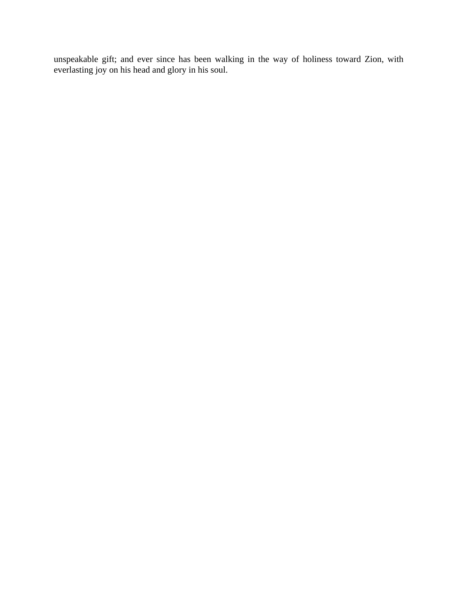unspeakable gift; and ever since has been walking in the way of holiness toward Zion, with everlasting joy on his head and glory in his soul.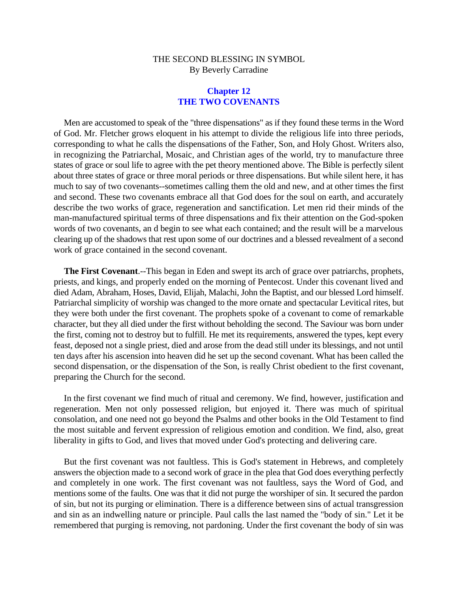# **Chapter 12 THE TWO COVENANTS**

Men are accustomed to speak of the "three dispensations" as if they found these terms in the Word of God. Mr. Fletcher grows eloquent in his attempt to divide the religious life into three periods, corresponding to what he calls the dispensations of the Father, Son, and Holy Ghost. Writers also, in recognizing the Patriarchal, Mosaic, and Christian ages of the world, try to manufacture three states of grace or soul life to agree with the pet theory mentioned above. The Bible is perfectly silent about three states of grace or three moral periods or three dispensations. But while silent here, it has much to say of two covenants--sometimes calling them the old and new, and at other times the first and second. These two covenants embrace all that God does for the soul on earth, and accurately describe the two works of grace, regeneration and sanctification. Let men rid their minds of the man-manufactured spiritual terms of three dispensations and fix their attention on the God-spoken words of two covenants, an d begin to see what each contained; and the result will be a marvelous clearing up of the shadows that rest upon some of our doctrines and a blessed revealment of a second work of grace contained in the second covenant.

**The First Covenant**.--This began in Eden and swept its arch of grace over patriarchs, prophets, priests, and kings, and properly ended on the morning of Pentecost. Under this covenant lived and died Adam, Abraham, Hoses, David, Elijah, Malachi, John the Baptist, and our blessed Lord himself. Patriarchal simplicity of worship was changed to the more ornate and spectacular Levitical rites, but they were both under the first covenant. The prophets spoke of a covenant to come of remarkable character, but they all died under the first without beholding the second. The Saviour was born under the first, coming not to destroy but to fulfill. He met its requirements, answered the types, kept every feast, deposed not a single priest, died and arose from the dead still under its blessings, and not until ten days after his ascension into heaven did he set up the second covenant. What has been called the second dispensation, or the dispensation of the Son, is really Christ obedient to the first covenant, preparing the Church for the second.

In the first covenant we find much of ritual and ceremony. We find, however, justification and regeneration. Men not only possessed religion, but enjoyed it. There was much of spiritual consolation, and one need not go beyond the Psalms and other books in the Old Testament to find the most suitable and fervent expression of religious emotion and condition. We find, also, great liberality in gifts to God, and lives that moved under God's protecting and delivering care.

But the first covenant was not faultless. This is God's statement in Hebrews, and completely answers the objection made to a second work of grace in the plea that God does everything perfectly and completely in one work. The first covenant was not faultless, says the Word of God, and mentions some of the faults. One was that it did not purge the worshiper of sin. It secured the pardon of sin, but not its purging or elimination. There is a difference between sins of actual transgression and sin as an indwelling nature or principle. Paul calls the last named the "body of sin." Let it be remembered that purging is removing, not pardoning. Under the first covenant the body of sin was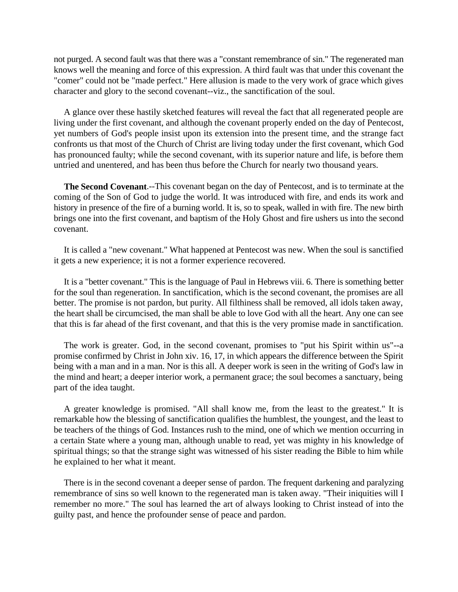not purged. A second fault was that there was a "constant remembrance of sin." The regenerated man knows well the meaning and force of this expression. A third fault was that under this covenant the "comer" could not be "made perfect." Here allusion is made to the very work of grace which gives character and glory to the second covenant--viz., the sanctification of the soul.

A glance over these hastily sketched features will reveal the fact that all regenerated people are living under the first covenant, and although the covenant properly ended on the day of Pentecost, yet numbers of God's people insist upon its extension into the present time, and the strange fact confronts us that most of the Church of Christ are living today under the first covenant, which God has pronounced faulty; while the second covenant, with its superior nature and life, is before them untried and unentered, and has been thus before the Church for nearly two thousand years.

**The Second Covenant**.--This covenant began on the day of Pentecost, and is to terminate at the coming of the Son of God to judge the world. It was introduced with fire, and ends its work and history in presence of the fire of a burning world. It is, so to speak, walled in with fire. The new birth brings one into the first covenant, and baptism of the Holy Ghost and fire ushers us into the second covenant.

It is called a "new covenant." What happened at Pentecost was new. When the soul is sanctified it gets a new experience; it is not a former experience recovered.

It is a "better covenant." This is the language of Paul in Hebrews viii. 6. There is something better for the soul than regeneration. In sanctification, which is the second covenant, the promises are all better. The promise is not pardon, but purity. All filthiness shall be removed, all idols taken away, the heart shall be circumcised, the man shall be able to love God with all the heart. Any one can see that this is far ahead of the first covenant, and that this is the very promise made in sanctification.

The work is greater. God, in the second covenant, promises to "put his Spirit within us"--a promise confirmed by Christ in John xiv. 16, 17, in which appears the difference between the Spirit being with a man and in a man. Nor is this all. A deeper work is seen in the writing of God's law in the mind and heart; a deeper interior work, a permanent grace; the soul becomes a sanctuary, being part of the idea taught.

A greater knowledge is promised. "All shall know me, from the least to the greatest." It is remarkable how the blessing of sanctification qualifies the humblest, the youngest, and the least to be teachers of the things of God. Instances rush to the mind, one of which we mention occurring in a certain State where a young man, although unable to read, yet was mighty in his knowledge of spiritual things; so that the strange sight was witnessed of his sister reading the Bible to him while he explained to her what it meant.

There is in the second covenant a deeper sense of pardon. The frequent darkening and paralyzing remembrance of sins so well known to the regenerated man is taken away. "Their iniquities will I remember no more." The soul has learned the art of always looking to Christ instead of into the guilty past, and hence the profounder sense of peace and pardon.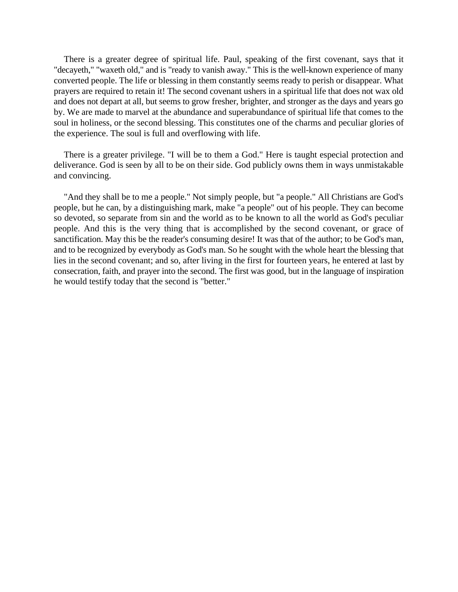There is a greater degree of spiritual life. Paul, speaking of the first covenant, says that it "decayeth," "waxeth old," and is "ready to vanish away." This is the well-known experience of many converted people. The life or blessing in them constantly seems ready to perish or disappear. What prayers are required to retain it! The second covenant ushers in a spiritual life that does not wax old and does not depart at all, but seems to grow fresher, brighter, and stronger as the days and years go by. We are made to marvel at the abundance and superabundance of spiritual life that comes to the soul in holiness, or the second blessing. This constitutes one of the charms and peculiar glories of the experience. The soul is full and overflowing with life.

There is a greater privilege. "I will be to them a God." Here is taught especial protection and deliverance. God is seen by all to be on their side. God publicly owns them in ways unmistakable and convincing.

"And they shall be to me a people." Not simply people, but "a people." All Christians are God's people, but he can, by a distinguishing mark, make "a people" out of his people. They can become so devoted, so separate from sin and the world as to be known to all the world as God's peculiar people. And this is the very thing that is accomplished by the second covenant, or grace of sanctification. May this be the reader's consuming desire! It was that of the author; to be God's man, and to be recognized by everybody as God's man. So he sought with the whole heart the blessing that lies in the second covenant; and so, after living in the first for fourteen years, he entered at last by consecration, faith, and prayer into the second. The first was good, but in the language of inspiration he would testify today that the second is "better."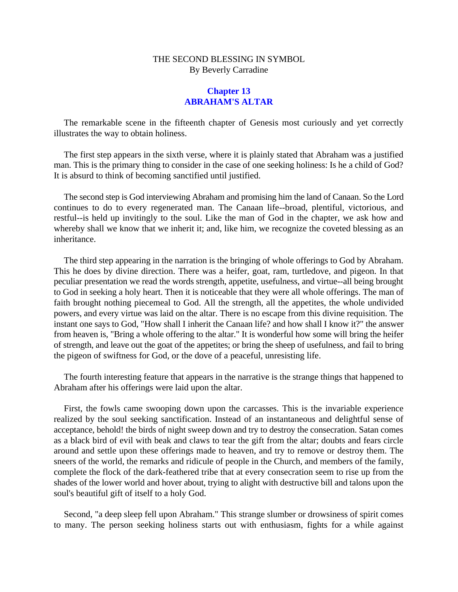# **Chapter 13 ABRAHAM'S ALTAR**

The remarkable scene in the fifteenth chapter of Genesis most curiously and yet correctly illustrates the way to obtain holiness.

The first step appears in the sixth verse, where it is plainly stated that Abraham was a justified man. This is the primary thing to consider in the case of one seeking holiness: Is he a child of God? It is absurd to think of becoming sanctified until justified.

The second step is God interviewing Abraham and promising him the land of Canaan. So the Lord continues to do to every regenerated man. The Canaan life--broad, plentiful, victorious, and restful--is held up invitingly to the soul. Like the man of God in the chapter, we ask how and whereby shall we know that we inherit it; and, like him, we recognize the coveted blessing as an inheritance.

The third step appearing in the narration is the bringing of whole offerings to God by Abraham. This he does by divine direction. There was a heifer, goat, ram, turtledove, and pigeon. In that peculiar presentation we read the words strength, appetite, usefulness, and virtue--all being brought to God in seeking a holy heart. Then it is noticeable that they were all whole offerings. The man of faith brought nothing piecemeal to God. All the strength, all the appetites, the whole undivided powers, and every virtue was laid on the altar. There is no escape from this divine requisition. The instant one says to God, "How shall I inherit the Canaan life? and how shall I know it?" the answer from heaven is, "Bring a whole offering to the altar." It is wonderful how some will bring the heifer of strength, and leave out the goat of the appetites; or bring the sheep of usefulness, and fail to bring the pigeon of swiftness for God, or the dove of a peaceful, unresisting life.

The fourth interesting feature that appears in the narrative is the strange things that happened to Abraham after his offerings were laid upon the altar.

First, the fowls came swooping down upon the carcasses. This is the invariable experience realized by the soul seeking sanctification. Instead of an instantaneous and delightful sense of acceptance, behold! the birds of night sweep down and try to destroy the consecration. Satan comes as a black bird of evil with beak and claws to tear the gift from the altar; doubts and fears circle around and settle upon these offerings made to heaven, and try to remove or destroy them. The sneers of the world, the remarks and ridicule of people in the Church, and members of the family, complete the flock of the dark-feathered tribe that at every consecration seem to rise up from the shades of the lower world and hover about, trying to alight with destructive bill and talons upon the soul's beautiful gift of itself to a holy God.

Second, "a deep sleep fell upon Abraham." This strange slumber or drowsiness of spirit comes to many. The person seeking holiness starts out with enthusiasm, fights for a while against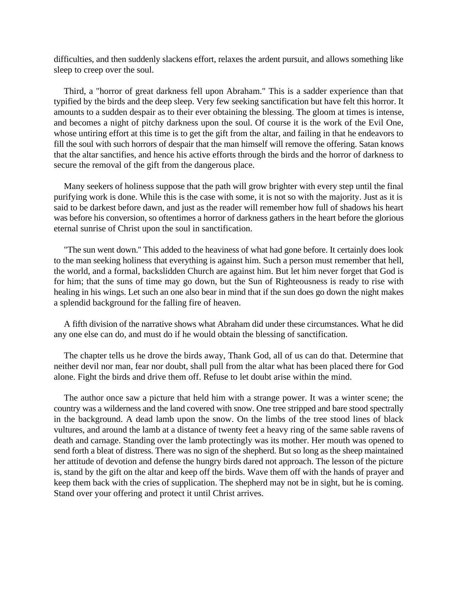difficulties, and then suddenly slackens effort, relaxes the ardent pursuit, and allows something like sleep to creep over the soul.

Third, a "horror of great darkness fell upon Abraham." This is a sadder experience than that typified by the birds and the deep sleep. Very few seeking sanctification but have felt this horror. It amounts to a sudden despair as to their ever obtaining the blessing. The gloom at times is intense, and becomes a night of pitchy darkness upon the soul. Of course it is the work of the Evil One, whose untiring effort at this time is to get the gift from the altar, and failing in that he endeavors to fill the soul with such horrors of despair that the man himself will remove the offering. Satan knows that the altar sanctifies, and hence his active efforts through the birds and the horror of darkness to secure the removal of the gift from the dangerous place.

Many seekers of holiness suppose that the path will grow brighter with every step until the final purifying work is done. While this is the case with some, it is not so with the majority. Just as it is said to be darkest before dawn, and just as the reader will remember how full of shadows his heart was before his conversion, so oftentimes a horror of darkness gathers in the heart before the glorious eternal sunrise of Christ upon the soul in sanctification.

"The sun went down.'' This added to the heaviness of what had gone before. It certainly does look to the man seeking holiness that everything is against him. Such a person must remember that hell, the world, and a formal, backslidden Church are against him. But let him never forget that God is for him; that the suns of time may go down, but the Sun of Righteousness is ready to rise with healing in his wings. Let such an one also bear in mind that if the sun does go down the night makes a splendid background for the falling fire of heaven.

A fifth division of the narrative shows what Abraham did under these circumstances. What he did any one else can do, and must do if he would obtain the blessing of sanctification.

The chapter tells us he drove the birds away, Thank God, all of us can do that. Determine that neither devil nor man, fear nor doubt, shall pull from the altar what has been placed there for God alone. Fight the birds and drive them off. Refuse to let doubt arise within the mind.

The author once saw a picture that held him with a strange power. It was a winter scene; the country was a wilderness and the land covered with snow. One tree stripped and bare stood spectrally in the background. A dead lamb upon the snow. On the limbs of the tree stood lines of black vultures, and around the lamb at a distance of twenty feet a heavy ring of the same sable ravens of death and carnage. Standing over the lamb protectingly was its mother. Her mouth was opened to send forth a bleat of distress. There was no sign of the shepherd. But so long as the sheep maintained her attitude of devotion and defense the hungry birds dared not approach. The lesson of the picture is, stand by the gift on the altar and keep off the birds. Wave them off with the hands of prayer and keep them back with the cries of supplication. The shepherd may not be in sight, but he is coming. Stand over your offering and protect it until Christ arrives.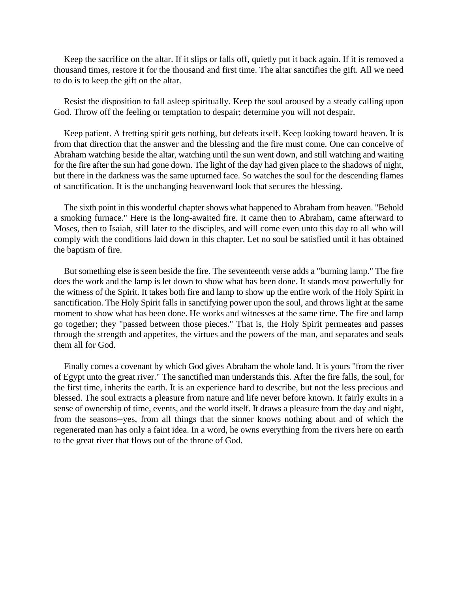Keep the sacrifice on the altar. If it slips or falls off, quietly put it back again. If it is removed a thousand times, restore it for the thousand and first time. The altar sanctifies the gift. All we need to do is to keep the gift on the altar.

Resist the disposition to fall asleep spiritually. Keep the soul aroused by a steady calling upon God. Throw off the feeling or temptation to despair; determine you will not despair.

Keep patient. A fretting spirit gets nothing, but defeats itself. Keep looking toward heaven. It is from that direction that the answer and the blessing and the fire must come. One can conceive of Abraham watching beside the altar, watching until the sun went down, and still watching and waiting for the fire after the sun had gone down. The light of the day had given place to the shadows of night, but there in the darkness was the same upturned face. So watches the soul for the descending flames of sanctification. It is the unchanging heavenward look that secures the blessing.

The sixth point in this wonderful chapter shows what happened to Abraham from heaven. "Behold a smoking furnace." Here is the long-awaited fire. It came then to Abraham, came afterward to Moses, then to Isaiah, still later to the disciples, and will come even unto this day to all who will comply with the conditions laid down in this chapter. Let no soul be satisfied until it has obtained the baptism of fire.

But something else is seen beside the fire. The seventeenth verse adds a "burning lamp." The fire does the work and the lamp is let down to show what has been done. It stands most powerfully for the witness of the Spirit. It takes both fire and lamp to show up the entire work of the Holy Spirit in sanctification. The Holy Spirit falls in sanctifying power upon the soul, and throws light at the same moment to show what has been done. He works and witnesses at the same time. The fire and lamp go together; they "passed between those pieces." That is, the Holy Spirit permeates and passes through the strength and appetites, the virtues and the powers of the man, and separates and seals them all for God.

Finally comes a covenant by which God gives Abraham the whole land. It is yours "from the river of Egypt unto the great river." The sanctified man understands this. After the fire falls, the soul, for the first time, inherits the earth. It is an experience hard to describe, but not the less precious and blessed. The soul extracts a pleasure from nature and life never before known. It fairly exults in a sense of ownership of time, events, and the world itself. It draws a pleasure from the day and night, from the seasons--yes, from all things that the sinner knows nothing about and of which the regenerated man has only a faint idea. In a word, he owns everything from the rivers here on earth to the great river that flows out of the throne of God.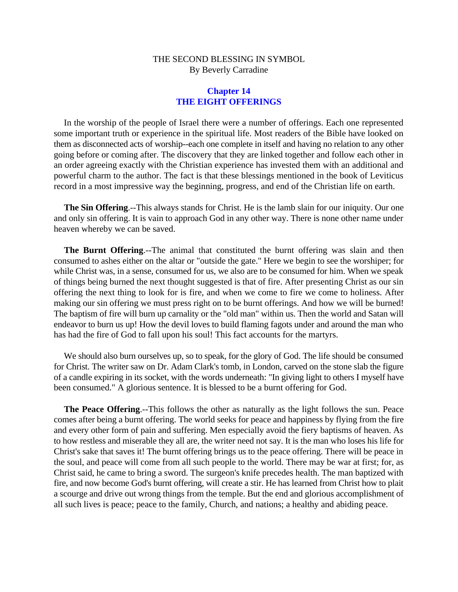# **Chapter 14 THE EIGHT OFFERINGS**

In the worship of the people of Israel there were a number of offerings. Each one represented some important truth or experience in the spiritual life. Most readers of the Bible have looked on them as disconnected acts of worship--each one complete in itself and having no relation to any other going before or coming after. The discovery that they are linked together and follow each other in an order agreeing exactly with the Christian experience has invested them with an additional and powerful charm to the author. The fact is that these blessings mentioned in the book of Leviticus record in a most impressive way the beginning, progress, and end of the Christian life on earth.

**The Sin Offering**.--This always stands for Christ. He is the lamb slain for our iniquity. Our one and only sin offering. It is vain to approach God in any other way. There is none other name under heaven whereby we can be saved.

**The Burnt Offering**.--The animal that constituted the burnt offering was slain and then consumed to ashes either on the altar or "outside the gate." Here we begin to see the worshiper; for while Christ was, in a sense, consumed for us, we also are to be consumed for him. When we speak of things being burned the next thought suggested is that of fire. After presenting Christ as our sin offering the next thing to look for is fire, and when we come to fire we come to holiness. After making our sin offering we must press right on to be burnt offerings. And how we will be burned! The baptism of fire will burn up carnality or the "old man" within us. Then the world and Satan will endeavor to burn us up! How the devil loves to build flaming fagots under and around the man who has had the fire of God to fall upon his soul! This fact accounts for the martyrs.

We should also burn ourselves up, so to speak, for the glory of God. The life should be consumed for Christ. The writer saw on Dr. Adam Clark's tomb, in London, carved on the stone slab the figure of a candle expiring in its socket, with the words underneath: "In giving light to others I myself have been consumed." A glorious sentence. It is blessed to be a burnt offering for God.

**The Peace Offering**.--This follows the other as naturally as the light follows the sun. Peace comes after being a burnt offering. The world seeks for peace and happiness by flying from the fire and every other form of pain and suffering. Men especially avoid the fiery baptisms of heaven. As to how restless and miserable they all are, the writer need not say. It is the man who loses his life for Christ's sake that saves it! The burnt offering brings us to the peace offering. There will be peace in the soul, and peace will come from all such people to the world. There may be war at first; for, as Christ said, he came to bring a sword. The surgeon's knife precedes health. The man baptized with fire, and now become God's burnt offering, will create a stir. He has learned from Christ how to plait a scourge and drive out wrong things from the temple. But the end and glorious accomplishment of all such lives is peace; peace to the family, Church, and nations; a healthy and abiding peace.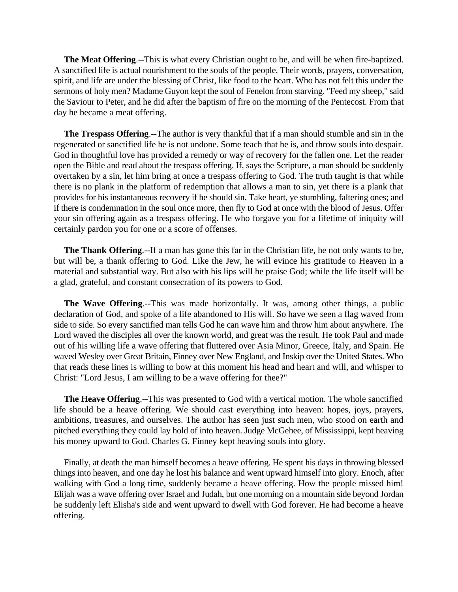**The Meat Offering**.--This is what every Christian ought to be, and will be when fire-baptized. A sanctified life is actual nourishment to the souls of the people. Their words, prayers, conversation, spirit, and life are under the blessing of Christ, like food to the heart. Who has not felt this under the sermons of holy men? Madame Guyon kept the soul of Fenelon from starving. "Feed my sheep," said the Saviour to Peter, and he did after the baptism of fire on the morning of the Pentecost. From that day he became a meat offering.

**The Trespass Offering**.--The author is very thankful that if a man should stumble and sin in the regenerated or sanctified life he is not undone. Some teach that he is, and throw souls into despair. God in thoughtful love has provided a remedy or way of recovery for the fallen one. Let the reader open the Bible and read about the trespass offering. If, says the Scripture, a man should be suddenly overtaken by a sin, let him bring at once a trespass offering to God. The truth taught is that while there is no plank in the platform of redemption that allows a man to sin, yet there is a plank that provides for his instantaneous recovery if he should sin. Take heart, ye stumbling, faltering ones; and if there is condemnation in the soul once more, then fly to God at once with the blood of Jesus. Offer your sin offering again as a trespass offering. He who forgave you for a lifetime of iniquity will certainly pardon you for one or a score of offenses.

**The Thank Offering**.--If a man has gone this far in the Christian life, he not only wants to be, but will be, a thank offering to God. Like the Jew, he will evince his gratitude to Heaven in a material and substantial way. But also with his lips will he praise God; while the life itself will be a glad, grateful, and constant consecration of its powers to God.

**The Wave Offering**.--This was made horizontally. It was, among other things, a public declaration of God, and spoke of a life abandoned to His will. So have we seen a flag waved from side to side. So every sanctified man tells God he can wave him and throw him about anywhere. The Lord waved the disciples all over the known world, and great was the result. He took Paul and made out of his willing life a wave offering that fluttered over Asia Minor, Greece, Italy, and Spain. He waved Wesley over Great Britain, Finney over New England, and Inskip over the United States. Who that reads these lines is willing to bow at this moment his head and heart and will, and whisper to Christ: "Lord Jesus, I am willing to be a wave offering for thee?"

**The Heave Offering**.--This was presented to God with a vertical motion. The whole sanctified life should be a heave offering. We should cast everything into heaven: hopes, joys, prayers, ambitions, treasures, and ourselves. The author has seen just such men, who stood on earth and pitched everything they could lay hold of into heaven. Judge McGehee, of Mississippi, kept heaving his money upward to God. Charles G. Finney kept heaving souls into glory.

Finally, at death the man himself becomes a heave offering. He spent his days in throwing blessed things into heaven, and one day he lost his balance and went upward himself into glory. Enoch, after walking with God a long time, suddenly became a heave offering. How the people missed him! Elijah was a wave offering over Israel and Judah, but one morning on a mountain side beyond Jordan he suddenly left Elisha's side and went upward to dwell with God forever. He had become a heave offering.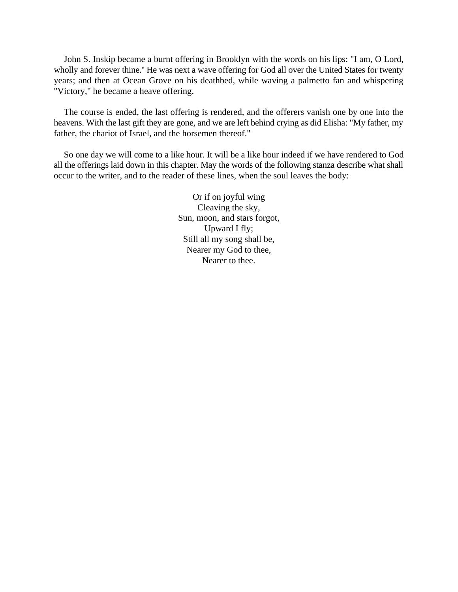John S. Inskip became a burnt offering in Brooklyn with the words on his lips: "I am, O Lord, wholly and forever thine.'' He was next a wave offering for God all over the United States for twenty years; and then at Ocean Grove on his deathbed, while waving a palmetto fan and whispering "Victory," he became a heave offering.

The course is ended, the last offering is rendered, and the offerers vanish one by one into the heavens. With the last gift they are gone, and we are left behind crying as did Elisha: "My father, my father, the chariot of Israel, and the horsemen thereof."

So one day we will come to a like hour. It will be a like hour indeed if we have rendered to God all the offerings laid down in this chapter. May the words of the following stanza describe what shall occur to the writer, and to the reader of these lines, when the soul leaves the body:

> Or if on joyful wing Cleaving the sky, Sun, moon, and stars forgot, Upward I fly; Still all my song shall be, Nearer my God to thee, Nearer to thee.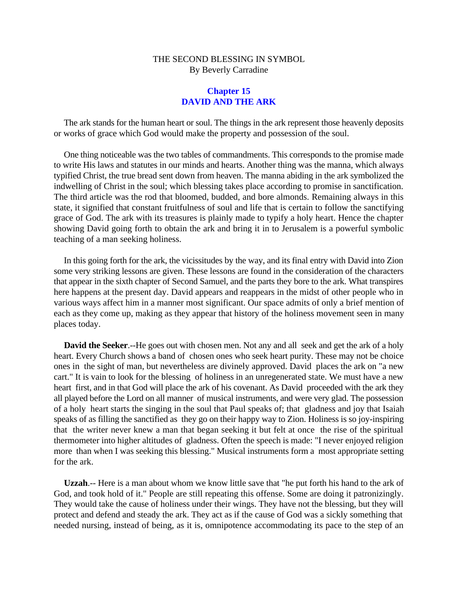# **Chapter 15 DAVID AND THE ARK**

The ark stands for the human heart or soul. The things in the ark represent those heavenly deposits or works of grace which God would make the property and possession of the soul.

One thing noticeable was the two tables of commandments. This corresponds to the promise made to write His laws and statutes in our minds and hearts. Another thing was the manna, which always typified Christ, the true bread sent down from heaven. The manna abiding in the ark symbolized the indwelling of Christ in the soul; which blessing takes place according to promise in sanctification. The third article was the rod that bloomed, budded, and bore almonds. Remaining always in this state, it signified that constant fruitfulness of soul and life that is certain to follow the sanctifying grace of God. The ark with its treasures is plainly made to typify a holy heart. Hence the chapter showing David going forth to obtain the ark and bring it in to Jerusalem is a powerful symbolic teaching of a man seeking holiness.

In this going forth for the ark, the vicissitudes by the way, and its final entry with David into Zion some very striking lessons are given. These lessons are found in the consideration of the characters that appear in the sixth chapter of Second Samuel, and the parts they bore to the ark. What transpires here happens at the present day. David appears and reappears in the midst of other people who in various ways affect him in a manner most significant. Our space admits of only a brief mention of each as they come up, making as they appear that history of the holiness movement seen in many places today.

**David the Seeker.**--He goes out with chosen men. Not any and all seek and get the ark of a holy heart. Every Church shows a band of chosen ones who seek heart purity. These may not be choice ones in the sight of man, but nevertheless are divinely approved. David places the ark on "a new cart." It is vain to look for the blessing of holiness in an unregenerated state. We must have a new heart first, and in that God will place the ark of his covenant. As David proceeded with the ark they all played before the Lord on all manner of musical instruments, and were very glad. The possession of a holy heart starts the singing in the soul that Paul speaks of; that gladness and joy that Isaiah speaks of as filling the sanctified as they go on their happy way to Zion. Holiness is so joy-inspiring that the writer never knew a man that began seeking it but felt at once the rise of the spiritual thermometer into higher altitudes of gladness. Often the speech is made: "I never enjoyed religion more than when I was seeking this blessing." Musical instruments form a most appropriate setting for the ark.

**Uzzah**.-- Here is a man about whom we know little save that "he put forth his hand to the ark of God, and took hold of it." People are still repeating this offense. Some are doing it patronizingly. They would take the cause of holiness under their wings. They have not the blessing, but they will protect and defend and steady the ark. They act as if the cause of God was a sickly something that needed nursing, instead of being, as it is, omnipotence accommodating its pace to the step of an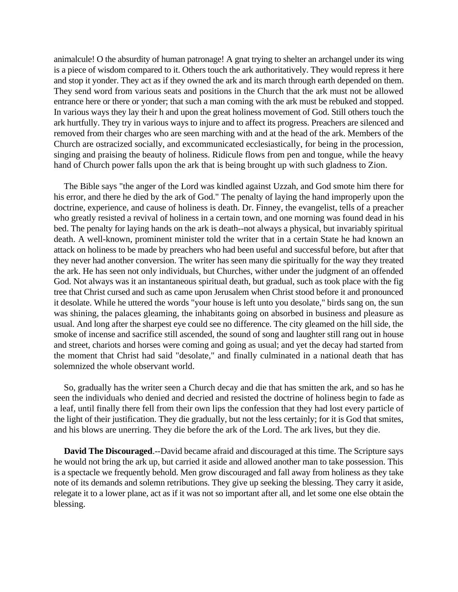animalcule! O the absurdity of human patronage! A gnat trying to shelter an archangel under its wing is a piece of wisdom compared to it. Others touch the ark authoritatively. They would repress it here and stop it yonder. They act as if they owned the ark and its march through earth depended on them. They send word from various seats and positions in the Church that the ark must not be allowed entrance here or there or yonder; that such a man coming with the ark must be rebuked and stopped. In various ways they lay their h and upon the great holiness movement of God. Still others touch the ark hurtfully. They try in various ways to injure and to affect its progress. Preachers are silenced and removed from their charges who are seen marching with and at the head of the ark. Members of the Church are ostracized socially, and excommunicated ecclesiastically, for being in the procession, singing and praising the beauty of holiness. Ridicule flows from pen and tongue, while the heavy hand of Church power falls upon the ark that is being brought up with such gladness to Zion.

The Bible says "the anger of the Lord was kindled against Uzzah, and God smote him there for his error, and there he died by the ark of God." The penalty of laying the hand improperly upon the doctrine, experience, and cause of holiness is death. Dr. Finney, the evangelist, tells of a preacher who greatly resisted a revival of holiness in a certain town, and one morning was found dead in his bed. The penalty for laying hands on the ark is death--not always a physical, but invariably spiritual death. A well-known, prominent minister told the writer that in a certain State he had known an attack on holiness to be made by preachers who had been useful and successful before, but after that they never had another conversion. The writer has seen many die spiritually for the way they treated the ark. He has seen not only individuals, but Churches, wither under the judgment of an offended God. Not always was it an instantaneous spiritual death, but gradual, such as took place with the fig tree that Christ cursed and such as came upon Jerusalem when Christ stood before it and pronounced it desolate. While he uttered the words "your house is left unto you desolate," birds sang on, the sun was shining, the palaces gleaming, the inhabitants going on absorbed in business and pleasure as usual. And long after the sharpest eye could see no difference. The city gleamed on the hill side, the smoke of incense and sacrifice still ascended, the sound of song and laughter still rang out in house and street, chariots and horses were coming and going as usual; and yet the decay had started from the moment that Christ had said "desolate," and finally culminated in a national death that has solemnized the whole observant world.

So, gradually has the writer seen a Church decay and die that has smitten the ark, and so has he seen the individuals who denied and decried and resisted the doctrine of holiness begin to fade as a leaf, until finally there fell from their own lips the confession that they had lost every particle of the light of their justification. They die gradually, but not the less certainly; for it is God that smites, and his blows are unerring. They die before the ark of the Lord. The ark lives, but they die.

**David The Discouraged**.--David became afraid and discouraged at this time. The Scripture says he would not bring the ark up, but carried it aside and allowed another man to take possession. This is a spectacle we frequently behold. Men grow discouraged and fall away from holiness as they take note of its demands and solemn retributions. They give up seeking the blessing. They carry it aside, relegate it to a lower plane, act as if it was not so important after all, and let some one else obtain the blessing.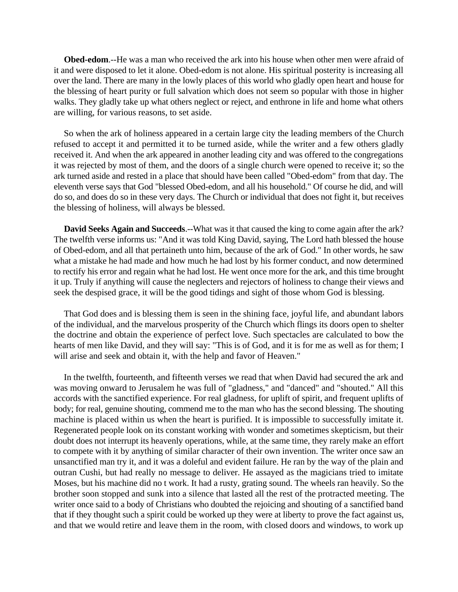**Obed-edom**.--He was a man who received the ark into his house when other men were afraid of it and were disposed to let it alone. Obed-edom is not alone. His spiritual posterity is increasing all over the land. There are many in the lowly places of this world who gladly open heart and house for the blessing of heart purity or full salvation which does not seem so popular with those in higher walks. They gladly take up what others neglect or reject, and enthrone in life and home what others are willing, for various reasons, to set aside.

So when the ark of holiness appeared in a certain large city the leading members of the Church refused to accept it and permitted it to be turned aside, while the writer and a few others gladly received it. And when the ark appeared in another leading city and was offered to the congregations it was rejected by most of them, and the doors of a single church were opened to receive it; so the ark turned aside and rested in a place that should have been called "Obed-edom" from that day. The eleventh verse says that God "blessed Obed-edom, and all his household." Of course he did, and will do so, and does do so in these very days. The Church or individual that does not fight it, but receives the blessing of holiness, will always be blessed.

**David Seeks Again and Succeeds**.--What was it that caused the king to come again after the ark? The twelfth verse informs us: "And it was told King David, saying, The Lord hath blessed the house of Obed-edom, and all that pertaineth unto him, because of the ark of God." In other words, he saw what a mistake he had made and how much he had lost by his former conduct, and now determined to rectify his error and regain what he had lost. He went once more for the ark, and this time brought it up. Truly if anything will cause the neglecters and rejectors of holiness to change their views and seek the despised grace, it will be the good tidings and sight of those whom God is blessing.

That God does and is blessing them is seen in the shining face, joyful life, and abundant labors of the individual, and the marvelous prosperity of the Church which flings its doors open to shelter the doctrine and obtain the experience of perfect love. Such spectacles are calculated to bow the hearts of men like David, and they will say: "This is of God, and it is for me as well as for them; I will arise and seek and obtain it, with the help and favor of Heaven."

In the twelfth, fourteenth, and fifteenth verses we read that when David had secured the ark and was moving onward to Jerusalem he was full of "gladness," and "danced" and "shouted." All this accords with the sanctified experience. For real gladness, for uplift of spirit, and frequent uplifts of body; for real, genuine shouting, commend me to the man who has the second blessing. The shouting machine is placed within us when the heart is purified. It is impossible to successfully imitate it. Regenerated people look on its constant working with wonder and sometimes skepticism, but their doubt does not interrupt its heavenly operations, while, at the same time, they rarely make an effort to compete with it by anything of similar character of their own invention. The writer once saw an unsanctified man try it, and it was a doleful and evident failure. He ran by the way of the plain and outran Cushi, but had really no message to deliver. He assayed as the magicians tried to imitate Moses, but his machine did no t work. It had a rusty, grating sound. The wheels ran heavily. So the brother soon stopped and sunk into a silence that lasted all the rest of the protracted meeting. The writer once said to a body of Christians who doubted the rejoicing and shouting of a sanctified band that if they thought such a spirit could be worked up they were at liberty to prove the fact against us, and that we would retire and leave them in the room, with closed doors and windows, to work up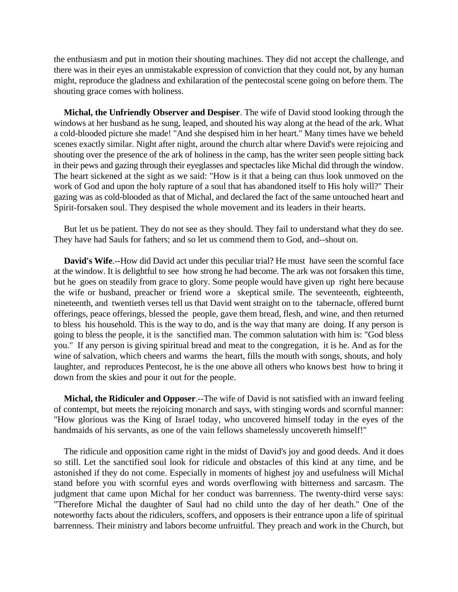the enthusiasm and put in motion their shouting machines. They did not accept the challenge, and there was in their eyes an unmistakable expression of conviction that they could not, by any human might, reproduce the gladness and exhilaration of the pentecostal scene going on before them. The shouting grace comes with holiness.

**Michal, the Unfriendly Observer and Despiser**. The wife of David stood looking through the windows at her husband as he sung, leaped, and shouted his way along at the head of the ark. What a cold-blooded picture she made! "And she despised him in her heart." Many times have we beheld scenes exactly similar. Night after night, around the church altar where David's were rejoicing and shouting over the presence of the ark of holiness in the camp, has the writer seen people sitting back in their pews and gazing through their eyeglasses and spectacles like Michal did through the window. The heart sickened at the sight as we said: "How is it that a being can thus look unmoved on the work of God and upon the holy rapture of a soul that has abandoned itself to His holy will?" Their gazing was as cold-blooded as that of Michal, and declared the fact of the same untouched heart and Spirit-forsaken soul. They despised the whole movement and its leaders in their hearts.

But let us be patient. They do not see as they should. They fail to understand what they do see. They have had Sauls for fathers; and so let us commend them to God, and--shout on.

**David's Wife**.--How did David act under this peculiar trial? He must have seen the scornful face at the window. It is delightful to see how strong he had become. The ark was not forsaken this time, but he goes on steadily from grace to glory. Some people would have given up right here because the wife or husband, preacher or friend wore a skeptical smile. The seventeenth, eighteenth, nineteenth, and twentieth verses tell us that David went straight on to the tabernacle, offered burnt offerings, peace offerings, blessed the people, gave them bread, flesh, and wine, and then returned to bless his household. This is the way to do, and is the way that many are doing. If any person is going to bless the people, it is the sanctified man. The common salutation with him is: "God bless you." If any person is giving spiritual bread and meat to the congregation, it is he. And as for the wine of salvation, which cheers and warms the heart, fills the mouth with songs, shouts, and holy laughter, and reproduces Pentecost, he is the one above all others who knows best how to bring it down from the skies and pour it out for the people.

**Michal, the Ridiculer and Opposer**.--The wife of David is not satisfied with an inward feeling of contempt, but meets the rejoicing monarch and says, with stinging words and scornful manner: "How glorious was the King of Israel today, who uncovered himself today in the eyes of the handmaids of his servants, as one of the vain fellows shamelessly uncovereth himself!"

The ridicule and opposition came right in the midst of David's joy and good deeds. And it does so still. Let the sanctified soul look for ridicule and obstacles of this kind at any time, and be astonished if they do not come. Especially in moments of highest joy and usefulness will Michal stand before you with scornful eyes and words overflowing with bitterness and sarcasm. The judgment that came upon Michal for her conduct was barrenness. The twenty-third verse says: "Therefore Michal the daughter of Saul had no child unto the day of her death.'' One of the noteworthy facts about the ridiculers, scoffers, and opposers is their entrance upon a life of spiritual barrenness. Their ministry and labors become unfruitful. They preach and work in the Church, but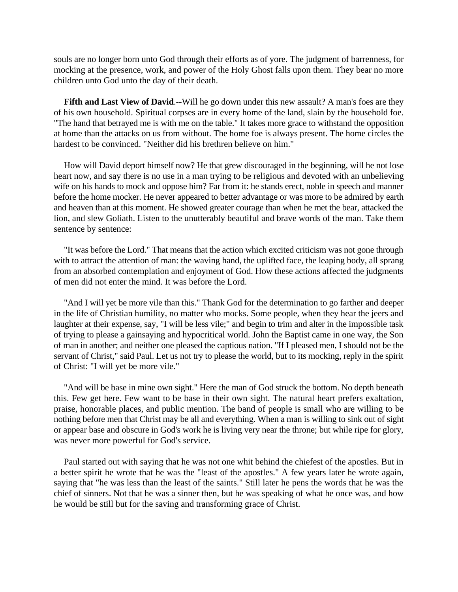souls are no longer born unto God through their efforts as of yore. The judgment of barrenness, for mocking at the presence, work, and power of the Holy Ghost falls upon them. They bear no more children unto God unto the day of their death.

**Fifth and Last View of David.**--Will he go down under this new assault? A man's foes are they of his own household. Spiritual corpses are in every home of the land, slain by the household foe. "The hand that betrayed me is with me on the table." It takes more grace to withstand the opposition at home than the attacks on us from without. The home foe is always present. The home circles the hardest to be convinced. "Neither did his brethren believe on him."

How will David deport himself now? He that grew discouraged in the beginning, will he not lose heart now, and say there is no use in a man trying to be religious and devoted with an unbelieving wife on his hands to mock and oppose him? Far from it: he stands erect, noble in speech and manner before the home mocker. He never appeared to better advantage or was more to be admired by earth and heaven than at this moment. He showed greater courage than when he met the bear, attacked the lion, and slew Goliath. Listen to the unutterably beautiful and brave words of the man. Take them sentence by sentence:

"It was before the Lord." That means that the action which excited criticism was not gone through with to attract the attention of man: the waving hand, the uplifted face, the leaping body, all sprang from an absorbed contemplation and enjoyment of God. How these actions affected the judgments of men did not enter the mind. It was before the Lord.

"And I will yet be more vile than this." Thank God for the determination to go farther and deeper in the life of Christian humility, no matter who mocks. Some people, when they hear the jeers and laughter at their expense, say, "I will be less vile;" and begin to trim and alter in the impossible task of trying to please a gainsaying and hypocritical world. John the Baptist came in one way, the Son of man in another; and neither one pleased the captious nation. "If I pleased men, I should not be the servant of Christ," said Paul. Let us not try to please the world, but to its mocking, reply in the spirit of Christ: "I will yet be more vile."

"And will be base in mine own sight." Here the man of God struck the bottom. No depth beneath this. Few get here. Few want to be base in their own sight. The natural heart prefers exaltation, praise, honorable places, and public mention. The band of people is small who are willing to be nothing before men that Christ may be all and everything. When a man is willing to sink out of sight or appear base and obscure in God's work he is living very near the throne; but while ripe for glory, was never more powerful for God's service.

Paul started out with saying that he was not one whit behind the chiefest of the apostles. But in a better spirit he wrote that he was the "least of the apostles." A few years later he wrote again, saying that "he was less than the least of the saints." Still later he pens the words that he was the chief of sinners. Not that he was a sinner then, but he was speaking of what he once was, and how he would be still but for the saving and transforming grace of Christ.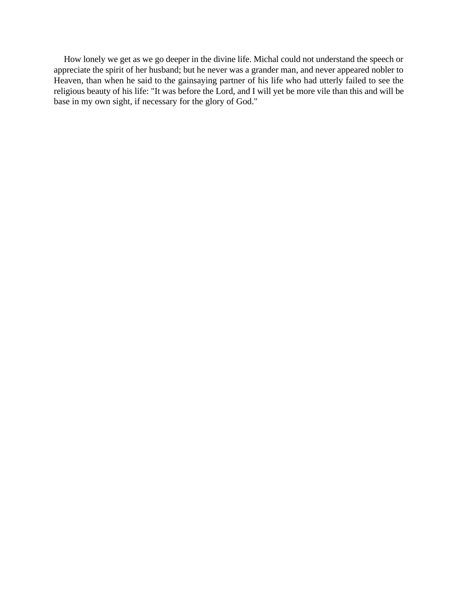How lonely we get as we go deeper in the divine life. Michal could not understand the speech or appreciate the spirit of her husband; but he never was a grander man, and never appeared nobler to Heaven, than when he said to the gainsaying partner of his life who had utterly failed to see the religious beauty of his life: "It was before the Lord, and I will yet be more vile than this and will be base in my own sight, if necessary for the glory of God."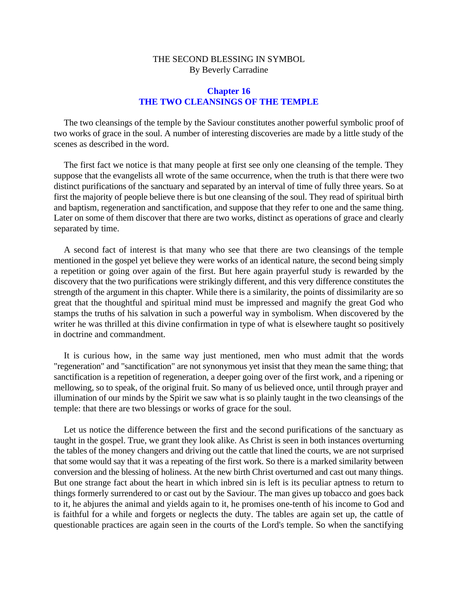### **Chapter 16 THE TWO CLEANSINGS OF THE TEMPLE**

The two cleansings of the temple by the Saviour constitutes another powerful symbolic proof of two works of grace in the soul. A number of interesting discoveries are made by a little study of the scenes as described in the word.

The first fact we notice is that many people at first see only one cleansing of the temple. They suppose that the evangelists all wrote of the same occurrence, when the truth is that there were two distinct purifications of the sanctuary and separated by an interval of time of fully three years. So at first the majority of people believe there is but one cleansing of the soul. They read of spiritual birth and baptism, regeneration and sanctification, and suppose that they refer to one and the same thing. Later on some of them discover that there are two works, distinct as operations of grace and clearly separated by time.

A second fact of interest is that many who see that there are two cleansings of the temple mentioned in the gospel yet believe they were works of an identical nature, the second being simply a repetition or going over again of the first. But here again prayerful study is rewarded by the discovery that the two purifications were strikingly different, and this very difference constitutes the strength of the argument in this chapter. While there is a similarity, the points of dissimilarity are so great that the thoughtful and spiritual mind must be impressed and magnify the great God who stamps the truths of his salvation in such a powerful way in symbolism. When discovered by the writer he was thrilled at this divine confirmation in type of what is elsewhere taught so positively in doctrine and commandment.

It is curious how, in the same way just mentioned, men who must admit that the words "regeneration" and "sanctification" are not synonymous yet insist that they mean the same thing; that sanctification is a repetition of regeneration, a deeper going over of the first work, and a ripening or mellowing, so to speak, of the original fruit. So many of us believed once, until through prayer and illumination of our minds by the Spirit we saw what is so plainly taught in the two cleansings of the temple: that there are two blessings or works of grace for the soul.

Let us notice the difference between the first and the second purifications of the sanctuary as taught in the gospel. True, we grant they look alike. As Christ is seen in both instances overturning the tables of the money changers and driving out the cattle that lined the courts, we are not surprised that some would say that it was a repeating of the first work. So there is a marked similarity between conversion and the blessing of holiness. At the new birth Christ overturned and cast out many things. But one strange fact about the heart in which inbred sin is left is its peculiar aptness to return to things formerly surrendered to or cast out by the Saviour. The man gives up tobacco and goes back to it, he abjures the animal and yields again to it, he promises one-tenth of his income to God and is faithful for a while and forgets or neglects the duty. The tables are again set up, the cattle of questionable practices are again seen in the courts of the Lord's temple. So when the sanctifying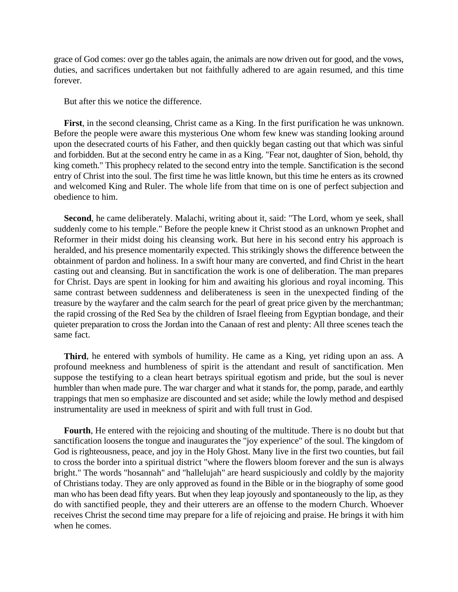grace of God comes: over go the tables again, the animals are now driven out for good, and the vows, duties, and sacrifices undertaken but not faithfully adhered to are again resumed, and this time forever.

But after this we notice the difference.

**First**, in the second cleansing, Christ came as a King. In the first purification he was unknown. Before the people were aware this mysterious One whom few knew was standing looking around upon the desecrated courts of his Father, and then quickly began casting out that which was sinful and forbidden. But at the second entry he came in as a King. "Fear not, daughter of Sion, behold, thy king cometh." This prophecy related to the second entry into the temple. Sanctification is the second entry of Christ into the soul. The first time he was little known, but this time he enters as its crowned and welcomed King and Ruler. The whole life from that time on is one of perfect subjection and obedience to him.

**Second**, he came deliberately. Malachi, writing about it, said: "The Lord, whom ye seek, shall suddenly come to his temple." Before the people knew it Christ stood as an unknown Prophet and Reformer in their midst doing his cleansing work. But here in his second entry his approach is heralded, and his presence momentarily expected. This strikingly shows the difference between the obtainment of pardon and holiness. In a swift hour many are converted, and find Christ in the heart casting out and cleansing. But in sanctification the work is one of deliberation. The man prepares for Christ. Days are spent in looking for him and awaiting his glorious and royal incoming. This same contrast between suddenness and deliberateness is seen in the unexpected finding of the treasure by the wayfarer and the calm search for the pearl of great price given by the merchantman; the rapid crossing of the Red Sea by the children of Israel fleeing from Egyptian bondage, and their quieter preparation to cross the Jordan into the Canaan of rest and plenty: All three scenes teach the same fact.

**Third**, he entered with symbols of humility. He came as a King, yet riding upon an ass. A profound meekness and humbleness of spirit is the attendant and result of sanctification. Men suppose the testifying to a clean heart betrays spiritual egotism and pride, but the soul is never humbler than when made pure. The war charger and what it stands for, the pomp, parade, and earthly trappings that men so emphasize are discounted and set aside; while the lowly method and despised instrumentality are used in meekness of spirit and with full trust in God.

**Fourth**, He entered with the rejoicing and shouting of the multitude. There is no doubt but that sanctification loosens the tongue and inaugurates the "joy experience" of the soul. The kingdom of God is righteousness, peace, and joy in the Holy Ghost. Many live in the first two counties, but fail to cross the border into a spiritual district "where the flowers bloom forever and the sun is always bright." The words "hosannah" and "hallelujah" are heard suspiciously and coldly by the majority of Christians today. They are only approved as found in the Bible or in the biography of some good man who has been dead fifty years. But when they leap joyously and spontaneously to the lip, as they do with sanctified people, they and their utterers are an offense to the modern Church. Whoever receives Christ the second time may prepare for a life of rejoicing and praise. He brings it with him when he comes.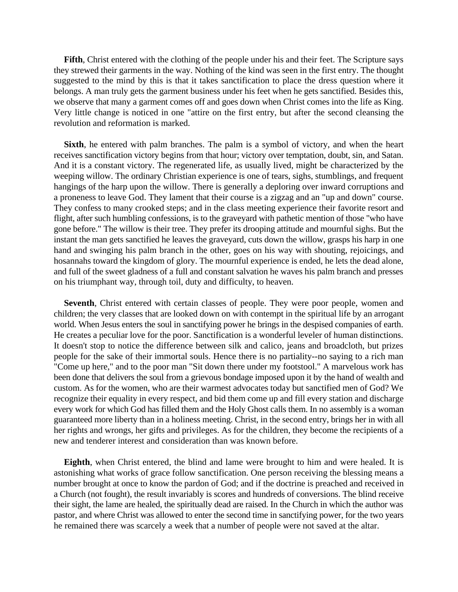**Fifth**, Christ entered with the clothing of the people under his and their feet. The Scripture says they strewed their garments in the way. Nothing of the kind was seen in the first entry. The thought suggested to the mind by this is that it takes sanctification to place the dress question where it belongs. A man truly gets the garment business under his feet when he gets sanctified. Besides this, we observe that many a garment comes off and goes down when Christ comes into the life as King. Very little change is noticed in one "attire on the first entry, but after the second cleansing the revolution and reformation is marked.

**Sixth**, he entered with palm branches. The palm is a symbol of victory, and when the heart receives sanctification victory begins from that hour; victory over temptation, doubt, sin, and Satan. And it is a constant victory. The regenerated life, as usually lived, might be characterized by the weeping willow. The ordinary Christian experience is one of tears, sighs, stumblings, and frequent hangings of the harp upon the willow. There is generally a deploring over inward corruptions and a proneness to leave God. They lament that their course is a zigzag and an "up and down" course. They confess to many crooked steps; and in the class meeting experience their favorite resort and flight, after such humbling confessions, is to the graveyard with pathetic mention of those "who have gone before." The willow is their tree. They prefer its drooping attitude and mournful sighs. But the instant the man gets sanctified he leaves the graveyard, cuts down the willow, grasps his harp in one hand and swinging his palm branch in the other, goes on his way with shouting, rejoicings, and hosannahs toward the kingdom of glory. The mournful experience is ended, he lets the dead alone, and full of the sweet gladness of a full and constant salvation he waves his palm branch and presses on his triumphant way, through toil, duty and difficulty, to heaven.

**Seventh**, Christ entered with certain classes of people. They were poor people, women and children; the very classes that are looked down on with contempt in the spiritual life by an arrogant world. When Jesus enters the soul in sanctifying power he brings in the despised companies of earth. He creates a peculiar love for the poor. Sanctification is a wonderful leveler of human distinctions. It doesn't stop to notice the difference between silk and calico, jeans and broadcloth, but prizes people for the sake of their immortal souls. Hence there is no partiality--no saying to a rich man "Come up here," and to the poor man "Sit down there under my footstool." A marvelous work has been done that delivers the soul from a grievous bondage imposed upon it by the hand of wealth and custom. As for the women, who are their warmest advocates today but sanctified men of God? We recognize their equality in every respect, and bid them come up and fill every station and discharge every work for which God has filled them and the Holy Ghost calls them. In no assembly is a woman guaranteed more liberty than in a holiness meeting. Christ, in the second entry, brings her in with all her rights and wrongs, her gifts and privileges. As for the children, they become the recipients of a new and tenderer interest and consideration than was known before.

**Eighth**, when Christ entered, the blind and lame were brought to him and were healed. It is astonishing what works of grace follow sanctification. One person receiving the blessing means a number brought at once to know the pardon of God; and if the doctrine is preached and received in a Church (not fought), the result invariably is scores and hundreds of conversions. The blind receive their sight, the lame are healed, the spiritually dead are raised. In the Church in which the author was pastor, and where Christ was allowed to enter the second time in sanctifying power, for the two years he remained there was scarcely a week that a number of people were not saved at the altar.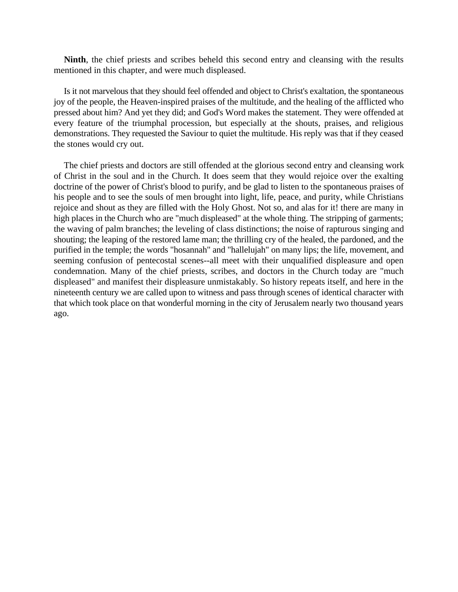**Ninth**, the chief priests and scribes beheld this second entry and cleansing with the results mentioned in this chapter, and were much displeased.

Is it not marvelous that they should feel offended and object to Christ's exaltation, the spontaneous joy of the people, the Heaven-inspired praises of the multitude, and the healing of the afflicted who pressed about him? And yet they did; and God's Word makes the statement. They were offended at every feature of the triumphal procession, but especially at the shouts, praises, and religious demonstrations. They requested the Saviour to quiet the multitude. His reply was that if they ceased the stones would cry out.

The chief priests and doctors are still offended at the glorious second entry and cleansing work of Christ in the soul and in the Church. It does seem that they would rejoice over the exalting doctrine of the power of Christ's blood to purify, and be glad to listen to the spontaneous praises of his people and to see the souls of men brought into light, life, peace, and purity, while Christians rejoice and shout as they are filled with the Holy Ghost. Not so, and alas for it! there are many in high places in the Church who are "much displeased" at the whole thing. The stripping of garments; the waving of palm branches; the leveling of class distinctions; the noise of rapturous singing and shouting; the leaping of the restored lame man; the thrilling cry of the healed, the pardoned, and the purified in the temple; the words "hosannah" and "hallelujah" on many lips; the life, movement, and seeming confusion of pentecostal scenes--all meet with their unqualified displeasure and open condemnation. Many of the chief priests, scribes, and doctors in the Church today are "much displeased" and manifest their displeasure unmistakably. So history repeats itself, and here in the nineteenth century we are called upon to witness and pass through scenes of identical character with that which took place on that wonderful morning in the city of Jerusalem nearly two thousand years ago.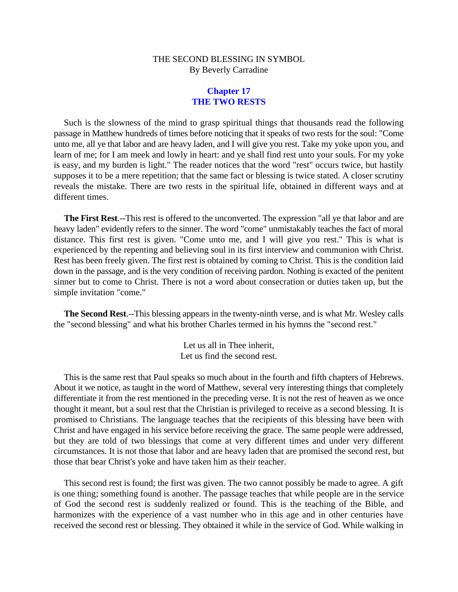# **Chapter 17 THE TWO RESTS**

Such is the slowness of the mind to grasp spiritual things that thousands read the following passage in Matthew hundreds of times before noticing that it speaks of two rests for the soul: "Come unto me, all ye that labor and are heavy laden, and I will give you rest. Take my yoke upon you, and learn of me; for I am meek and lowly in heart: and ye shall find rest unto your souls. For my yoke is easy, and my burden is light." The reader notices that the word "rest" occurs twice, but hastily supposes it to be a mere repetition; that the same fact or blessing is twice stated. A closer scrutiny reveals the mistake. There are two rests in the spiritual life, obtained in different ways and at different times.

**The First Rest**.--This rest is offered to the unconverted. The expression "all ye that labor and are heavy laden" evidently refers to the sinner. The word "come" unmistakably teaches the fact of moral distance. This first rest is given. "Come unto me, and I will give you rest." This is what is experienced by the repenting and believing soul in its first interview and communion with Christ. Rest has been freely given. The first rest is obtained by coming to Christ. This is the condition laid down in the passage, and is the very condition of receiving pardon. Nothing is exacted of the penitent sinner but to come to Christ. There is not a word about consecration or duties taken up, but the simple invitation "come."

**The Second Rest**.--This blessing appears in the twenty-ninth verse, and is what Mr. Wesley calls the "second blessing" and what his brother Charles termed in his hymns the "second rest."

> Let us all in Thee inherit, Let us find the second rest.

This is the same rest that Paul speaks so much about in the fourth and fifth chapters of Hebrews. About it we notice, as taught in the word of Matthew, several very interesting things that completely differentiate it from the rest mentioned in the preceding verse. It is not the rest of heaven as we once thought it meant, but a soul rest that the Christian is privileged to receive as a second blessing. It is promised to Christians. The language teaches that the recipients of this blessing have been with Christ and have engaged in his service before receiving the grace. The same people were addressed, but they are told of two blessings that come at very different times and under very different circumstances. It is not those that labor and are heavy laden that are promised the second rest, but those that bear Christ's yoke and have taken him as their teacher.

This second rest is found; the first was given. The two cannot possibly be made to agree. A gift is one thing; something found is another. The passage teaches that while people are in the service of God the second rest is suddenly realized or found. This is the teaching of the Bible, and harmonizes with the experience of a vast number who in this age and in other centuries have received the second rest or blessing. They obtained it while in the service of God. While walking in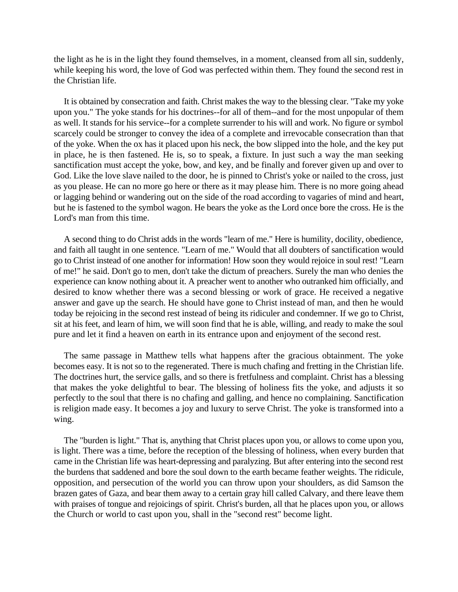the light as he is in the light they found themselves, in a moment, cleansed from all sin, suddenly, while keeping his word, the love of God was perfected within them. They found the second rest in the Christian life.

It is obtained by consecration and faith. Christ makes the way to the blessing clear. "Take my yoke upon you." The yoke stands for his doctrines--for all of them--and for the most unpopular of them as well. It stands for his service--for a complete surrender to his will and work. No figure or symbol scarcely could be stronger to convey the idea of a complete and irrevocable consecration than that of the yoke. When the ox has it placed upon his neck, the bow slipped into the hole, and the key put in place, he is then fastened. He is, so to speak, a fixture. In just such a way the man seeking sanctification must accept the yoke, bow, and key, and be finally and forever given up and over to God. Like the love slave nailed to the door, he is pinned to Christ's yoke or nailed to the cross, just as you please. He can no more go here or there as it may please him. There is no more going ahead or lagging behind or wandering out on the side of the road according to vagaries of mind and heart, but he is fastened to the symbol wagon. He bears the yoke as the Lord once bore the cross. He is the Lord's man from this time.

A second thing to do Christ adds in the words "learn of me." Here is humility, docility, obedience, and faith all taught in one sentence. "Learn of me." Would that all doubters of sanctification would go to Christ instead of one another for information! How soon they would rejoice in soul rest! "Learn of me!" he said. Don't go to men, don't take the dictum of preachers. Surely the man who denies the experience can know nothing about it. A preacher went to another who outranked him officially, and desired to know whether there was a second blessing or work of grace. He received a negative answer and gave up the search. He should have gone to Christ instead of man, and then he would today be rejoicing in the second rest instead of being its ridiculer and condemner. If we go to Christ, sit at his feet, and learn of him, we will soon find that he is able, willing, and ready to make the soul pure and let it find a heaven on earth in its entrance upon and enjoyment of the second rest.

The same passage in Matthew tells what happens after the gracious obtainment. The yoke becomes easy. It is not so to the regenerated. There is much chafing and fretting in the Christian life. The doctrines hurt, the service galls, and so there is fretfulness and complaint. Christ has a blessing that makes the yoke delightful to bear. The blessing of holiness fits the yoke, and adjusts it so perfectly to the soul that there is no chafing and galling, and hence no complaining. Sanctification is religion made easy. It becomes a joy and luxury to serve Christ. The yoke is transformed into a wing.

The "burden is light." That is, anything that Christ places upon you, or allows to come upon you, is light. There was a time, before the reception of the blessing of holiness, when every burden that came in the Christian life was heart-depressing and paralyzing. But after entering into the second rest the burdens that saddened and bore the soul down to the earth became feather weights. The ridicule, opposition, and persecution of the world you can throw upon your shoulders, as did Samson the brazen gates of Gaza, and bear them away to a certain gray hill called Calvary, and there leave them with praises of tongue and rejoicings of spirit. Christ's burden, all that he places upon you, or allows the Church or world to cast upon you, shall in the "second rest" become light.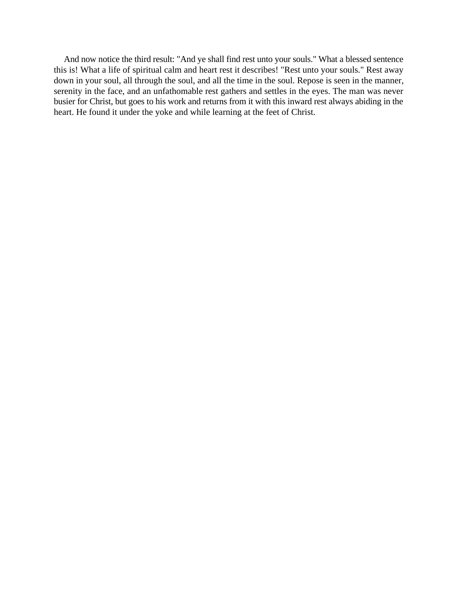And now notice the third result: "And ye shall find rest unto your souls." What a blessed sentence this is! What a life of spiritual calm and heart rest it describes! "Rest unto your souls." Rest away down in your soul, all through the soul, and all the time in the soul. Repose is seen in the manner, serenity in the face, and an unfathomable rest gathers and settles in the eyes. The man was never busier for Christ, but goes to his work and returns from it with this inward rest always abiding in the heart. He found it under the yoke and while learning at the feet of Christ.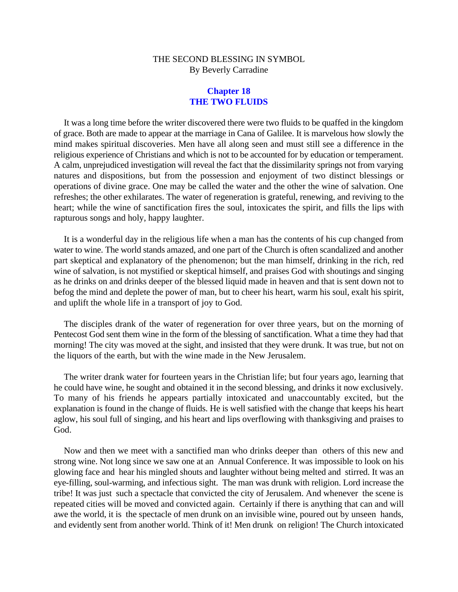# **Chapter 18 THE TWO FLUIDS**

It was a long time before the writer discovered there were two fluids to be quaffed in the kingdom of grace. Both are made to appear at the marriage in Cana of Galilee. It is marvelous how slowly the mind makes spiritual discoveries. Men have all along seen and must still see a difference in the religious experience of Christians and which is not to be accounted for by education or temperament. A calm, unprejudiced investigation will reveal the fact that the dissimilarity springs not from varying natures and dispositions, but from the possession and enjoyment of two distinct blessings or operations of divine grace. One may be called the water and the other the wine of salvation. One refreshes; the other exhilarates. The water of regeneration is grateful, renewing, and reviving to the heart; while the wine of sanctification fires the soul, intoxicates the spirit, and fills the lips with rapturous songs and holy, happy laughter.

It is a wonderful day in the religious life when a man has the contents of his cup changed from water to wine. The world stands amazed, and one part of the Church is often scandalized and another part skeptical and explanatory of the phenomenon; but the man himself, drinking in the rich, red wine of salvation, is not mystified or skeptical himself, and praises God with shoutings and singing as he drinks on and drinks deeper of the blessed liquid made in heaven and that is sent down not to befog the mind and deplete the power of man, but to cheer his heart, warm his soul, exalt his spirit, and uplift the whole life in a transport of joy to God.

The disciples drank of the water of regeneration for over three years, but on the morning of Pentecost God sent them wine in the form of the blessing of sanctification. What a time they had that morning! The city was moved at the sight, and insisted that they were drunk. It was true, but not on the liquors of the earth, but with the wine made in the New Jerusalem.

The writer drank water for fourteen years in the Christian life; but four years ago, learning that he could have wine, he sought and obtained it in the second blessing, and drinks it now exclusively. To many of his friends he appears partially intoxicated and unaccountably excited, but the explanation is found in the change of fluids. He is well satisfied with the change that keeps his heart aglow, his soul full of singing, and his heart and lips overflowing with thanksgiving and praises to God.

Now and then we meet with a sanctified man who drinks deeper than others of this new and strong wine. Not long since we saw one at an Annual Conference. It was impossible to look on his glowing face and hear his mingled shouts and laughter without being melted and stirred. It was an eye-filling, soul-warming, and infectious sight. The man was drunk with religion. Lord increase the tribe! It was just such a spectacle that convicted the city of Jerusalem. And whenever the scene is repeated cities will be moved and convicted again. Certainly if there is anything that can and will awe the world, it is the spectacle of men drunk on an invisible wine, poured out by unseen hands, and evidently sent from another world. Think of it! Men drunk on religion! The Church intoxicated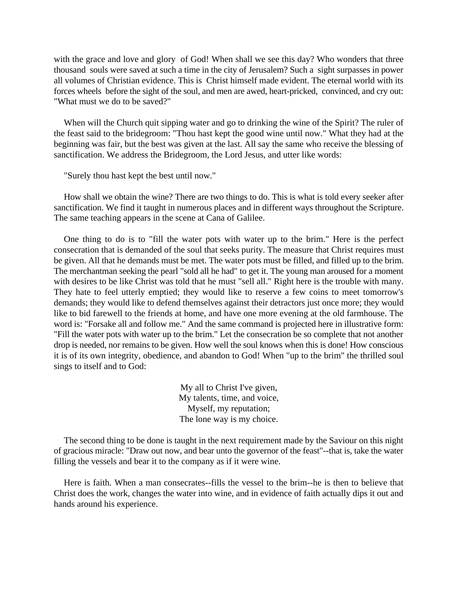with the grace and love and glory of God! When shall we see this day? Who wonders that three thousand souls were saved at such a time in the city of Jerusalem? Such a sight surpasses in power all volumes of Christian evidence. This is Christ himself made evident. The eternal world with its forces wheels before the sight of the soul, and men are awed, heart-pricked, convinced, and cry out: "What must we do to be saved?"

When will the Church quit sipping water and go to drinking the wine of the Spirit? The ruler of the feast said to the bridegroom: "Thou hast kept the good wine until now." What they had at the beginning was fair, but the best was given at the last. All say the same who receive the blessing of sanctification. We address the Bridegroom, the Lord Jesus, and utter like words:

"Surely thou hast kept the best until now."

How shall we obtain the wine? There are two things to do. This is what is told every seeker after sanctification. We find it taught in numerous places and in different ways throughout the Scripture. The same teaching appears in the scene at Cana of Galilee.

One thing to do is to "fill the water pots with water up to the brim." Here is the perfect consecration that is demanded of the soul that seeks purity. The measure that Christ requires must be given. All that he demands must be met. The water pots must be filled, and filled up to the brim. The merchantman seeking the pearl "sold all he had" to get it. The young man aroused for a moment with desires to be like Christ was told that he must "sell all." Right here is the trouble with many. They hate to feel utterly emptied; they would like to reserve a few coins to meet tomorrow's demands; they would like to defend themselves against their detractors just once more; they would like to bid farewell to the friends at home, and have one more evening at the old farmhouse. The word is: "Forsake all and follow me." And the same command is projected here in illustrative form: "Fill the water pots with water up to the brim." Let the consecration be so complete that not another drop is needed, nor remains to be given. How well the soul knows when this is done! How conscious it is of its own integrity, obedience, and abandon to God! When "up to the brim" the thrilled soul sings to itself and to God:

> My all to Christ I've given, My talents, time, and voice, Myself, my reputation; The lone way is my choice.

The second thing to be done is taught in the next requirement made by the Saviour on this night of gracious miracle: "Draw out now, and bear unto the governor of the feast"--that is, take the water filling the vessels and bear it to the company as if it were wine.

Here is faith. When a man consecrates--fills the vessel to the brim--he is then to believe that Christ does the work, changes the water into wine, and in evidence of faith actually dips it out and hands around his experience.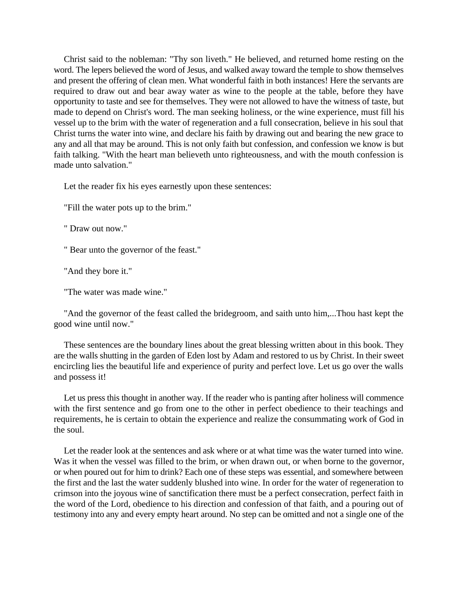Christ said to the nobleman: "Thy son liveth." He believed, and returned home resting on the word. The lepers believed the word of Jesus, and walked away toward the temple to show themselves and present the offering of clean men. What wonderful faith in both instances! Here the servants are required to draw out and bear away water as wine to the people at the table, before they have opportunity to taste and see for themselves. They were not allowed to have the witness of taste, but made to depend on Christ's word. The man seeking holiness, or the wine experience, must fill his vessel up to the brim with the water of regeneration and a full consecration, believe in his soul that Christ turns the water into wine, and declare his faith by drawing out and bearing the new grace to any and all that may be around. This is not only faith but confession, and confession we know is but faith talking. "With the heart man believeth unto righteousness, and with the mouth confession is made unto salvation."

Let the reader fix his eyes earnestly upon these sentences:

"Fill the water pots up to the brim."

" Draw out now."

" Bear unto the governor of the feast."

"And they bore it."

"The water was made wine."

"And the governor of the feast called the bridegroom, and saith unto him,...Thou hast kept the good wine until now."

These sentences are the boundary lines about the great blessing written about in this book. They are the walls shutting in the garden of Eden lost by Adam and restored to us by Christ. In their sweet encircling lies the beautiful life and experience of purity and perfect love. Let us go over the walls and possess it!

Let us press this thought in another way. If the reader who is panting after holiness will commence with the first sentence and go from one to the other in perfect obedience to their teachings and requirements, he is certain to obtain the experience and realize the consummating work of God in the soul.

Let the reader look at the sentences and ask where or at what time was the water turned into wine. Was it when the vessel was filled to the brim, or when drawn out, or when borne to the governor, or when poured out for him to drink? Each one of these steps was essential, and somewhere between the first and the last the water suddenly blushed into wine. In order for the water of regeneration to crimson into the joyous wine of sanctification there must be a perfect consecration, perfect faith in the word of the Lord, obedience to his direction and confession of that faith, and a pouring out of testimony into any and every empty heart around. No step can be omitted and not a single one of the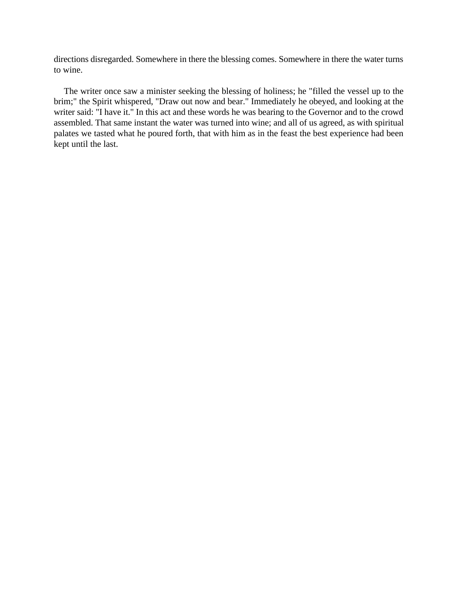directions disregarded. Somewhere in there the blessing comes. Somewhere in there the water turns to wine.

The writer once saw a minister seeking the blessing of holiness; he "filled the vessel up to the brim;" the Spirit whispered, "Draw out now and bear." Immediately he obeyed, and looking at the writer said: "I have it." In this act and these words he was bearing to the Governor and to the crowd assembled. That same instant the water was turned into wine; and all of us agreed, as with spiritual palates we tasted what he poured forth, that with him as in the feast the best experience had been kept until the last.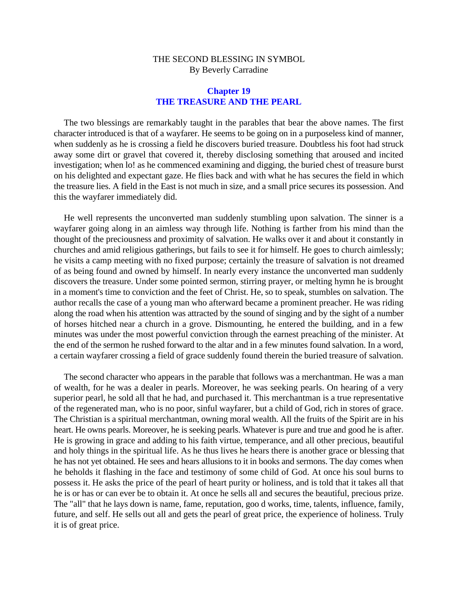### **Chapter 19 THE TREASURE AND THE PEARL**

The two blessings are remarkably taught in the parables that bear the above names. The first character introduced is that of a wayfarer. He seems to be going on in a purposeless kind of manner, when suddenly as he is crossing a field he discovers buried treasure. Doubtless his foot had struck away some dirt or gravel that covered it, thereby disclosing something that aroused and incited investigation; when lo! as he commenced examining and digging, the buried chest of treasure burst on his delighted and expectant gaze. He flies back and with what he has secures the field in which the treasure lies. A field in the East is not much in size, and a small price secures its possession. And this the wayfarer immediately did.

He well represents the unconverted man suddenly stumbling upon salvation. The sinner is a wayfarer going along in an aimless way through life. Nothing is farther from his mind than the thought of the preciousness and proximity of salvation. He walks over it and about it constantly in churches and amid religious gatherings, but fails to see it for himself. He goes to church aimlessly; he visits a camp meeting with no fixed purpose; certainly the treasure of salvation is not dreamed of as being found and owned by himself. In nearly every instance the unconverted man suddenly discovers the treasure. Under some pointed sermon, stirring prayer, or melting hymn he is brought in a moment's time to conviction and the feet of Christ. He, so to speak, stumbles on salvation. The author recalls the case of a young man who afterward became a prominent preacher. He was riding along the road when his attention was attracted by the sound of singing and by the sight of a number of horses hitched near a church in a grove. Dismounting, he entered the building, and in a few minutes was under the most powerful conviction through the earnest preaching of the minister. At the end of the sermon he rushed forward to the altar and in a few minutes found salvation. In a word, a certain wayfarer crossing a field of grace suddenly found therein the buried treasure of salvation.

The second character who appears in the parable that follows was a merchantman. He was a man of wealth, for he was a dealer in pearls. Moreover, he was seeking pearls. On hearing of a very superior pearl, he sold all that he had, and purchased it. This merchantman is a true representative of the regenerated man, who is no poor, sinful wayfarer, but a child of God, rich in stores of grace. The Christian is a spiritual merchantman, owning moral wealth. All the fruits of the Spirit are in his heart. He owns pearls. Moreover, he is seeking pearls. Whatever is pure and true and good he is after. He is growing in grace and adding to his faith virtue, temperance, and all other precious, beautiful and holy things in the spiritual life. As he thus lives he hears there is another grace or blessing that he has not yet obtained. He sees and hears allusions to it in books and sermons. The day comes when he beholds it flashing in the face and testimony of some child of God. At once his soul burns to possess it. He asks the price of the pearl of heart purity or holiness, and is told that it takes all that he is or has or can ever be to obtain it. At once he sells all and secures the beautiful, precious prize. The "all" that he lays down is name, fame, reputation, goo d works, time, talents, influence, family, future, and self. He sells out all and gets the pearl of great price, the experience of holiness. Truly it is of great price.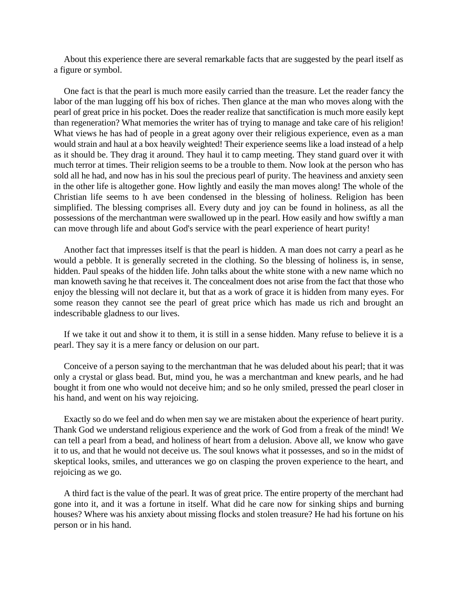About this experience there are several remarkable facts that are suggested by the pearl itself as a figure or symbol.

One fact is that the pearl is much more easily carried than the treasure. Let the reader fancy the labor of the man lugging off his box of riches. Then glance at the man who moves along with the pearl of great price in his pocket. Does the reader realize that sanctification is much more easily kept than regeneration? What memories the writer has of trying to manage and take care of his religion! What views he has had of people in a great agony over their religious experience, even as a man would strain and haul at a box heavily weighted! Their experience seems like a load instead of a help as it should be. They drag it around. They haul it to camp meeting. They stand guard over it with much terror at times. Their religion seems to be a trouble to them. Now look at the person who has sold all he had, and now has in his soul the precious pearl of purity. The heaviness and anxiety seen in the other life is altogether gone. How lightly and easily the man moves along! The whole of the Christian life seems to h ave been condensed in the blessing of holiness. Religion has been simplified. The blessing comprises all. Every duty and joy can be found in holiness, as all the possessions of the merchantman were swallowed up in the pearl. How easily and how swiftly a man can move through life and about God's service with the pearl experience of heart purity!

Another fact that impresses itself is that the pearl is hidden. A man does not carry a pearl as he would a pebble. It is generally secreted in the clothing. So the blessing of holiness is, in sense, hidden. Paul speaks of the hidden life. John talks about the white stone with a new name which no man knoweth saving he that receives it. The concealment does not arise from the fact that those who enjoy the blessing will not declare it, but that as a work of grace it is hidden from many eyes. For some reason they cannot see the pearl of great price which has made us rich and brought an indescribable gladness to our lives.

If we take it out and show it to them, it is still in a sense hidden. Many refuse to believe it is a pearl. They say it is a mere fancy or delusion on our part.

Conceive of a person saying to the merchantman that he was deluded about his pearl; that it was only a crystal or glass bead. But, mind you, he was a merchantman and knew pearls, and he had bought it from one who would not deceive him; and so he only smiled, pressed the pearl closer in his hand, and went on his way rejoicing.

Exactly so do we feel and do when men say we are mistaken about the experience of heart purity. Thank God we understand religious experience and the work of God from a freak of the mind! We can tell a pearl from a bead, and holiness of heart from a delusion. Above all, we know who gave it to us, and that he would not deceive us. The soul knows what it possesses, and so in the midst of skeptical looks, smiles, and utterances we go on clasping the proven experience to the heart, and rejoicing as we go.

A third fact is the value of the pearl. It was of great price. The entire property of the merchant had gone into it, and it was a fortune in itself. What did he care now for sinking ships and burning houses? Where was his anxiety about missing flocks and stolen treasure? He had his fortune on his person or in his hand.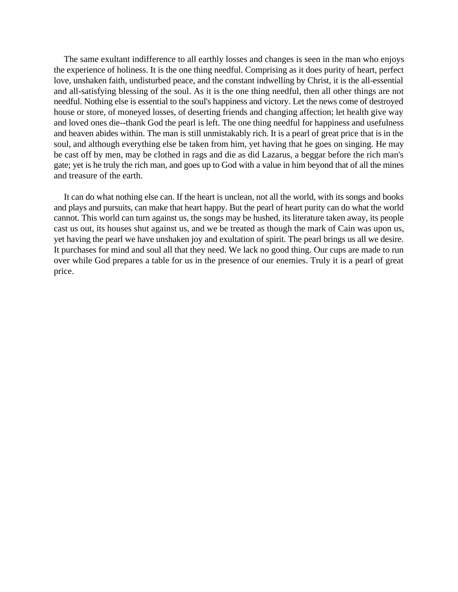The same exultant indifference to all earthly losses and changes is seen in the man who enjoys the experience of holiness. It is the one thing needful. Comprising as it does purity of heart, perfect love, unshaken faith, undisturbed peace, and the constant indwelling by Christ, it is the all-essential and all-satisfying blessing of the soul. As it is the one thing needful, then all other things are not needful. Nothing else is essential to the soul's happiness and victory. Let the news come of destroyed house or store, of moneyed losses, of deserting friends and changing affection; let health give way and loved ones die--thank God the pearl is left. The one thing needful for happiness and usefulness and heaven abides within. The man is still unmistakably rich. It is a pearl of great price that is in the soul, and although everything else be taken from him, yet having that he goes on singing. He may be cast off by men, may be clothed in rags and die as did Lazarus, a beggar before the rich man's gate; yet is he truly the rich man, and goes up to God with a value in him beyond that of all the mines and treasure of the earth.

It can do what nothing else can. If the heart is unclean, not all the world, with its songs and books and plays and pursuits, can make that heart happy. But the pearl of heart purity can do what the world cannot. This world can turn against us, the songs may be hushed, its literature taken away, its people cast us out, its houses shut against us, and we be treated as though the mark of Cain was upon us, yet having the pearl we have unshaken joy and exultation of spirit. The pearl brings us all we desire. It purchases for mind and soul all that they need. We lack no good thing. Our cups are made to run over while God prepares a table for us in the presence of our enemies. Truly it is a pearl of great price.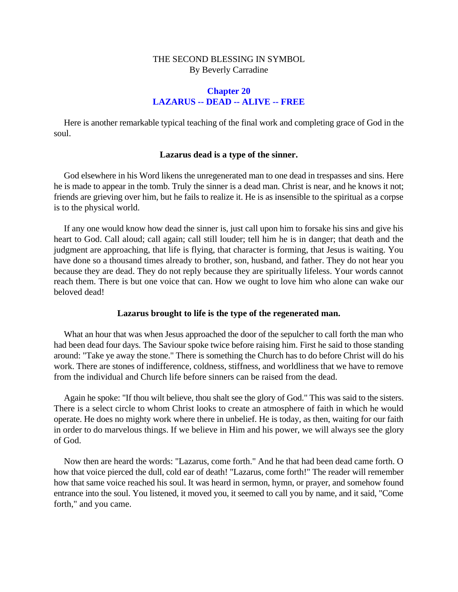## **Chapter 20 LAZARUS -- DEAD -- ALIVE -- FREE**

Here is another remarkable typical teaching of the final work and completing grace of God in the soul.

### **Lazarus dead is a type of the sinner.**

God elsewhere in his Word likens the unregenerated man to one dead in trespasses and sins. Here he is made to appear in the tomb. Truly the sinner is a dead man. Christ is near, and he knows it not; friends are grieving over him, but he fails to realize it. He is as insensible to the spiritual as a corpse is to the physical world.

If any one would know how dead the sinner is, just call upon him to forsake his sins and give his heart to God. Call aloud; call again; call still louder; tell him he is in danger; that death and the judgment are approaching, that life is flying, that character is forming, that Jesus is waiting. You have done so a thousand times already to brother, son, husband, and father. They do not hear you because they are dead. They do not reply because they are spiritually lifeless. Your words cannot reach them. There is but one voice that can. How we ought to love him who alone can wake our beloved dead!

### **Lazarus brought to life is the type of the regenerated man.**

What an hour that was when Jesus approached the door of the sepulcher to call forth the man who had been dead four days. The Saviour spoke twice before raising him. First he said to those standing around: "Take ye away the stone." There is something the Church has to do before Christ will do his work. There are stones of indifference, coldness, stiffness, and worldliness that we have to remove from the individual and Church life before sinners can be raised from the dead.

Again he spoke: "If thou wilt believe, thou shalt see the glory of God." This was said to the sisters. There is a select circle to whom Christ looks to create an atmosphere of faith in which he would operate. He does no mighty work where there in unbelief. He is today, as then, waiting for our faith in order to do marvelous things. If we believe in Him and his power, we will always see the glory of God.

Now then are heard the words: "Lazarus, come forth." And he that had been dead came forth. O how that voice pierced the dull, cold ear of death! "Lazarus, come forth!" The reader will remember how that same voice reached his soul. It was heard in sermon, hymn, or prayer, and somehow found entrance into the soul. You listened, it moved you, it seemed to call you by name, and it said, "Come forth," and you came.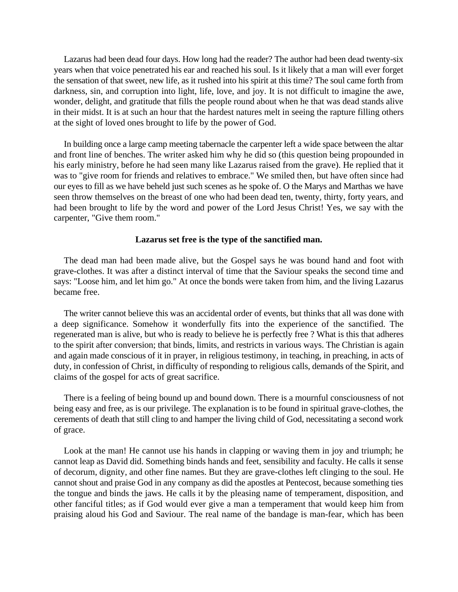Lazarus had been dead four days. How long had the reader? The author had been dead twenty-six years when that voice penetrated his ear and reached his soul. Is it likely that a man will ever forget the sensation of that sweet, new life, as it rushed into his spirit at this time? The soul came forth from darkness, sin, and corruption into light, life, love, and joy. It is not difficult to imagine the awe, wonder, delight, and gratitude that fills the people round about when he that was dead stands alive in their midst. It is at such an hour that the hardest natures melt in seeing the rapture filling others at the sight of loved ones brought to life by the power of God.

In building once a large camp meeting tabernacle the carpenter left a wide space between the altar and front line of benches. The writer asked him why he did so (this question being propounded in his early ministry, before he had seen many like Lazarus raised from the grave). He replied that it was to "give room for friends and relatives to embrace." We smiled then, but have often since had our eyes to fill as we have beheld just such scenes as he spoke of. O the Marys and Marthas we have seen throw themselves on the breast of one who had been dead ten, twenty, thirty, forty years, and had been brought to life by the word and power of the Lord Jesus Christ! Yes, we say with the carpenter, "Give them room."

#### **Lazarus set free is the type of the sanctified man.**

The dead man had been made alive, but the Gospel says he was bound hand and foot with grave-clothes. It was after a distinct interval of time that the Saviour speaks the second time and says: "Loose him, and let him go." At once the bonds were taken from him, and the living Lazarus became free.

The writer cannot believe this was an accidental order of events, but thinks that all was done with a deep significance. Somehow it wonderfully fits into the experience of the sanctified. The regenerated man is alive, but who is ready to believe he is perfectly free ? What is this that adheres to the spirit after conversion; that binds, limits, and restricts in various ways. The Christian is again and again made conscious of it in prayer, in religious testimony, in teaching, in preaching, in acts of duty, in confession of Christ, in difficulty of responding to religious calls, demands of the Spirit, and claims of the gospel for acts of great sacrifice.

There is a feeling of being bound up and bound down. There is a mournful consciousness of not being easy and free, as is our privilege. The explanation is to be found in spiritual grave-clothes, the cerements of death that still cling to and hamper the living child of God, necessitating a second work of grace.

Look at the man! He cannot use his hands in clapping or waving them in joy and triumph; he cannot leap as David did. Something binds hands and feet, sensibility and faculty. He calls it sense of decorum, dignity, and other fine names. But they are grave-clothes left clinging to the soul. He cannot shout and praise God in any company as did the apostles at Pentecost, because something ties the tongue and binds the jaws. He calls it by the pleasing name of temperament, disposition, and other fanciful titles; as if God would ever give a man a temperament that would keep him from praising aloud his God and Saviour. The real name of the bandage is man-fear, which has been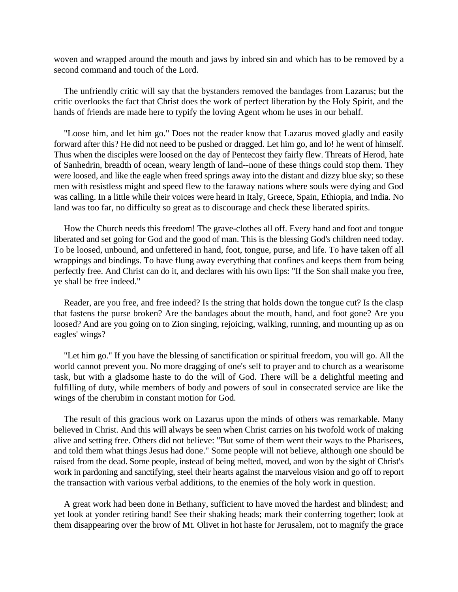woven and wrapped around the mouth and jaws by inbred sin and which has to be removed by a second command and touch of the Lord.

The unfriendly critic will say that the bystanders removed the bandages from Lazarus; but the critic overlooks the fact that Christ does the work of perfect liberation by the Holy Spirit, and the hands of friends are made here to typify the loving Agent whom he uses in our behalf.

"Loose him, and let him go." Does not the reader know that Lazarus moved gladly and easily forward after this? He did not need to be pushed or dragged. Let him go, and lo! he went of himself. Thus when the disciples were loosed on the day of Pentecost they fairly flew. Threats of Herod, hate of Sanhedrin, breadth of ocean, weary length of land--none of these things could stop them. They were loosed, and like the eagle when freed springs away into the distant and dizzy blue sky; so these men with resistless might and speed flew to the faraway nations where souls were dying and God was calling. In a little while their voices were heard in Italy, Greece, Spain, Ethiopia, and India. No land was too far, no difficulty so great as to discourage and check these liberated spirits.

How the Church needs this freedom! The grave-clothes all off. Every hand and foot and tongue liberated and set going for God and the good of man. This is the blessing God's children need today. To be loosed, unbound, and unfettered in hand, foot, tongue, purse, and life. To have taken off all wrappings and bindings. To have flung away everything that confines and keeps them from being perfectly free. And Christ can do it, and declares with his own lips: "If the Son shall make you free, ye shall be free indeed."

Reader, are you free, and free indeed? Is the string that holds down the tongue cut? Is the clasp that fastens the purse broken? Are the bandages about the mouth, hand, and foot gone? Are you loosed? And are you going on to Zion singing, rejoicing, walking, running, and mounting up as on eagles' wings?

"Let him go." If you have the blessing of sanctification or spiritual freedom, you will go. All the world cannot prevent you. No more dragging of one's self to prayer and to church as a wearisome task, but with a gladsome haste to do the will of God. There will be a delightful meeting and fulfilling of duty, while members of body and powers of soul in consecrated service are like the wings of the cherubim in constant motion for God.

The result of this gracious work on Lazarus upon the minds of others was remarkable. Many believed in Christ. And this will always be seen when Christ carries on his twofold work of making alive and setting free. Others did not believe: "But some of them went their ways to the Pharisees, and told them what things Jesus had done." Some people will not believe, although one should be raised from the dead. Some people, instead of being melted, moved, and won by the sight of Christ's work in pardoning and sanctifying, steel their hearts against the marvelous vision and go off to report the transaction with various verbal additions, to the enemies of the holy work in question.

A great work had been done in Bethany, sufficient to have moved the hardest and blindest; and yet look at yonder retiring band! See their shaking heads; mark their conferring together; look at them disappearing over the brow of Mt. Olivet in hot haste for Jerusalem, not to magnify the grace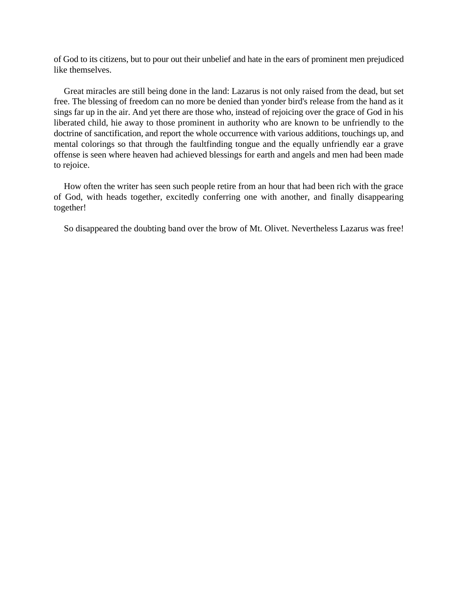of God to its citizens, but to pour out their unbelief and hate in the ears of prominent men prejudiced like themselves.

Great miracles are still being done in the land: Lazarus is not only raised from the dead, but set free. The blessing of freedom can no more be denied than yonder bird's release from the hand as it sings far up in the air. And yet there are those who, instead of rejoicing over the grace of God in his liberated child, hie away to those prominent in authority who are known to be unfriendly to the doctrine of sanctification, and report the whole occurrence with various additions, touchings up, and mental colorings so that through the faultfinding tongue and the equally unfriendly ear a grave offense is seen where heaven had achieved blessings for earth and angels and men had been made to rejoice.

How often the writer has seen such people retire from an hour that had been rich with the grace of God, with heads together, excitedly conferring one with another, and finally disappearing together!

So disappeared the doubting band over the brow of Mt. Olivet. Nevertheless Lazarus was free!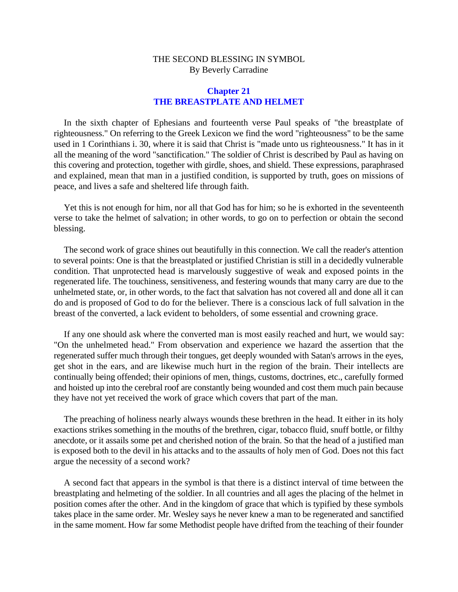### **Chapter 21 THE BREASTPLATE AND HELMET**

In the sixth chapter of Ephesians and fourteenth verse Paul speaks of "the breastplate of righteousness." On referring to the Greek Lexicon we find the word "righteousness" to be the same used in 1 Corinthians i. 30, where it is said that Christ is "made unto us righteousness." It has in it all the meaning of the word "sanctification." The soldier of Christ is described by Paul as having on this covering and protection, together with girdle, shoes, and shield. These expressions, paraphrased and explained, mean that man in a justified condition, is supported by truth, goes on missions of peace, and lives a safe and sheltered life through faith.

Yet this is not enough for him, nor all that God has for him; so he is exhorted in the seventeenth verse to take the helmet of salvation; in other words, to go on to perfection or obtain the second blessing.

The second work of grace shines out beautifully in this connection. We call the reader's attention to several points: One is that the breastplated or justified Christian is still in a decidedly vulnerable condition. That unprotected head is marvelously suggestive of weak and exposed points in the regenerated life. The touchiness, sensitiveness, and festering wounds that many carry are due to the unhelmeted state, or, in other words, to the fact that salvation has not covered all and done all it can do and is proposed of God to do for the believer. There is a conscious lack of full salvation in the breast of the converted, a lack evident to beholders, of some essential and crowning grace.

If any one should ask where the converted man is most easily reached and hurt, we would say: "On the unhelmeted head." From observation and experience we hazard the assertion that the regenerated suffer much through their tongues, get deeply wounded with Satan's arrows in the eyes, get shot in the ears, and are likewise much hurt in the region of the brain. Their intellects are continually being offended; their opinions of men, things, customs, doctrines, etc., carefully formed and hoisted up into the cerebral roof are constantly being wounded and cost them much pain because they have not yet received the work of grace which covers that part of the man.

The preaching of holiness nearly always wounds these brethren in the head. It either in its holy exactions strikes something in the mouths of the brethren, cigar, tobacco fluid, snuff bottle, or filthy anecdote, or it assails some pet and cherished notion of the brain. So that the head of a justified man is exposed both to the devil in his attacks and to the assaults of holy men of God. Does not this fact argue the necessity of a second work?

A second fact that appears in the symbol is that there is a distinct interval of time between the breastplating and helmeting of the soldier. In all countries and all ages the placing of the helmet in position comes after the other. And in the kingdom of grace that which is typified by these symbols takes place in the same order. Mr. Wesley says he never knew a man to be regenerated and sanctified in the same moment. How far some Methodist people have drifted from the teaching of their founder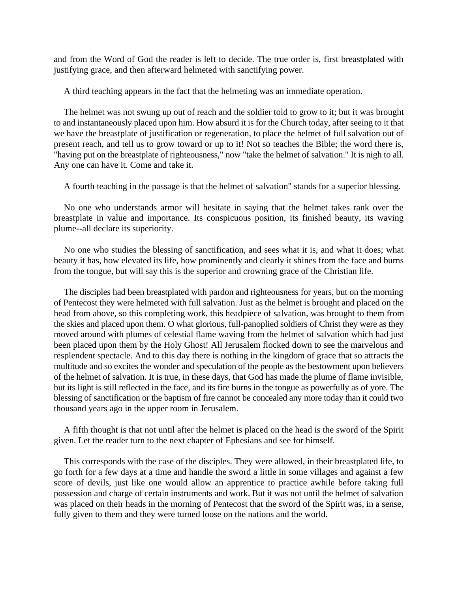and from the Word of God the reader is left to decide. The true order is, first breastplated with justifying grace, and then afterward helmeted with sanctifying power.

A third teaching appears in the fact that the helmeting was an immediate operation.

The helmet was not swung up out of reach and the soldier told to grow to it; but it was brought to and instantaneously placed upon him. How absurd it is for the Church today, after seeing to it that we have the breastplate of justification or regeneration, to place the helmet of full salvation out of present reach, and tell us to grow toward or up to it! Not so teaches the Bible; the word there is, "having put on the breastplate of righteousness," now "take the helmet of salvation." It is nigh to all. Any one can have it. Come and take it.

A fourth teaching in the passage is that the helmet of salvation" stands for a superior blessing.

No one who understands armor will hesitate in saying that the helmet takes rank over the breastplate in value and importance. Its conspicuous position, its finished beauty, its waving plume--all declare its superiority.

No one who studies the blessing of sanctification, and sees what it is, and what it does; what beauty it has, how elevated its life, how prominently and clearly it shines from the face and burns from the tongue, but will say this is the superior and crowning grace of the Christian life.

The disciples had been breastplated with pardon and righteousness for years, but on the morning of Pentecost they were helmeted with full salvation. Just as the helmet is brought and placed on the head from above, so this completing work, this headpiece of salvation, was brought to them from the skies and placed upon them. O what glorious, full-panoplied soldiers of Christ they were as they moved around with plumes of celestial flame waving from the helmet of salvation which had just been placed upon them by the Holy Ghost! All Jerusalem flocked down to see the marvelous and resplendent spectacle. And to this day there is nothing in the kingdom of grace that so attracts the multitude and so excites the wonder and speculation of the people as the bestowment upon believers of the helmet of salvation. It is true, in these days, that God has made the plume of flame invisible, but its light is still reflected in the face, and its fire burns in the tongue as powerfully as of yore. The blessing of sanctification or the baptism of fire cannot be concealed any more today than it could two thousand years ago in the upper room in Jerusalem.

A fifth thought is that not until after the helmet is placed on the head is the sword of the Spirit given. Let the reader turn to the next chapter of Ephesians and see for himself.

This corresponds with the case of the disciples. They were allowed, in their breastplated life, to go forth for a few days at a time and handle the sword a little in some villages and against a few score of devils, just like one would allow an apprentice to practice awhile before taking full possession and charge of certain instruments and work. But it was not until the helmet of salvation was placed on their heads in the morning of Pentecost that the sword of the Spirit was, in a sense, fully given to them and they were turned loose on the nations and the world.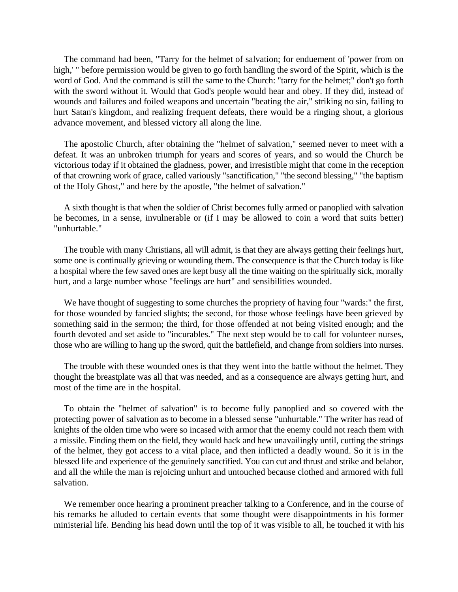The command had been, "Tarry for the helmet of salvation; for enduement of 'power from on high,' " before permission would be given to go forth handling the sword of the Spirit, which is the word of God. And the command is still the same to the Church: "tarry for the helmet;" don't go forth with the sword without it. Would that God's people would hear and obey. If they did, instead of wounds and failures and foiled weapons and uncertain "beating the air," striking no sin, failing to hurt Satan's kingdom, and realizing frequent defeats, there would be a ringing shout, a glorious advance movement, and blessed victory all along the line.

The apostolic Church, after obtaining the "helmet of salvation," seemed never to meet with a defeat. It was an unbroken triumph for years and scores of years, and so would the Church be victorious today if it obtained the gladness, power, and irresistible might that come in the reception of that crowning work of grace, called variously "sanctification," "the second blessing," "the baptism of the Holy Ghost," and here by the apostle, "the helmet of salvation."

A sixth thought is that when the soldier of Christ becomes fully armed or panoplied with salvation he becomes, in a sense, invulnerable or (if I may be allowed to coin a word that suits better) "unhurtable."

The trouble with many Christians, all will admit, is that they are always getting their feelings hurt, some one is continually grieving or wounding them. The consequence is that the Church today is like a hospital where the few saved ones are kept busy all the time waiting on the spiritually sick, morally hurt, and a large number whose "feelings are hurt" and sensibilities wounded.

We have thought of suggesting to some churches the propriety of having four "wards:" the first, for those wounded by fancied slights; the second, for those whose feelings have been grieved by something said in the sermon; the third, for those offended at not being visited enough; and the fourth devoted and set aside to "incurables." The next step would be to call for volunteer nurses, those who are willing to hang up the sword, quit the battlefield, and change from soldiers into nurses.

The trouble with these wounded ones is that they went into the battle without the helmet. They thought the breastplate was all that was needed, and as a consequence are always getting hurt, and most of the time are in the hospital.

To obtain the "helmet of salvation" is to become fully panoplied and so covered with the protecting power of salvation as to become in a blessed sense "unhurtable." The writer has read of knights of the olden time who were so incased with armor that the enemy could not reach them with a missile. Finding them on the field, they would hack and hew unavailingly until, cutting the strings of the helmet, they got access to a vital place, and then inflicted a deadly wound. So it is in the blessed life and experience of the genuinely sanctified. You can cut and thrust and strike and belabor, and all the while the man is rejoicing unhurt and untouched because clothed and armored with full salvation.

We remember once hearing a prominent preacher talking to a Conference, and in the course of his remarks he alluded to certain events that some thought were disappointments in his former ministerial life. Bending his head down until the top of it was visible to all, he touched it with his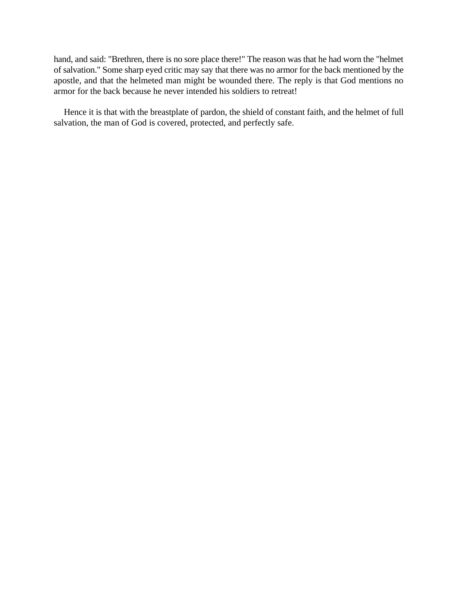hand, and said: "Brethren, there is no sore place there!" The reason was that he had worn the "helmet of salvation." Some sharp eyed critic may say that there was no armor for the back mentioned by the apostle, and that the helmeted man might be wounded there. The reply is that God mentions no armor for the back because he never intended his soldiers to retreat!

Hence it is that with the breastplate of pardon, the shield of constant faith, and the helmet of full salvation, the man of God is covered, protected, and perfectly safe.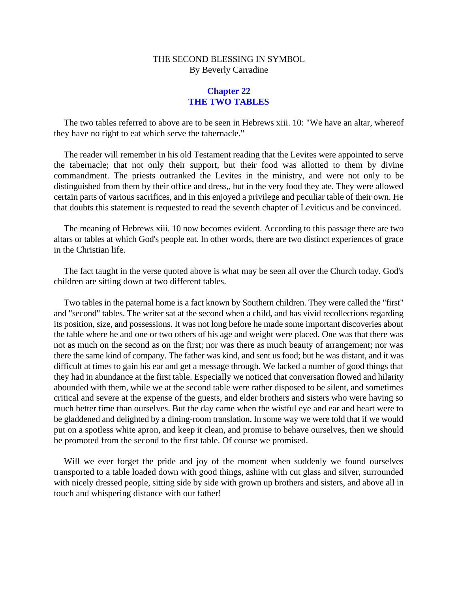## **Chapter 22 THE TWO TABLES**

The two tables referred to above are to be seen in Hebrews xiii. 10: "We have an altar, whereof they have no right to eat which serve the tabernacle."

The reader will remember in his old Testament reading that the Levites were appointed to serve the tabernacle; that not only their support, but their food was allotted to them by divine commandment. The priests outranked the Levites in the ministry, and were not only to be distinguished from them by their office and dress,, but in the very food they ate. They were allowed certain parts of various sacrifices, and in this enjoyed a privilege and peculiar table of their own. He that doubts this statement is requested to read the seventh chapter of Leviticus and be convinced.

The meaning of Hebrews xiii. 10 now becomes evident. According to this passage there are two altars or tables at which God's people eat. In other words, there are two distinct experiences of grace in the Christian life.

The fact taught in the verse quoted above is what may be seen all over the Church today. God's children are sitting down at two different tables.

Two tables in the paternal home is a fact known by Southern children. They were called the "first" and "second" tables. The writer sat at the second when a child, and has vivid recollections regarding its position, size, and possessions. It was not long before he made some important discoveries about the table where he and one or two others of his age and weight were placed. One was that there was not as much on the second as on the first; nor was there as much beauty of arrangement; nor was there the same kind of company. The father was kind, and sent us food; but he was distant, and it was difficult at times to gain his ear and get a message through. We lacked a number of good things that they had in abundance at the first table. Especially we noticed that conversation flowed and hilarity abounded with them, while we at the second table were rather disposed to be silent, and sometimes critical and severe at the expense of the guests, and elder brothers and sisters who were having so much better time than ourselves. But the day came when the wistful eye and ear and heart were to be gladdened and delighted by a dining-room translation. In some way we were told that if we would put on a spotless white apron, and keep it clean, and promise to behave ourselves, then we should be promoted from the second to the first table. Of course we promised.

Will we ever forget the pride and joy of the moment when suddenly we found ourselves transported to a table loaded down with good things, ashine with cut glass and silver, surrounded with nicely dressed people, sitting side by side with grown up brothers and sisters, and above all in touch and whispering distance with our father!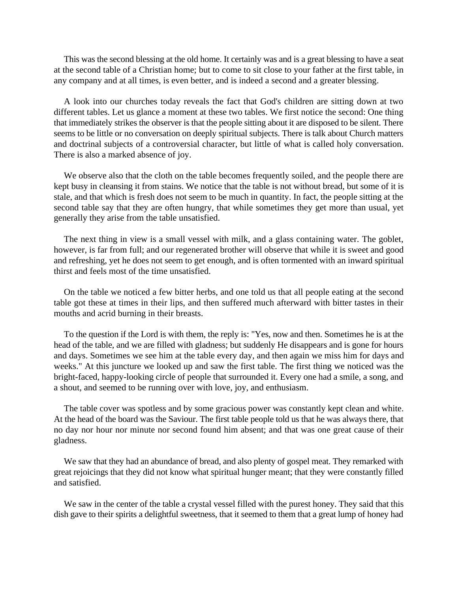This was the second blessing at the old home. It certainly was and is a great blessing to have a seat at the second table of a Christian home; but to come to sit close to your father at the first table, in any company and at all times, is even better, and is indeed a second and a greater blessing.

A look into our churches today reveals the fact that God's children are sitting down at two different tables. Let us glance a moment at these two tables. We first notice the second: One thing that immediately strikes the observer is that the people sitting about it are disposed to be silent. There seems to be little or no conversation on deeply spiritual subjects. There is talk about Church matters and doctrinal subjects of a controversial character, but little of what is called holy conversation. There is also a marked absence of joy.

We observe also that the cloth on the table becomes frequently soiled, and the people there are kept busy in cleansing it from stains. We notice that the table is not without bread, but some of it is stale, and that which is fresh does not seem to be much in quantity. In fact, the people sitting at the second table say that they are often hungry, that while sometimes they get more than usual, yet generally they arise from the table unsatisfied.

The next thing in view is a small vessel with milk, and a glass containing water. The goblet, however, is far from full; and our regenerated brother will observe that while it is sweet and good and refreshing, yet he does not seem to get enough, and is often tormented with an inward spiritual thirst and feels most of the time unsatisfied.

On the table we noticed a few bitter herbs, and one told us that all people eating at the second table got these at times in their lips, and then suffered much afterward with bitter tastes in their mouths and acrid burning in their breasts.

To the question if the Lord is with them, the reply is: "Yes, now and then. Sometimes he is at the head of the table, and we are filled with gladness; but suddenly He disappears and is gone for hours and days. Sometimes we see him at the table every day, and then again we miss him for days and weeks." At this juncture we looked up and saw the first table. The first thing we noticed was the bright-faced, happy-looking circle of people that surrounded it. Every one had a smile, a song, and a shout, and seemed to be running over with love, joy, and enthusiasm.

The table cover was spotless and by some gracious power was constantly kept clean and white. At the head of the board was the Saviour. The first table people told us that he was always there, that no day nor hour nor minute nor second found him absent; and that was one great cause of their gladness.

We saw that they had an abundance of bread, and also plenty of gospel meat. They remarked with great rejoicings that they did not know what spiritual hunger meant; that they were constantly filled and satisfied.

We saw in the center of the table a crystal vessel filled with the purest honey. They said that this dish gave to their spirits a delightful sweetness, that it seemed to them that a great lump of honey had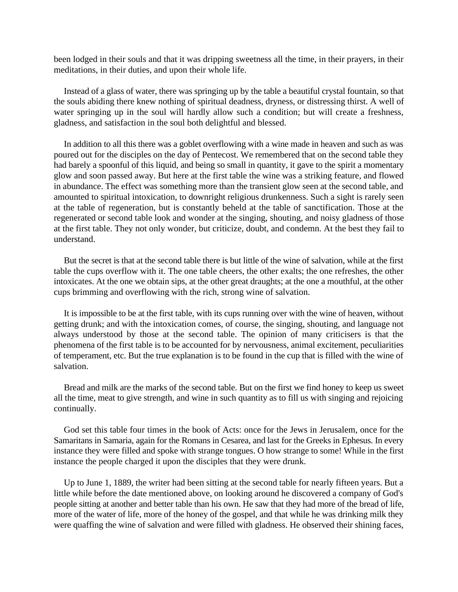been lodged in their souls and that it was dripping sweetness all the time, in their prayers, in their meditations, in their duties, and upon their whole life.

Instead of a glass of water, there was springing up by the table a beautiful crystal fountain, so that the souls abiding there knew nothing of spiritual deadness, dryness, or distressing thirst. A well of water springing up in the soul will hardly allow such a condition; but will create a freshness, gladness, and satisfaction in the soul both delightful and blessed.

In addition to all this there was a goblet overflowing with a wine made in heaven and such as was poured out for the disciples on the day of Pentecost. We remembered that on the second table they had barely a spoonful of this liquid, and being so small in quantity, it gave to the spirit a momentary glow and soon passed away. But here at the first table the wine was a striking feature, and flowed in abundance. The effect was something more than the transient glow seen at the second table, and amounted to spiritual intoxication, to downright religious drunkenness. Such a sight is rarely seen at the table of regeneration, but is constantly beheld at the table of sanctification. Those at the regenerated or second table look and wonder at the singing, shouting, and noisy gladness of those at the first table. They not only wonder, but criticize, doubt, and condemn. At the best they fail to understand.

But the secret is that at the second table there is but little of the wine of salvation, while at the first table the cups overflow with it. The one table cheers, the other exalts; the one refreshes, the other intoxicates. At the one we obtain sips, at the other great draughts; at the one a mouthful, at the other cups brimming and overflowing with the rich, strong wine of salvation.

It is impossible to be at the first table, with its cups running over with the wine of heaven, without getting drunk; and with the intoxication comes, of course, the singing, shouting, and language not always understood by those at the second table. The opinion of many criticisers is that the phenomena of the first table is to be accounted for by nervousness, animal excitement, peculiarities of temperament, etc. But the true explanation is to be found in the cup that is filled with the wine of salvation.

Bread and milk are the marks of the second table. But on the first we find honey to keep us sweet all the time, meat to give strength, and wine in such quantity as to fill us with singing and rejoicing continually.

God set this table four times in the book of Acts: once for the Jews in Jerusalem, once for the Samaritans in Samaria, again for the Romans in Cesarea, and last for the Greeks in Ephesus. In every instance they were filled and spoke with strange tongues. O how strange to some! While in the first instance the people charged it upon the disciples that they were drunk.

Up to June 1, 1889, the writer had been sitting at the second table for nearly fifteen years. But a little while before the date mentioned above, on looking around he discovered a company of God's people sitting at another and better table than his own. He saw that they had more of the bread of life, more of the water of life, more of the honey of the gospel, and that while he was drinking milk they were quaffing the wine of salvation and were filled with gladness. He observed their shining faces,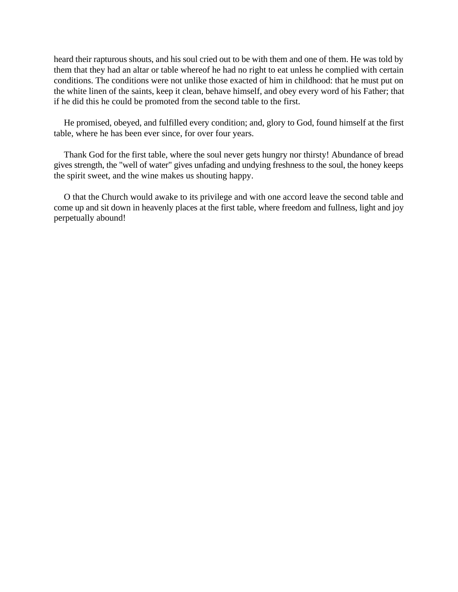heard their rapturous shouts, and his soul cried out to be with them and one of them. He was told by them that they had an altar or table whereof he had no right to eat unless he complied with certain conditions. The conditions were not unlike those exacted of him in childhood: that he must put on the white linen of the saints, keep it clean, behave himself, and obey every word of his Father; that if he did this he could be promoted from the second table to the first.

He promised, obeyed, and fulfilled every condition; and, glory to God, found himself at the first table, where he has been ever since, for over four years.

Thank God for the first table, where the soul never gets hungry nor thirsty! Abundance of bread gives strength, the "well of water" gives unfading and undying freshness to the soul, the honey keeps the spirit sweet, and the wine makes us shouting happy.

O that the Church would awake to its privilege and with one accord leave the second table and come up and sit down in heavenly places at the first table, where freedom and fullness, light and joy perpetually abound!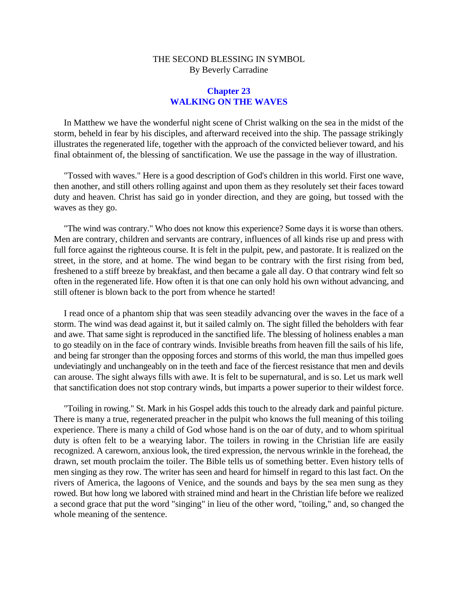### **Chapter 23 WALKING ON THE WAVES**

In Matthew we have the wonderful night scene of Christ walking on the sea in the midst of the storm, beheld in fear by his disciples, and afterward received into the ship. The passage strikingly illustrates the regenerated life, together with the approach of the convicted believer toward, and his final obtainment of, the blessing of sanctification. We use the passage in the way of illustration.

"Tossed with waves." Here is a good description of God's children in this world. First one wave, then another, and still others rolling against and upon them as they resolutely set their faces toward duty and heaven. Christ has said go in yonder direction, and they are going, but tossed with the waves as they go.

"The wind was contrary." Who does not know this experience? Some days it is worse than others. Men are contrary, children and servants are contrary, influences of all kinds rise up and press with full force against the righteous course. It is felt in the pulpit, pew, and pastorate. It is realized on the street, in the store, and at home. The wind began to be contrary with the first rising from bed, freshened to a stiff breeze by breakfast, and then became a gale all day. O that contrary wind felt so often in the regenerated life. How often it is that one can only hold his own without advancing, and still oftener is blown back to the port from whence he started!

I read once of a phantom ship that was seen steadily advancing over the waves in the face of a storm. The wind was dead against it, but it sailed calmly on. The sight filled the beholders with fear and awe. That same sight is reproduced in the sanctified life. The blessing of holiness enables a man to go steadily on in the face of contrary winds. Invisible breaths from heaven fill the sails of his life, and being far stronger than the opposing forces and storms of this world, the man thus impelled goes undeviatingly and unchangeably on in the teeth and face of the fiercest resistance that men and devils can arouse. The sight always fills with awe. It is felt to be supernatural, and is so. Let us mark well that sanctification does not stop contrary winds, but imparts a power superior to their wildest force.

"Toiling in rowing." St. Mark in his Gospel adds this touch to the already dark and painful picture. There is many a true, regenerated preacher in the pulpit who knows the full meaning of this toiling experience. There is many a child of God whose hand is on the oar of duty, and to whom spiritual duty is often felt to be a wearying labor. The toilers in rowing in the Christian life are easily recognized. A careworn, anxious look, the tired expression, the nervous wrinkle in the forehead, the drawn, set mouth proclaim the toiler. The Bible tells us of something better. Even history tells of men singing as they row. The writer has seen and heard for himself in regard to this last fact. On the rivers of America, the lagoons of Venice, and the sounds and bays by the sea men sung as they rowed. But how long we labored with strained mind and heart in the Christian life before we realized a second grace that put the word "singing" in lieu of the other word, "toiling," and, so changed the whole meaning of the sentence.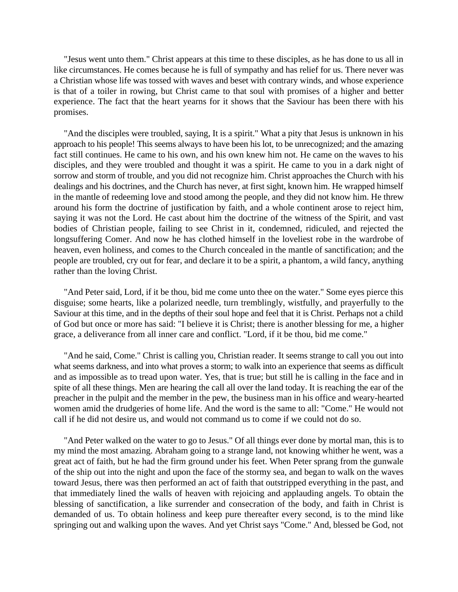"Jesus went unto them." Christ appears at this time to these disciples, as he has done to us all in like circumstances. He comes because he is full of sympathy and has relief for us. There never was a Christian whose life was tossed with waves and beset with contrary winds, and whose experience is that of a toiler in rowing, but Christ came to that soul with promises of a higher and better experience. The fact that the heart yearns for it shows that the Saviour has been there with his promises.

"And the disciples were troubled, saying, It is a spirit." What a pity that Jesus is unknown in his approach to his people! This seems always to have been his lot, to be unrecognized; and the amazing fact still continues. He came to his own, and his own knew him not. He came on the waves to his disciples, and they were troubled and thought it was a spirit. He came to you in a dark night of sorrow and storm of trouble, and you did not recognize him. Christ approaches the Church with his dealings and his doctrines, and the Church has never, at first sight, known him. He wrapped himself in the mantle of redeeming love and stood among the people, and they did not know him. He threw around his form the doctrine of justification by faith, and a whole continent arose to reject him, saying it was not the Lord. He cast about him the doctrine of the witness of the Spirit, and vast bodies of Christian people, failing to see Christ in it, condemned, ridiculed, and rejected the longsuffering Comer. And now he has clothed himself in the loveliest robe in the wardrobe of heaven, even holiness, and comes to the Church concealed in the mantle of sanctification; and the people are troubled, cry out for fear, and declare it to be a spirit, a phantom, a wild fancy, anything rather than the loving Christ.

"And Peter said, Lord, if it be thou, bid me come unto thee on the water." Some eyes pierce this disguise; some hearts, like a polarized needle, turn tremblingly, wistfully, and prayerfully to the Saviour at this time, and in the depths of their soul hope and feel that it is Christ. Perhaps not a child of God but once or more has said: "I believe it is Christ; there is another blessing for me, a higher grace, a deliverance from all inner care and conflict. "Lord, if it be thou, bid me come."

"And he said, Come." Christ is calling you, Christian reader. It seems strange to call you out into what seems darkness, and into what proves a storm; to walk into an experience that seems as difficult and as impossible as to tread upon water. Yes, that is true; but still he is calling in the face and in spite of all these things. Men are hearing the call all over the land today. It is reaching the ear of the preacher in the pulpit and the member in the pew, the business man in his office and weary-hearted women amid the drudgeries of home life. And the word is the same to all: "Come." He would not call if he did not desire us, and would not command us to come if we could not do so.

"And Peter walked on the water to go to Jesus." Of all things ever done by mortal man, this is to my mind the most amazing. Abraham going to a strange land, not knowing whither he went, was a great act of faith, but he had the firm ground under his feet. When Peter sprang from the gunwale of the ship out into the night and upon the face of the stormy sea, and began to walk on the waves toward Jesus, there was then performed an act of faith that outstripped everything in the past, and that immediately lined the walls of heaven with rejoicing and applauding angels. To obtain the blessing of sanctification, a like surrender and consecration of the body, and faith in Christ is demanded of us. To obtain holiness and keep pure thereafter every second, is to the mind like springing out and walking upon the waves. And yet Christ says "Come." And, blessed be God, not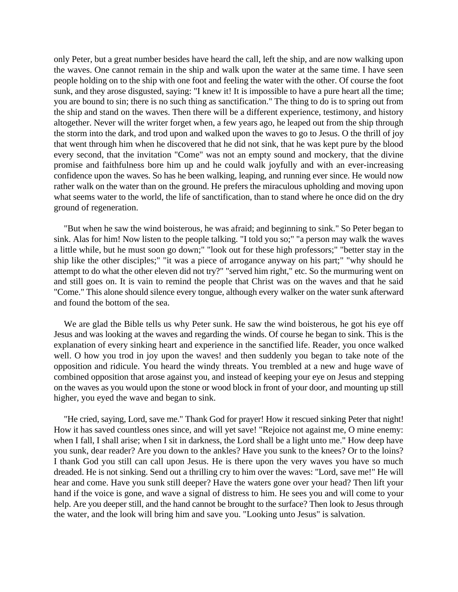only Peter, but a great number besides have heard the call, left the ship, and are now walking upon the waves. One cannot remain in the ship and walk upon the water at the same time. I have seen people holding on to the ship with one foot and feeling the water with the other. Of course the foot sunk, and they arose disgusted, saying: "I knew it! It is impossible to have a pure heart all the time; you are bound to sin; there is no such thing as sanctification." The thing to do is to spring out from the ship and stand on the waves. Then there will be a different experience, testimony, and history altogether. Never will the writer forget when, a few years ago, he leaped out from the ship through the storm into the dark, and trod upon and walked upon the waves to go to Jesus. O the thrill of joy that went through him when he discovered that he did not sink, that he was kept pure by the blood every second, that the invitation "Come" was not an empty sound and mockery, that the divine promise and faithfulness bore him up and he could walk joyfully and with an ever-increasing confidence upon the waves. So has he been walking, leaping, and running ever since. He would now rather walk on the water than on the ground. He prefers the miraculous upholding and moving upon what seems water to the world, the life of sanctification, than to stand where he once did on the dry ground of regeneration.

"But when he saw the wind boisterous, he was afraid; and beginning to sink." So Peter began to sink. Alas for him! Now listen to the people talking. "I told you so;" "a person may walk the waves a little while, but he must soon go down;" "look out for these high professors;" "better stay in the ship like the other disciples;" "it was a piece of arrogance anyway on his part;" "why should he attempt to do what the other eleven did not try?" "served him right," etc. So the murmuring went on and still goes on. It is vain to remind the people that Christ was on the waves and that he said "Come." This alone should silence every tongue, although every walker on the water sunk afterward and found the bottom of the sea.

We are glad the Bible tells us why Peter sunk. He saw the wind boisterous, he got his eye off Jesus and was looking at the waves and regarding the winds. Of course he began to sink. This is the explanation of every sinking heart and experience in the sanctified life. Reader, you once walked well. O how you trod in joy upon the waves! and then suddenly you began to take note of the opposition and ridicule. You heard the windy threats. You trembled at a new and huge wave of combined opposition that arose against you, and instead of keeping your eye on Jesus and stepping on the waves as you would upon the stone or wood block in front of your door, and mounting up still higher, you eyed the wave and began to sink.

"He cried, saying, Lord, save me." Thank God for prayer! How it rescued sinking Peter that night! How it has saved countless ones since, and will yet save! "Rejoice not against me, O mine enemy: when I fall, I shall arise; when I sit in darkness, the Lord shall be a light unto me." How deep have you sunk, dear reader? Are you down to the ankles? Have you sunk to the knees? Or to the loins? I thank God you still can call upon Jesus. He is there upon the very waves you have so much dreaded. He is not sinking. Send out a thrilling cry to him over the waves: "Lord, save me!" He will hear and come. Have you sunk still deeper? Have the waters gone over your head? Then lift your hand if the voice is gone, and wave a signal of distress to him. He sees you and will come to your help. Are you deeper still, and the hand cannot be brought to the surface? Then look to Jesus through the water, and the look will bring him and save you. "Looking unto Jesus" is salvation.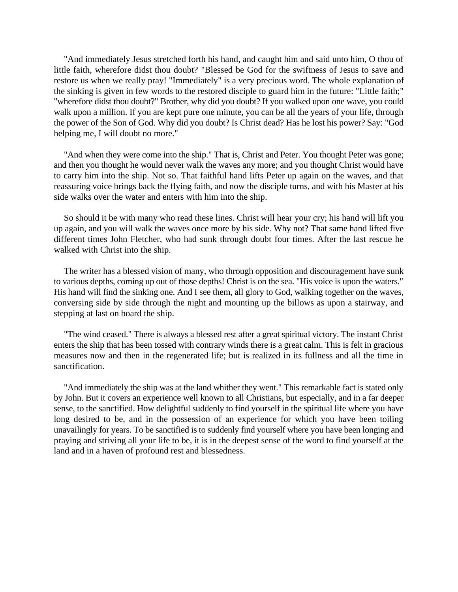"And immediately Jesus stretched forth his hand, and caught him and said unto him, O thou of little faith, wherefore didst thou doubt? "Blessed be God for the swiftness of Jesus to save and restore us when we really pray! "Immediately" is a very precious word. The whole explanation of the sinking is given in few words to the restored disciple to guard him in the future: "Little faith;" "wherefore didst thou doubt?" Brother, why did you doubt? If you walked upon one wave, you could walk upon a million. If you are kept pure one minute, you can be all the years of your life, through the power of the Son of God. Why did you doubt? Is Christ dead? Has he lost his power? Say: "God helping me, I will doubt no more."

"And when they were come into the ship." That is, Christ and Peter. You thought Peter was gone; and then you thought he would never walk the waves any more; and you thought Christ would have to carry him into the ship. Not so. That faithful hand lifts Peter up again on the waves, and that reassuring voice brings back the flying faith, and now the disciple turns, and with his Master at his side walks over the water and enters with him into the ship.

So should it be with many who read these lines. Christ will hear your cry; his hand will lift you up again, and you will walk the waves once more by his side. Why not? That same hand lifted five different times John Fletcher, who had sunk through doubt four times. After the last rescue he walked with Christ into the ship.

The writer has a blessed vision of many, who through opposition and discouragement have sunk to various depths, coming up out of those depths! Christ is on the sea. "His voice is upon the waters." His hand will find the sinking one. And I see them, all glory to God, walking together on the waves, conversing side by side through the night and mounting up the billows as upon a stairway, and stepping at last on board the ship.

"The wind ceased." There is always a blessed rest after a great spiritual victory. The instant Christ enters the ship that has been tossed with contrary winds there is a great calm. This is felt in gracious measures now and then in the regenerated life; but is realized in its fullness and all the time in sanctification.

"And immediately the ship was at the land whither they went." This remarkable fact is stated only by John. But it covers an experience well known to all Christians, but especially, and in a far deeper sense, to the sanctified. How delightful suddenly to find yourself in the spiritual life where you have long desired to be, and in the possession of an experience for which you have been toiling unavailingly for years. To be sanctified is to suddenly find yourself where you have been longing and praying and striving all your life to be, it is in the deepest sense of the word to find yourself at the land and in a haven of profound rest and blessedness.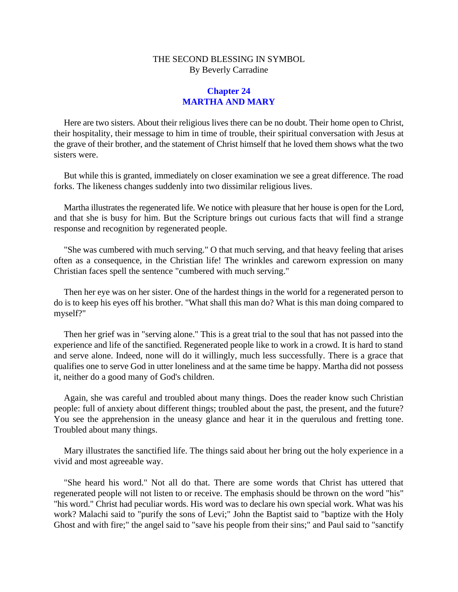## **Chapter 24 MARTHA AND MARY**

Here are two sisters. About their religious lives there can be no doubt. Their home open to Christ, their hospitality, their message to him in time of trouble, their spiritual conversation with Jesus at the grave of their brother, and the statement of Christ himself that he loved them shows what the two sisters were.

But while this is granted, immediately on closer examination we see a great difference. The road forks. The likeness changes suddenly into two dissimilar religious lives.

Martha illustrates the regenerated life. We notice with pleasure that her house is open for the Lord, and that she is busy for him. But the Scripture brings out curious facts that will find a strange response and recognition by regenerated people.

"She was cumbered with much serving." O that much serving, and that heavy feeling that arises often as a consequence, in the Christian life! The wrinkles and careworn expression on many Christian faces spell the sentence "cumbered with much serving."

Then her eye was on her sister. One of the hardest things in the world for a regenerated person to do is to keep his eyes off his brother. "What shall this man do? What is this man doing compared to myself?"

Then her grief was in "serving alone." This is a great trial to the soul that has not passed into the experience and life of the sanctified. Regenerated people like to work in a crowd. It is hard to stand and serve alone. Indeed, none will do it willingly, much less successfully. There is a grace that qualifies one to serve God in utter loneliness and at the same time be happy. Martha did not possess it, neither do a good many of God's children.

Again, she was careful and troubled about many things. Does the reader know such Christian people: full of anxiety about different things; troubled about the past, the present, and the future? You see the apprehension in the uneasy glance and hear it in the querulous and fretting tone. Troubled about many things.

Mary illustrates the sanctified life. The things said about her bring out the holy experience in a vivid and most agreeable way.

"She heard his word." Not all do that. There are some words that Christ has uttered that regenerated people will not listen to or receive. The emphasis should be thrown on the word "his" "his word." Christ had peculiar words. His word was to declare his own special work. What was his work? Malachi said to "purify the sons of Levi;" John the Baptist said to "baptize with the Holy Ghost and with fire;" the angel said to "save his people from their sins;" and Paul said to "sanctify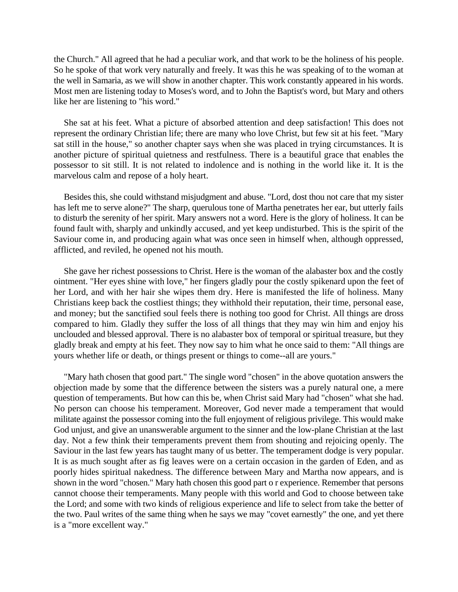the Church." All agreed that he had a peculiar work, and that work to be the holiness of his people. So he spoke of that work very naturally and freely. It was this he was speaking of to the woman at the well in Samaria, as we will show in another chapter. This work constantly appeared in his words. Most men are listening today to Moses's word, and to John the Baptist's word, but Mary and others like her are listening to "his word."

She sat at his feet. What a picture of absorbed attention and deep satisfaction! This does not represent the ordinary Christian life; there are many who love Christ, but few sit at his feet. "Mary sat still in the house," so another chapter says when she was placed in trying circumstances. It is another picture of spiritual quietness and restfulness. There is a beautiful grace that enables the possessor to sit still. It is not related to indolence and is nothing in the world like it. It is the marvelous calm and repose of a holy heart.

Besides this, she could withstand misjudgment and abuse. "Lord, dost thou not care that my sister has left me to serve alone?" The sharp, querulous tone of Martha penetrates her ear, but utterly fails to disturb the serenity of her spirit. Mary answers not a word. Here is the glory of holiness. It can be found fault with, sharply and unkindly accused, and yet keep undisturbed. This is the spirit of the Saviour come in, and producing again what was once seen in himself when, although oppressed, afflicted, and reviled, he opened not his mouth.

She gave her richest possessions to Christ. Here is the woman of the alabaster box and the costly ointment. "Her eyes shine with love," her fingers gladly pour the costly spikenard upon the feet of her Lord, and with her hair she wipes them dry. Here is manifested the life of holiness. Many Christians keep back the costliest things; they withhold their reputation, their time, personal ease, and money; but the sanctified soul feels there is nothing too good for Christ. All things are dross compared to him. Gladly they suffer the loss of all things that they may win him and enjoy his unclouded and blessed approval. There is no alabaster box of temporal or spiritual treasure, but they gladly break and empty at his feet. They now say to him what he once said to them: "All things are yours whether life or death, or things present or things to come--all are yours."

"Mary hath chosen that good part." The single word "chosen" in the above quotation answers the objection made by some that the difference between the sisters was a purely natural one, a mere question of temperaments. But how can this be, when Christ said Mary had "chosen" what she had. No person can choose his temperament. Moreover, God never made a temperament that would militate against the possessor coming into the full enjoyment of religious privilege. This would make God unjust, and give an unanswerable argument to the sinner and the low-plane Christian at the last day. Not a few think their temperaments prevent them from shouting and rejoicing openly. The Saviour in the last few years has taught many of us better. The temperament dodge is very popular. It is as much sought after as fig leaves were on a certain occasion in the garden of Eden, and as poorly hides spiritual nakedness. The difference between Mary and Martha now appears, and is shown in the word "chosen." Mary hath chosen this good part o r experience. Remember that persons cannot choose their temperaments. Many people with this world and God to choose between take the Lord; and some with two kinds of religious experience and life to select from take the better of the two. Paul writes of the same thing when he says we may "covet earnestly" the one, and yet there is a "more excellent way."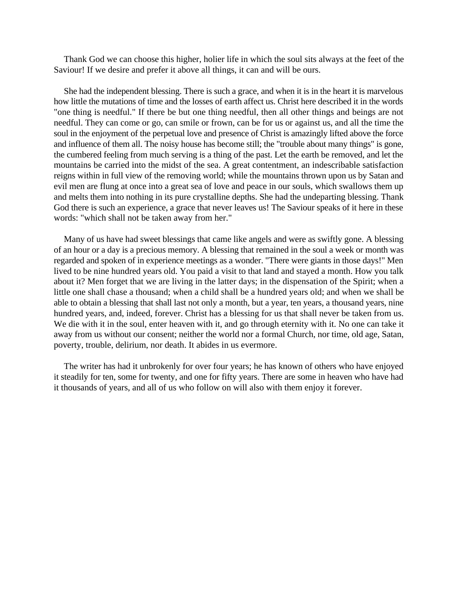Thank God we can choose this higher, holier life in which the soul sits always at the feet of the Saviour! If we desire and prefer it above all things, it can and will be ours.

She had the independent blessing. There is such a grace, and when it is in the heart it is marvelous how little the mutations of time and the losses of earth affect us. Christ here described it in the words "one thing is needful." If there be but one thing needful, then all other things and beings are not needful. They can come or go, can smile or frown, can be for us or against us, and all the time the soul in the enjoyment of the perpetual love and presence of Christ is amazingly lifted above the force and influence of them all. The noisy house has become still; the "trouble about many things" is gone, the cumbered feeling from much serving is a thing of the past. Let the earth be removed, and let the mountains be carried into the midst of the sea. A great contentment, an indescribable satisfaction reigns within in full view of the removing world; while the mountains thrown upon us by Satan and evil men are flung at once into a great sea of love and peace in our souls, which swallows them up and melts them into nothing in its pure crystalline depths. She had the undeparting blessing. Thank God there is such an experience, a grace that never leaves us! The Saviour speaks of it here in these words: "which shall not be taken away from her."

Many of us have had sweet blessings that came like angels and were as swiftly gone. A blessing of an hour or a day is a precious memory. A blessing that remained in the soul a week or month was regarded and spoken of in experience meetings as a wonder. "There were giants in those days!" Men lived to be nine hundred years old. You paid a visit to that land and stayed a month. How you talk about it? Men forget that we are living in the latter days; in the dispensation of the Spirit; when a little one shall chase a thousand; when a child shall be a hundred years old; and when we shall be able to obtain a blessing that shall last not only a month, but a year, ten years, a thousand years, nine hundred years, and, indeed, forever. Christ has a blessing for us that shall never be taken from us. We die with it in the soul, enter heaven with it, and go through eternity with it. No one can take it away from us without our consent; neither the world nor a formal Church, nor time, old age, Satan, poverty, trouble, delirium, nor death. It abides in us evermore.

The writer has had it unbrokenly for over four years; he has known of others who have enjoyed it steadily for ten, some for twenty, and one for fifty years. There are some in heaven who have had it thousands of years, and all of us who follow on will also with them enjoy it forever.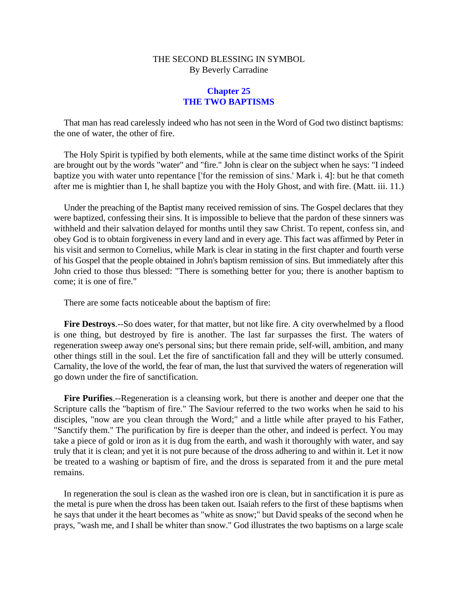## **Chapter 25 THE TWO BAPTISMS**

That man has read carelessly indeed who has not seen in the Word of God two distinct baptisms: the one of water, the other of fire.

The Holy Spirit is typified by both elements, while at the same time distinct works of the Spirit are brought out by the words "water" and "fire." John is clear on the subject when he says: "I indeed baptize you with water unto repentance ['for the remission of sins.' Mark i. 4]: but he that cometh after me is mightier than I, he shall baptize you with the Holy Ghost, and with fire. (Matt. iii. 11.)

Under the preaching of the Baptist many received remission of sins. The Gospel declares that they were baptized, confessing their sins. It is impossible to believe that the pardon of these sinners was withheld and their salvation delayed for months until they saw Christ. To repent, confess sin, and obey God is to obtain forgiveness in every land and in every age. This fact was affirmed by Peter in his visit and sermon to Cornelius, while Mark is clear in stating in the first chapter and fourth verse of his Gospel that the people obtained in John's baptism remission of sins. But immediately after this John cried to those thus blessed: "There is something better for you; there is another baptism to come; it is one of fire."

There are some facts noticeable about the baptism of fire:

**Fire Destroys**.--So does water, for that matter, but not like fire. A city overwhelmed by a flood is one thing, but destroyed by fire is another. The last far surpasses the first. The waters of regeneration sweep away one's personal sins; but there remain pride, self-will, ambition, and many other things still in the soul. Let the fire of sanctification fall and they will be utterly consumed. Carnality, the love of the world, the fear of man, the lust that survived the waters of regeneration will go down under the fire of sanctification.

**Fire Purifies**.--Regeneration is a cleansing work, but there is another and deeper one that the Scripture calls the "baptism of fire." The Saviour referred to the two works when he said to his disciples, "now are you clean through the Word;" and a little while after prayed to his Father, "Sanctify them." The purification by fire is deeper than the other, and indeed is perfect. You may take a piece of gold or iron as it is dug from the earth, and wash it thoroughly with water, and say truly that it is clean; and yet it is not pure because of the dross adhering to and within it. Let it now be treated to a washing or baptism of fire, and the dross is separated from it and the pure metal remains.

In regeneration the soul is clean as the washed iron ore is clean, but in sanctification it is pure as the metal is pure when the dross has been taken out. Isaiah refers to the first of these baptisms when he says that under it the heart becomes as "white as snow;" but David speaks of the second when he prays, "wash me, and I shall be whiter than snow." God illustrates the two baptisms on a large scale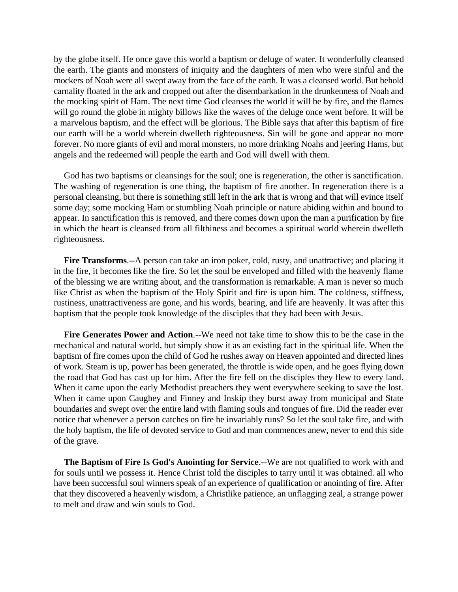by the globe itself. He once gave this world a baptism or deluge of water. It wonderfully cleansed the earth. The giants and monsters of iniquity and the daughters of men who were sinful and the mockers of Noah were all swept away from the face of the earth. It was a cleansed world. But behold carnality floated in the ark and cropped out after the disembarkation in the drunkenness of Noah and the mocking spirit of Ham. The next time God cleanses the world it will be by fire, and the flames will go round the globe in mighty billows like the waves of the deluge once went before. It will be a marvelous baptism, and the effect will be glorious. The Bible says that after this baptism of fire our earth will be a world wherein dwelleth righteousness. Sin will be gone and appear no more forever. No more giants of evil and moral monsters, no more drinking Noahs and jeering Hams, but angels and the redeemed will people the earth and God will dwell with them.

God has two baptisms or cleansings for the soul; one is regeneration, the other is sanctification. The washing of regeneration is one thing, the baptism of fire another. In regeneration there is a personal cleansing, but there is something still left in the ark that is wrong and that will evince itself some day; some mocking Ham or stumbling Noah principle or nature abiding within and bound to appear. In sanctification this is removed, and there comes down upon the man a purification by fire in which the heart is cleansed from all filthiness and becomes a spiritual world wherein dwelleth righteousness.

**Fire Transforms**.--A person can take an iron poker, cold, rusty, and unattractive; and placing it in the fire, it becomes like the fire. So let the soul be enveloped and filled with the heavenly flame of the blessing we are writing about, and the transformation is remarkable. A man is never so much like Christ as when the baptism of the Holy Spirit and fire is upon him. The coldness, stiffness, rustiness, unattractiveness are gone, and his words, bearing, and life are heavenly. It was after this baptism that the people took knowledge of the disciples that they had been with Jesus.

**Fire Generates Power and Action**.--We need not take time to show this to be the case in the mechanical and natural world, but simply show it as an existing fact in the spiritual life. When the baptism of fire comes upon the child of God he rushes away on Heaven appointed and directed lines of work. Steam is up, power has been generated, the throttle is wide open, and he goes flying down the road that God has cast up for him. After the fire fell on the disciples they flew to every land. When it came upon the early Methodist preachers they went everywhere seeking to save the lost. When it came upon Caughey and Finney and Inskip they burst away from municipal and State boundaries and swept over the entire land with flaming souls and tongues of fire. Did the reader ever notice that whenever a person catches on fire he invariably runs? So let the soul take fire, and with the holy baptism, the life of devoted service to God and man commences anew, never to end this side of the grave.

**The Baptism of Fire Is God's Anointing for Service**.--We are not qualified to work with and for souls until we possess it. Hence Christ told the disciples to tarry until it was obtained. all who have been successful soul winners speak of an experience of qualification or anointing of fire. After that they discovered a heavenly wisdom, a Christlike patience, an unflagging zeal, a strange power to melt and draw and win souls to God.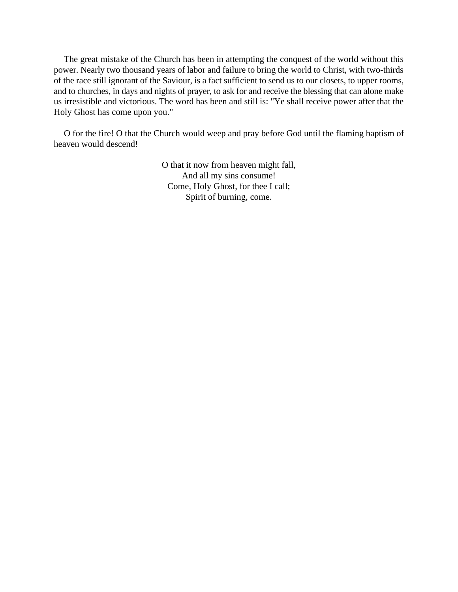The great mistake of the Church has been in attempting the conquest of the world without this power. Nearly two thousand years of labor and failure to bring the world to Christ, with two-thirds of the race still ignorant of the Saviour, is a fact sufficient to send us to our closets, to upper rooms, and to churches, in days and nights of prayer, to ask for and receive the blessing that can alone make us irresistible and victorious. The word has been and still is: "Ye shall receive power after that the Holy Ghost has come upon you."

O for the fire! O that the Church would weep and pray before God until the flaming baptism of heaven would descend!

> O that it now from heaven might fall, And all my sins consume! Come, Holy Ghost, for thee I call; Spirit of burning, come.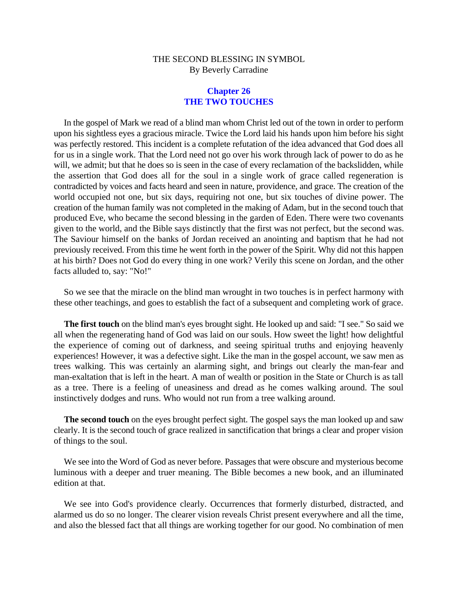## **Chapter 26 THE TWO TOUCHES**

In the gospel of Mark we read of a blind man whom Christ led out of the town in order to perform upon his sightless eyes a gracious miracle. Twice the Lord laid his hands upon him before his sight was perfectly restored. This incident is a complete refutation of the idea advanced that God does all for us in a single work. That the Lord need not go over his work through lack of power to do as he will, we admit; but that he does so is seen in the case of every reclamation of the backslidden, while the assertion that God does all for the soul in a single work of grace called regeneration is contradicted by voices and facts heard and seen in nature, providence, and grace. The creation of the world occupied not one, but six days, requiring not one, but six touches of divine power. The creation of the human family was not completed in the making of Adam, but in the second touch that produced Eve, who became the second blessing in the garden of Eden. There were two covenants given to the world, and the Bible says distinctly that the first was not perfect, but the second was. The Saviour himself on the banks of Jordan received an anointing and baptism that he had not previously received. From this time he went forth in the power of the Spirit. Why did not this happen at his birth? Does not God do every thing in one work? Verily this scene on Jordan, and the other facts alluded to, say: "No!"

So we see that the miracle on the blind man wrought in two touches is in perfect harmony with these other teachings, and goes to establish the fact of a subsequent and completing work of grace.

**The first touch** on the blind man's eyes brought sight. He looked up and said: "I see." So said we all when the regenerating hand of God was laid on our souls. How sweet the light! how delightful the experience of coming out of darkness, and seeing spiritual truths and enjoying heavenly experiences! However, it was a defective sight. Like the man in the gospel account, we saw men as trees walking. This was certainly an alarming sight, and brings out clearly the man-fear and man-exaltation that is left in the heart. A man of wealth or position in the State or Church is as tall as a tree. There is a feeling of uneasiness and dread as he comes walking around. The soul instinctively dodges and runs. Who would not run from a tree walking around.

**The second touch** on the eyes brought perfect sight. The gospel says the man looked up and saw clearly. It is the second touch of grace realized in sanctification that brings a clear and proper vision of things to the soul.

We see into the Word of God as never before. Passages that were obscure and mysterious become luminous with a deeper and truer meaning. The Bible becomes a new book, and an illuminated edition at that.

We see into God's providence clearly. Occurrences that formerly disturbed, distracted, and alarmed us do so no longer. The clearer vision reveals Christ present everywhere and all the time, and also the blessed fact that all things are working together for our good. No combination of men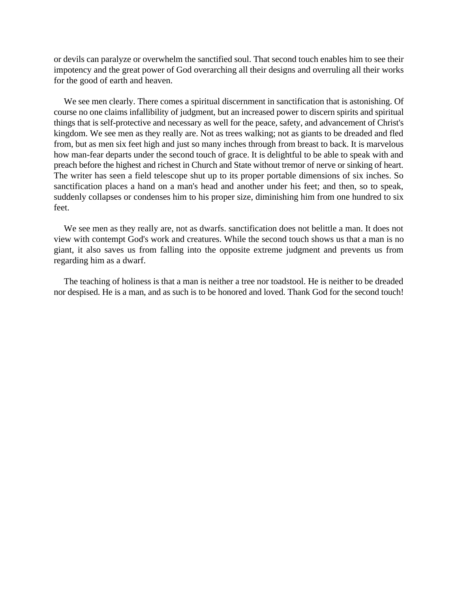or devils can paralyze or overwhelm the sanctified soul. That second touch enables him to see their impotency and the great power of God overarching all their designs and overruling all their works for the good of earth and heaven.

We see men clearly. There comes a spiritual discernment in sanctification that is astonishing. Of course no one claims infallibility of judgment, but an increased power to discern spirits and spiritual things that is self-protective and necessary as well for the peace, safety, and advancement of Christ's kingdom. We see men as they really are. Not as trees walking; not as giants to be dreaded and fled from, but as men six feet high and just so many inches through from breast to back. It is marvelous how man-fear departs under the second touch of grace. It is delightful to be able to speak with and preach before the highest and richest in Church and State without tremor of nerve or sinking of heart. The writer has seen a field telescope shut up to its proper portable dimensions of six inches. So sanctification places a hand on a man's head and another under his feet; and then, so to speak, suddenly collapses or condenses him to his proper size, diminishing him from one hundred to six feet.

We see men as they really are, not as dwarfs. sanctification does not belittle a man. It does not view with contempt God's work and creatures. While the second touch shows us that a man is no giant, it also saves us from falling into the opposite extreme judgment and prevents us from regarding him as a dwarf.

The teaching of holiness is that a man is neither a tree nor toadstool. He is neither to be dreaded nor despised. He is a man, and as such is to be honored and loved. Thank God for the second touch!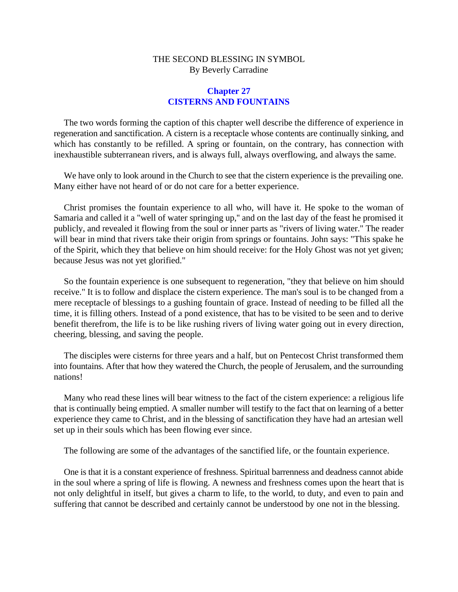### **Chapter 27 CISTERNS AND FOUNTAINS**

The two words forming the caption of this chapter well describe the difference of experience in regeneration and sanctification. A cistern is a receptacle whose contents are continually sinking, and which has constantly to be refilled. A spring or fountain, on the contrary, has connection with inexhaustible subterranean rivers, and is always full, always overflowing, and always the same.

We have only to look around in the Church to see that the cistern experience is the prevailing one. Many either have not heard of or do not care for a better experience.

Christ promises the fountain experience to all who, will have it. He spoke to the woman of Samaria and called it a "well of water springing up,'' and on the last day of the feast he promised it publicly, and revealed it flowing from the soul or inner parts as "rivers of living water." The reader will bear in mind that rivers take their origin from springs or fountains. John says: "This spake he of the Spirit, which they that believe on him should receive: for the Holy Ghost was not yet given; because Jesus was not yet glorified."

So the fountain experience is one subsequent to regeneration, "they that believe on him should receive." It is to follow and displace the cistern experience. The man's soul is to be changed from a mere receptacle of blessings to a gushing fountain of grace. Instead of needing to be filled all the time, it is filling others. Instead of a pond existence, that has to be visited to be seen and to derive benefit therefrom, the life is to be like rushing rivers of living water going out in every direction, cheering, blessing, and saving the people.

The disciples were cisterns for three years and a half, but on Pentecost Christ transformed them into fountains. After that how they watered the Church, the people of Jerusalem, and the surrounding nations!

Many who read these lines will bear witness to the fact of the cistern experience: a religious life that is continually being emptied. A smaller number will testify to the fact that on learning of a better experience they came to Christ, and in the blessing of sanctification they have had an artesian well set up in their souls which has been flowing ever since.

The following are some of the advantages of the sanctified life, or the fountain experience.

One is that it is a constant experience of freshness. Spiritual barrenness and deadness cannot abide in the soul where a spring of life is flowing. A newness and freshness comes upon the heart that is not only delightful in itself, but gives a charm to life, to the world, to duty, and even to pain and suffering that cannot be described and certainly cannot be understood by one not in the blessing.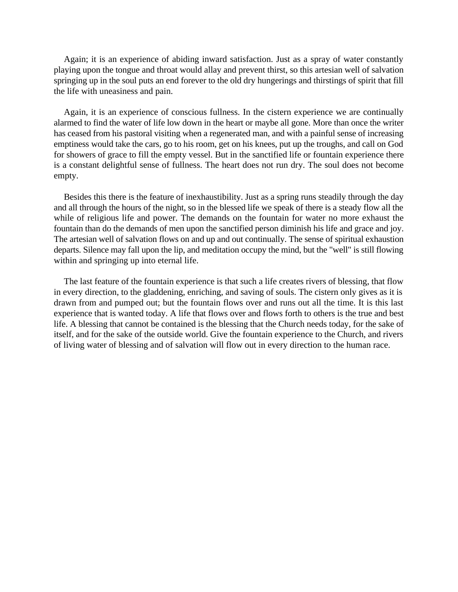Again; it is an experience of abiding inward satisfaction. Just as a spray of water constantly playing upon the tongue and throat would allay and prevent thirst, so this artesian well of salvation springing up in the soul puts an end forever to the old dry hungerings and thirstings of spirit that fill the life with uneasiness and pain.

Again, it is an experience of conscious fullness. In the cistern experience we are continually alarmed to find the water of life low down in the heart or maybe all gone. More than once the writer has ceased from his pastoral visiting when a regenerated man, and with a painful sense of increasing emptiness would take the cars, go to his room, get on his knees, put up the troughs, and call on God for showers of grace to fill the empty vessel. But in the sanctified life or fountain experience there is a constant delightful sense of fullness. The heart does not run dry. The soul does not become empty.

Besides this there is the feature of inexhaustibility. Just as a spring runs steadily through the day and all through the hours of the night, so in the blessed life we speak of there is a steady flow all the while of religious life and power. The demands on the fountain for water no more exhaust the fountain than do the demands of men upon the sanctified person diminish his life and grace and joy. The artesian well of salvation flows on and up and out continually. The sense of spiritual exhaustion departs. Silence may fall upon the lip, and meditation occupy the mind, but the "well" is still flowing within and springing up into eternal life.

The last feature of the fountain experience is that such a life creates rivers of blessing, that flow in every direction, to the gladdening, enriching, and saving of souls. The cistern only gives as it is drawn from and pumped out; but the fountain flows over and runs out all the time. It is this last experience that is wanted today. A life that flows over and flows forth to others is the true and best life. A blessing that cannot be contained is the blessing that the Church needs today, for the sake of itself, and for the sake of the outside world. Give the fountain experience to the Church, and rivers of living water of blessing and of salvation will flow out in every direction to the human race.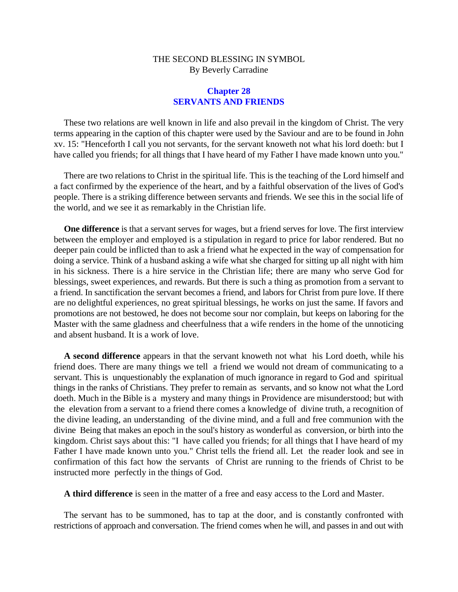### **Chapter 28 SERVANTS AND FRIENDS**

These two relations are well known in life and also prevail in the kingdom of Christ. The very terms appearing in the caption of this chapter were used by the Saviour and are to be found in John xv. 15: "Henceforth I call you not servants, for the servant knoweth not what his lord doeth: but I have called you friends; for all things that I have heard of my Father I have made known unto you."

There are two relations to Christ in the spiritual life. This is the teaching of the Lord himself and a fact confirmed by the experience of the heart, and by a faithful observation of the lives of God's people. There is a striking difference between servants and friends. We see this in the social life of the world, and we see it as remarkably in the Christian life.

**One difference** is that a servant serves for wages, but a friend serves for love. The first interview between the employer and employed is a stipulation in regard to price for labor rendered. But no deeper pain could be inflicted than to ask a friend what he expected in the way of compensation for doing a service. Think of a husband asking a wife what she charged for sitting up all night with him in his sickness. There is a hire service in the Christian life; there are many who serve God for blessings, sweet experiences, and rewards. But there is such a thing as promotion from a servant to a friend. In sanctification the servant becomes a friend, and labors for Christ from pure love. If there are no delightful experiences, no great spiritual blessings, he works on just the same. If favors and promotions are not bestowed, he does not become sour nor complain, but keeps on laboring for the Master with the same gladness and cheerfulness that a wife renders in the home of the unnoticing and absent husband. It is a work of love.

**A second difference** appears in that the servant knoweth not what his Lord doeth, while his friend does. There are many things we tell a friend we would not dream of communicating to a servant. This is unquestionably the explanation of much ignorance in regard to God and spiritual things in the ranks of Christians. They prefer to remain as servants, and so know not what the Lord doeth. Much in the Bible is a mystery and many things in Providence are misunderstood; but with the elevation from a servant to a friend there comes a knowledge of divine truth, a recognition of the divine leading, an understanding of the divine mind, and a full and free communion with the divine Being that makes an epoch in the soul's history as wonderful as conversion, or birth into the kingdom. Christ says about this: "I have called you friends; for all things that I have heard of my Father I have made known unto you." Christ tells the friend all. Let the reader look and see in confirmation of this fact how the servants of Christ are running to the friends of Christ to be instructed more perfectly in the things of God.

**A third difference** is seen in the matter of a free and easy access to the Lord and Master.

The servant has to be summoned, has to tap at the door, and is constantly confronted with restrictions of approach and conversation. The friend comes when he will, and passes in and out with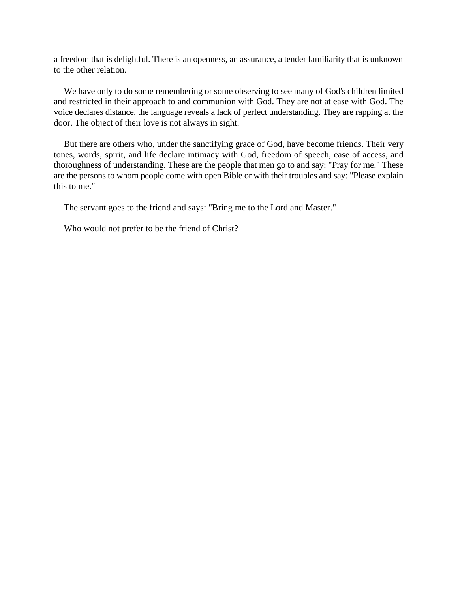a freedom that is delightful. There is an openness, an assurance, a tender familiarity that is unknown to the other relation.

We have only to do some remembering or some observing to see many of God's children limited and restricted in their approach to and communion with God. They are not at ease with God. The voice declares distance, the language reveals a lack of perfect understanding. They are rapping at the door. The object of their love is not always in sight.

But there are others who, under the sanctifying grace of God, have become friends. Their very tones, words, spirit, and life declare intimacy with God, freedom of speech, ease of access, and thoroughness of understanding. These are the people that men go to and say: "Pray for me." These are the persons to whom people come with open Bible or with their troubles and say: "Please explain this to me."

The servant goes to the friend and says: "Bring me to the Lord and Master."

Who would not prefer to be the friend of Christ?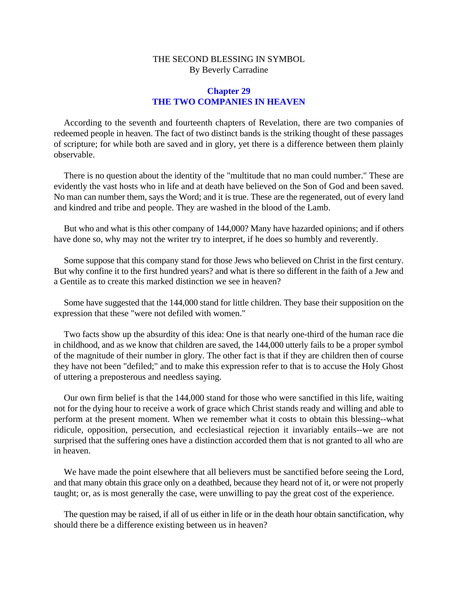### **Chapter 29 THE TWO COMPANIES IN HEAVEN**

According to the seventh and fourteenth chapters of Revelation, there are two companies of redeemed people in heaven. The fact of two distinct bands is the striking thought of these passages of scripture; for while both are saved and in glory, yet there is a difference between them plainly observable.

There is no question about the identity of the "multitude that no man could number." These are evidently the vast hosts who in life and at death have believed on the Son of God and been saved. No man can number them, says the Word; and it is true. These are the regenerated, out of every land and kindred and tribe and people. They are washed in the blood of the Lamb.

But who and what is this other company of 144,000? Many have hazarded opinions; and if others have done so, why may not the writer try to interpret, if he does so humbly and reverently.

Some suppose that this company stand for those Jews who believed on Christ in the first century. But why confine it to the first hundred years? and what is there so different in the faith of a Jew and a Gentile as to create this marked distinction we see in heaven?

Some have suggested that the 144,000 stand for little children. They base their supposition on the expression that these "were not defiled with women."

Two facts show up the absurdity of this idea: One is that nearly one-third of the human race die in childhood, and as we know that children are saved, the 144,000 utterly fails to be a proper symbol of the magnitude of their number in glory. The other fact is that if they are children then of course they have not been "defiled;" and to make this expression refer to that is to accuse the Holy Ghost of uttering a preposterous and needless saying.

Our own firm belief is that the 144,000 stand for those who were sanctified in this life, waiting not for the dying hour to receive a work of grace which Christ stands ready and willing and able to perform at the present moment. When we remember what it costs to obtain this blessing--what ridicule, opposition, persecution, and ecclesiastical rejection it invariably entails--we are not surprised that the suffering ones have a distinction accorded them that is not granted to all who are in heaven.

We have made the point elsewhere that all believers must be sanctified before seeing the Lord, and that many obtain this grace only on a deathbed, because they heard not of it, or were not properly taught; or, as is most generally the case, were unwilling to pay the great cost of the experience.

The question may be raised, if all of us either in life or in the death hour obtain sanctification, why should there be a difference existing between us in heaven?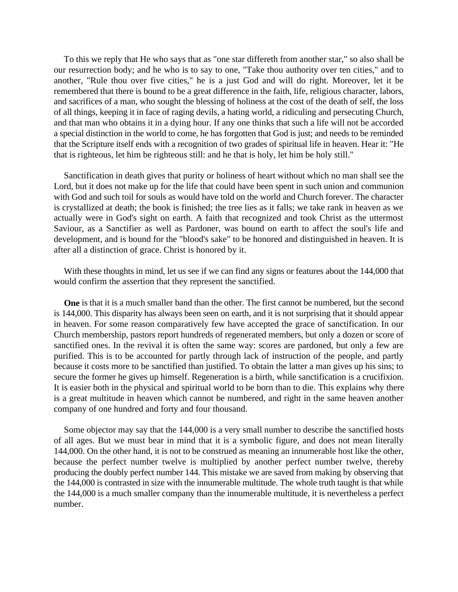To this we reply that He who says that as "one star differeth from another star," so also shall be our resurrection body; and he who is to say to one, "Take thou authority over ten cities," and to another, "Rule thou over five cities," he is a just God and will do right. Moreover, let it be remembered that there is bound to be a great difference in the faith, life, religious character, labors, and sacrifices of a man, who sought the blessing of holiness at the cost of the death of self, the loss of all things, keeping it in face of raging devils, a hating world, a ridiculing and persecuting Church, and that man who obtains it in a dying hour. If any one thinks that such a life will not be accorded a special distinction in the world to come, he has forgotten that God is just; and needs to be reminded that the Scripture itself ends with a recognition of two grades of spiritual life in heaven. Hear it: "He that is righteous, let him be righteous still: and he that is holy, let him be holy still."

Sanctification in death gives that purity or holiness of heart without which no man shall see the Lord, but it does not make up for the life that could have been spent in such union and communion with God and such toil for souls as would have told on the world and Church forever. The character is crystallized at death; the book is finished; the tree lies as it falls; we take rank in heaven as we actually were in God's sight on earth. A faith that recognized and took Christ as the uttermost Saviour, as a Sanctifier as well as Pardoner, was bound on earth to affect the soul's life and development, and is bound for the "blood's sake" to be honored and distinguished in heaven. It is after all a distinction of grace. Christ is honored by it.

With these thoughts in mind, let us see if we can find any signs or features about the 144,000 that would confirm the assertion that they represent the sanctified.

**One** is that it is a much smaller band than the other. The first cannot be numbered, but the second is 144,000. This disparity has always been seen on earth, and it is not surprising that it should appear in heaven. For some reason comparatively few have accepted the grace of sanctification. In our Church membership, pastors report hundreds of regenerated members, but only a dozen or score of sanctified ones. In the revival it is often the same way: scores are pardoned, but only a few are purified. This is to be accounted for partly through lack of instruction of the people, and partly because it costs more to be sanctified than justified. To obtain the latter a man gives up his sins; to secure the former he gives up himself. Regeneration is a birth, while sanctification is a crucifixion. It is easier both in the physical and spiritual world to be born than to die. This explains why there is a great multitude in heaven which cannot be numbered, and right in the same heaven another company of one hundred and forty and four thousand.

Some objector may say that the 144,000 is a very small number to describe the sanctified hosts of all ages. But we must bear in mind that it is a symbolic figure, and does not mean literally 144,000. On the other hand, it is not to be construed as meaning an innumerable host like the other, because the perfect number twelve is multiplied by another perfect number twelve, thereby producing the doubly perfect number 144. This mistake we are saved from making by observing that the 144,000 is contrasted in size with the innumerable multitude. The whole truth taught is that while the 144,000 is a much smaller company than the innumerable multitude, it is nevertheless a perfect number.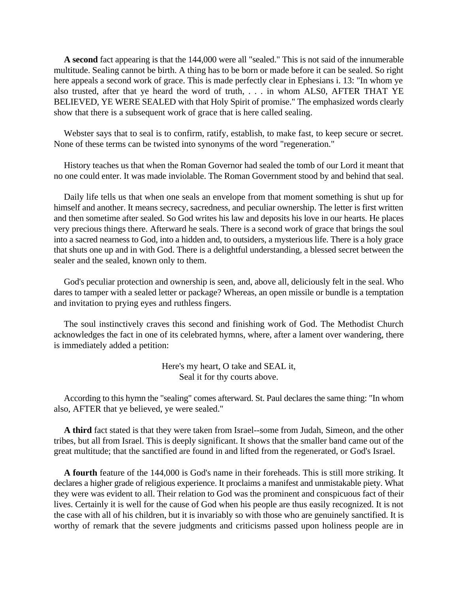**A second** fact appearing is that the 144,000 were all "sealed." This is not said of the innumerable multitude. Sealing cannot be birth. A thing has to be born or made before it can be sealed. So right here appeals a second work of grace. This is made perfectly clear in Ephesians i. 13: "In whom ye also trusted, after that ye heard the word of truth, . . . in whom ALS0, AFTER THAT YE BELIEVED, YE WERE SEALED with that Holy Spirit of promise." The emphasized words clearly show that there is a subsequent work of grace that is here called sealing.

Webster says that to seal is to confirm, ratify, establish, to make fast, to keep secure or secret. None of these terms can be twisted into synonyms of the word "regeneration."

History teaches us that when the Roman Governor had sealed the tomb of our Lord it meant that no one could enter. It was made inviolable. The Roman Government stood by and behind that seal.

Daily life tells us that when one seals an envelope from that moment something is shut up for himself and another. It means secrecy, sacredness, and peculiar ownership. The letter is first written and then sometime after sealed. So God writes his law and deposits his love in our hearts. He places very precious things there. Afterward he seals. There is a second work of grace that brings the soul into a sacred nearness to God, into a hidden and, to outsiders, a mysterious life. There is a holy grace that shuts one up and in with God. There is a delightful understanding, a blessed secret between the sealer and the sealed, known only to them.

God's peculiar protection and ownership is seen, and, above all, deliciously felt in the seal. Who dares to tamper with a sealed letter or package? Whereas, an open missile or bundle is a temptation and invitation to prying eyes and ruthless fingers.

The soul instinctively craves this second and finishing work of God. The Methodist Church acknowledges the fact in one of its celebrated hymns, where, after a lament over wandering, there is immediately added a petition:

> Here's my heart, O take and SEAL it, Seal it for thy courts above.

According to this hymn the "sealing" comes afterward. St. Paul declares the same thing: "In whom also, AFTER that ye believed, ye were sealed."

**A third** fact stated is that they were taken from Israel--some from Judah, Simeon, and the other tribes, but all from Israel. This is deeply significant. It shows that the smaller band came out of the great multitude; that the sanctified are found in and lifted from the regenerated, or God's Israel.

**A fourth** feature of the 144,000 is God's name in their foreheads. This is still more striking. It declares a higher grade of religious experience. It proclaims a manifest and unmistakable piety. What they were was evident to all. Their relation to God was the prominent and conspicuous fact of their lives. Certainly it is well for the cause of God when his people are thus easily recognized. It is not the case with all of his children, but it is invariably so with those who are genuinely sanctified. It is worthy of remark that the severe judgments and criticisms passed upon holiness people are in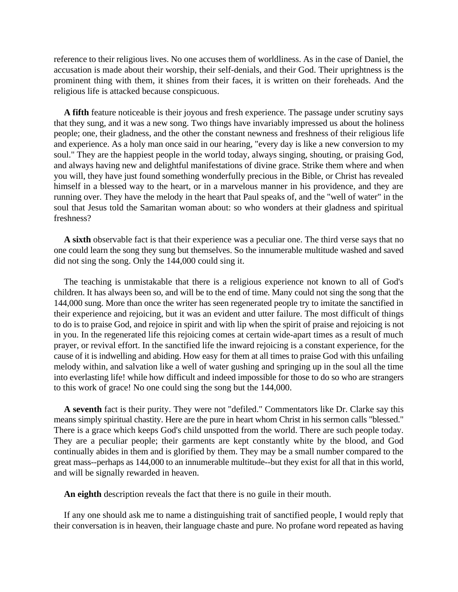reference to their religious lives. No one accuses them of worldliness. As in the case of Daniel, the accusation is made about their worship, their self-denials, and their God. Their uprightness is the prominent thing with them, it shines from their faces, it is written on their foreheads. And the religious life is attacked because conspicuous.

**A fifth** feature noticeable is their joyous and fresh experience. The passage under scrutiny says that they sung, and it was a new song. Two things have invariably impressed us about the holiness people; one, their gladness, and the other the constant newness and freshness of their religious life and experience. As a holy man once said in our hearing, "every day is like a new conversion to my soul." They are the happiest people in the world today, always singing, shouting, or praising God, and always having new and delightful manifestations of divine grace. Strike them where and when you will, they have just found something wonderfully precious in the Bible, or Christ has revealed himself in a blessed way to the heart, or in a marvelous manner in his providence, and they are running over. They have the melody in the heart that Paul speaks of, and the "well of water" in the soul that Jesus told the Samaritan woman about: so who wonders at their gladness and spiritual freshness?

**A sixth** observable fact is that their experience was a peculiar one. The third verse says that no one could learn the song they sung but themselves. So the innumerable multitude washed and saved did not sing the song. Only the 144,000 could sing it.

The teaching is unmistakable that there is a religious experience not known to all of God's children. It has always been so, and will be to the end of time. Many could not sing the song that the 144,000 sung. More than once the writer has seen regenerated people try to imitate the sanctified in their experience and rejoicing, but it was an evident and utter failure. The most difficult of things to do is to praise God, and rejoice in spirit and with lip when the spirit of praise and rejoicing is not in you. In the regenerated life this rejoicing comes at certain wide-apart times as a result of much prayer, or revival effort. In the sanctified life the inward rejoicing is a constant experience, for the cause of it is indwelling and abiding. How easy for them at all times to praise God with this unfailing melody within, and salvation like a well of water gushing and springing up in the soul all the time into everlasting life! while how difficult and indeed impossible for those to do so who are strangers to this work of grace! No one could sing the song but the 144,000.

**A seventh** fact is their purity. They were not "defiled." Commentators like Dr. Clarke say this means simply spiritual chastity. Here are the pure in heart whom Christ in his sermon calls "blessed." There is a grace which keeps God's child unspotted from the world. There are such people today. They are a peculiar people; their garments are kept constantly white by the blood, and God continually abides in them and is glorified by them. They may be a small number compared to the great mass--perhaps as 144,000 to an innumerable multitude--but they exist for all that in this world, and will be signally rewarded in heaven.

**An eighth** description reveals the fact that there is no guile in their mouth.

If any one should ask me to name a distinguishing trait of sanctified people, I would reply that their conversation is in heaven, their language chaste and pure. No profane word repeated as having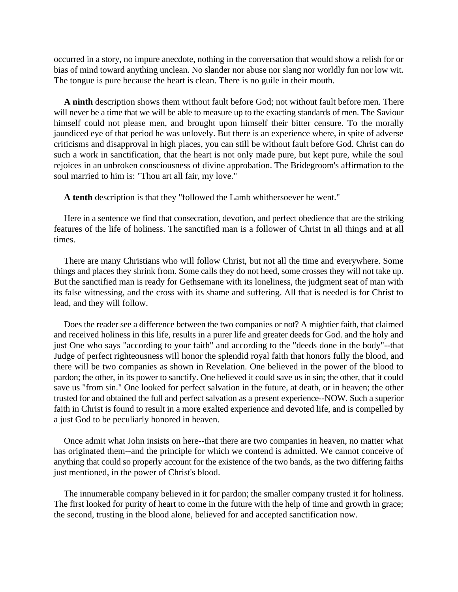occurred in a story, no impure anecdote, nothing in the conversation that would show a relish for or bias of mind toward anything unclean. No slander nor abuse nor slang nor worldly fun nor low wit. The tongue is pure because the heart is clean. There is no guile in their mouth.

**A ninth** description shows them without fault before God; not without fault before men. There will never be a time that we will be able to measure up to the exacting standards of men. The Saviour himself could not please men, and brought upon himself their bitter censure. To the morally jaundiced eye of that period he was unlovely. But there is an experience where, in spite of adverse criticisms and disapproval in high places, you can still be without fault before God. Christ can do such a work in sanctification, that the heart is not only made pure, but kept pure, while the soul rejoices in an unbroken consciousness of divine approbation. The Bridegroom's affirmation to the soul married to him is: "Thou art all fair, my love."

**A tenth** description is that they "followed the Lamb whithersoever he went."

Here in a sentence we find that consecration, devotion, and perfect obedience that are the striking features of the life of holiness. The sanctified man is a follower of Christ in all things and at all times.

There are many Christians who will follow Christ, but not all the time and everywhere. Some things and places they shrink from. Some calls they do not heed, some crosses they will not take up. But the sanctified man is ready for Gethsemane with its loneliness, the judgment seat of man with its false witnessing, and the cross with its shame and suffering. All that is needed is for Christ to lead, and they will follow.

Does the reader see a difference between the two companies or not? A mightier faith, that claimed and received holiness in this life, results in a purer life and greater deeds for God. and the holy and just One who says "according to your faith" and according to the "deeds done in the body"--that Judge of perfect righteousness will honor the splendid royal faith that honors fully the blood, and there will be two companies as shown in Revelation. One believed in the power of the blood to pardon; the other, in its power to sanctify. One believed it could save us in sin; the other, that it could save us "from sin." One looked for perfect salvation in the future, at death, or in heaven; the other trusted for and obtained the full and perfect salvation as a present experience--NOW. Such a superior faith in Christ is found to result in a more exalted experience and devoted life, and is compelled by a just God to be peculiarly honored in heaven.

Once admit what John insists on here--that there are two companies in heaven, no matter what has originated them--and the principle for which we contend is admitted. We cannot conceive of anything that could so properly account for the existence of the two bands, as the two differing faiths just mentioned, in the power of Christ's blood.

The innumerable company believed in it for pardon; the smaller company trusted it for holiness. The first looked for purity of heart to come in the future with the help of time and growth in grace; the second, trusting in the blood alone, believed for and accepted sanctification now.